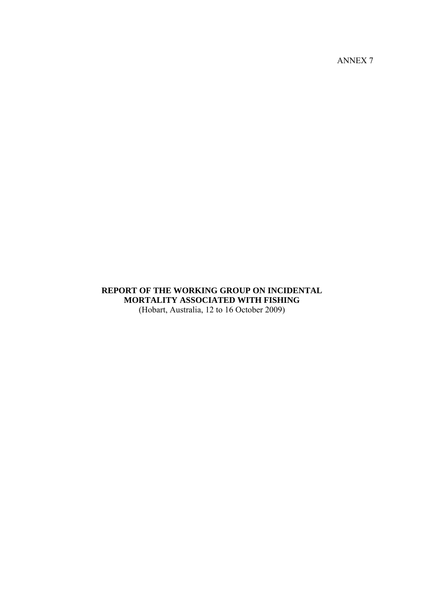ANNEX 7

## **REPORT OF THE WORKING GROUP ON INCIDENTAL MORTALITY ASSOCIATED WITH FISHING**  (Hobart, Australia, 12 to 16 October 2009)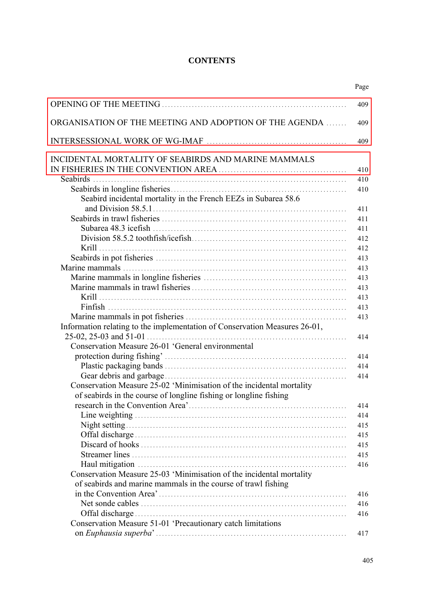# **CONTENTS**

| ORGANISATION OF THE MEETING AND ADOPTION OF THE AGENDA                     |
|----------------------------------------------------------------------------|
|                                                                            |
| INCIDENTAL MORTALITY OF SEABIRDS AND MARINE MAMMALS                        |
|                                                                            |
|                                                                            |
|                                                                            |
| Seabird incidental mortality in the French EEZs in Subarea 58.6            |
|                                                                            |
|                                                                            |
|                                                                            |
|                                                                            |
|                                                                            |
|                                                                            |
|                                                                            |
|                                                                            |
|                                                                            |
|                                                                            |
|                                                                            |
|                                                                            |
| Information relating to the implementation of Conservation Measures 26-01, |
|                                                                            |
| Conservation Measure 26-01 'General environmental                          |
|                                                                            |
|                                                                            |
|                                                                            |
| Conservation Measure 25-02 'Minimisation of the incidental mortality       |
| of seabirds in the course of longline fishing or longline fishing          |
|                                                                            |
|                                                                            |
|                                                                            |
|                                                                            |
|                                                                            |
|                                                                            |
|                                                                            |
| Conservation Measure 25-03 'Minimisation of the incidental mortality       |
| of seabirds and marine mammals in the course of trawl fishing              |
|                                                                            |
|                                                                            |
|                                                                            |
| Conservation Measure 51-01 'Precautionary catch limitations                |
|                                                                            |
|                                                                            |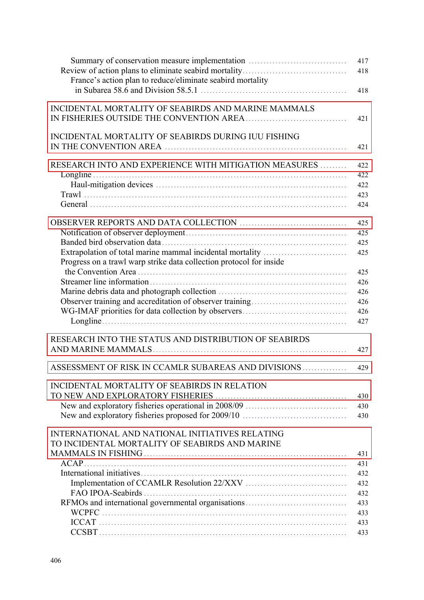| Summary of conservation measure implementation                      | 417<br>418 |
|---------------------------------------------------------------------|------------|
| France's action plan to reduce/eliminate seabird mortality          | 418        |
| INCIDENTAL MORTALITY OF SEABIRDS AND MARINE MAMMALS                 | 421        |
|                                                                     |            |
| INCIDENTAL MORTALITY OF SEABIRDS DURING IUU FISHING                 | 421        |
| RESEARCH INTO AND EXPERIENCE WITH MITIGATION MEASURES               | 422        |
|                                                                     | 422        |
|                                                                     | 422        |
|                                                                     | 423        |
|                                                                     | 424        |
|                                                                     | 425        |
|                                                                     | 425        |
|                                                                     | 425        |
| Extrapolation of total marine mammal incidental mortality           | 425        |
| Progress on a trawl warp strike data collection protocol for inside |            |
|                                                                     | 425        |
|                                                                     | 426        |
|                                                                     | 426        |
|                                                                     | 426        |
|                                                                     | 426        |
|                                                                     | 427        |
| RESEARCH INTO THE STATUS AND DISTRIBUTION OF SEABIRDS               |            |
|                                                                     | 427        |
| ASSESSMENT OF RISK IN CCAMLR SUBAREAS AND DIVISIONS                 | 429        |
| INCIDENTAL MORTALITY OF SEABIRDS IN RELATION                        |            |
|                                                                     | 430        |
|                                                                     | 430        |
|                                                                     | 430        |
| INTERNATIONAL AND NATIONAL INITIATIVES RELATING                     |            |
| TO INCIDENTAL MORTALITY OF SEABIRDS AND MARINE                      |            |
|                                                                     | 431        |
|                                                                     | 431        |
|                                                                     | 432        |
|                                                                     | 432        |
|                                                                     | 432        |
| RFMOs and international governmental organisations                  | 433        |
|                                                                     | 433        |
|                                                                     | 433        |
|                                                                     | 433        |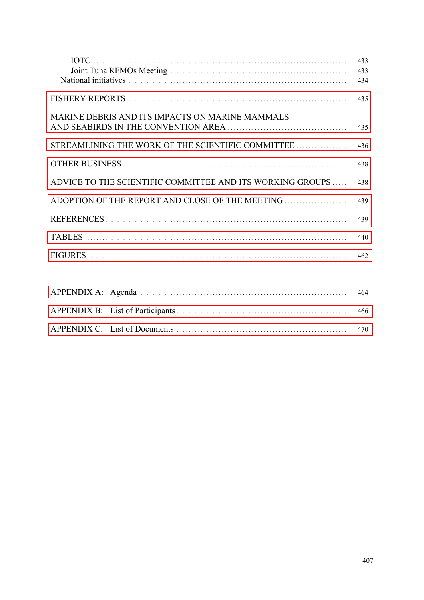| <b>IOTC</b>                                               | 433<br>433 |
|-----------------------------------------------------------|------------|
|                                                           | 434        |
|                                                           | 435        |
| MARINE DEBRIS AND ITS IMPACTS ON MARINE MAMMALS           | 435        |
| STREAMLINING THE WORK OF THE SCIENTIFIC COMMITTEE         | 436        |
|                                                           | 438        |
| ADVICE TO THE SCIENTIFIC COMMITTEE AND ITS WORKING GROUPS | 438        |
| ADOPTION OF THE REPORT AND CLOSE OF THE MEETING           | 439        |
|                                                           | 439        |
|                                                           | 440        |
|                                                           | 462        |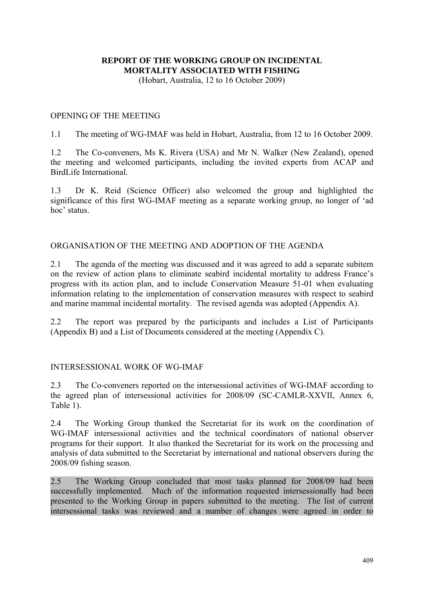# <span id="page-4-0"></span>**REPORT OF THE WORKING GROUP ON INCIDENTAL MORTALITY ASSOCIATED WITH FISHING**

(Hobart, Australia, 12 to 16 October 2009)

## OPENING OF THE MEETING

1.1 The meeting of WG-IMAF was held in Hobart, Australia, from 12 to 16 October 2009.

1.2 The Co-conveners, Ms K. Rivera (USA) and Mr N. Walker (New Zealand), opened the meeting and welcomed participants, including the invited experts from ACAP and BirdLife International.

1.3 Dr K. Reid (Science Officer) also welcomed the group and highlighted the significance of this first WG-IMAF meeting as a separate working group, no longer of 'ad hoc' status.

## ORGANISATION OF THE MEETING AND ADOPTION OF THE AGENDA

2.1 The agenda of the meeting was discussed and it was agreed to add a separate subitem on the review of action plans to eliminate seabird incidental mortality to address France's progress with its action plan, and to include Conservation Measure 51-01 when evaluating information relating to the implementation of conservation measures with respect to seabird and marine mammal incidental mortality. The revised agenda was adopted (Appendix A).

2.2 The report was prepared by the participants and includes a List of Participants (Appendix B) and a List of Documents considered at the meeting (Appendix C).

#### INTERSESSIONAL WORK OF WG-IMAF

2.3 The Co-conveners reported on the intersessional activities of WG-IMAF according to the agreed plan of intersessional activities for 2008/09 (SC-CAMLR-XXVII, Annex 6, Table 1).

2.4 The Working Group thanked the Secretariat for its work on the coordination of WG-IMAF intersessional activities and the technical coordinators of national observer programs for their support. It also thanked the Secretariat for its work on the processing and analysis of data submitted to the Secretariat by international and national observers during the 2008/09 fishing season.

2.5 The Working Group concluded that most tasks planned for 2008/09 had been successfully implemented. Much of the information requested intersessionally had been presented to the Working Group in papers submitted to the meeting. The list of current intersessional tasks was reviewed and a number of changes were agreed in order to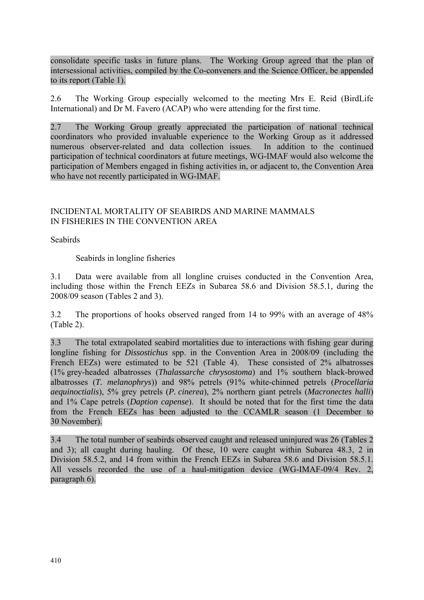<span id="page-5-0"></span>consolidate specific tasks in future plans. The Working Group agreed that the plan of intersessional activities, compiled by the Co-conveners and the Science Officer, be appended to its report (Table 1).

2.6 The Working Group especially welcomed to the meeting Mrs E. Reid (BirdLife International) and Dr M. Favero (ACAP) who were attending for the first time.

2.7 The Working Group greatly appreciated the participation of national technical coordinators who provided invaluable experience to the Working Group as it addressed numerous observer-related and data collection issues. In addition to the continued participation of technical coordinators at future meetings, WG-IMAF would also welcome the participation of Members engaged in fishing activities in, or adjacent to, the Convention Area who have not recently participated in WG-IMAF.

## INCIDENTAL MORTALITY OF SEABIRDS AND MARINE MAMMALS IN FISHERIES IN THE CONVENTION AREA

Seabirds

Seabirds in longline fisheries

3.1 Data were available from all longline cruises conducted in the Convention Area, including those within the French EEZs in Subarea 58.6 and Division 58.5.1, during the 2008/09 season (Tables 2 and 3).

3.2 The proportions of hooks observed ranged from 14 to 99% with an average of 48% (Table 2).

3.3 The total extrapolated seabird mortalities due to interactions with fishing gear during longline fishing for *Dissostichus* spp. in the Convention Area in 2008/09 (including the French EEZs) were estimated to be 521 (Table 4). These consisted of 2% albatrosses (1% grey-headed albatrosses (*Thalassarche chrysostoma*) and 1% southern black-browed albatrosses (*T. melanophrys*)) and 98% petrels (91% white-chinned petrels (*Procellaria aequinoctialis*), 5% grey petrels (*P. cinerea*), 2% northern giant petrels (*Macronectes halli*) and 1% Cape petrels (*Daption capense*). It should be noted that for the first time the data from the French EEZs has been adjusted to the CCAMLR season (1 December to 30 November).

3.4 The total number of seabirds observed caught and released uninjured was 26 (Tables 2 and 3); all caught during hauling. Of these, 10 were caught within Subarea 48.3, 2 in Division 58.5.2, and 14 from within the French EEZs in Subarea 58.6 and Division 58.5.1. All vessels recorded the use of a haul-mitigation device (WG-IMAF-09/4 Rev. 2, paragraph 6).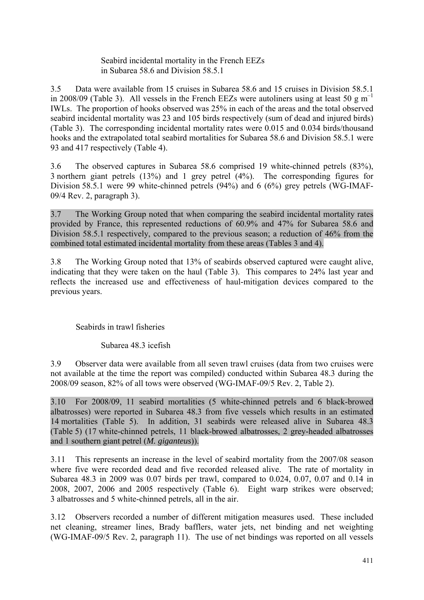Seabird incidental mortality in the French EEZs in Subarea 58.6 and Division 58.5.1

3.5 Data were available from 15 cruises in Subarea 58.6 and 15 cruises in Division 58.5.1 in 2008/09 (Table 3). All vessels in the French EEZs were autoliners using at least 50 g  $m^{-1}$ IWLs. The proportion of hooks observed was 25% in each of the areas and the total observed seabird incidental mortality was 23 and 105 birds respectively (sum of dead and injured birds) (Table 3). The corresponding incidental mortality rates were 0.015 and 0.034 birds/thousand hooks and the extrapolated total seabird mortalities for Subarea 58.6 and Division 58.5.1 were 93 and 417 respectively (Table 4).

3.6 The observed captures in Subarea 58.6 comprised 19 white-chinned petrels (83%), 3 northern giant petrels (13%) and 1 grey petrel (4%). The corresponding figures for Division 58.5.1 were 99 white-chinned petrels (94%) and 6 (6%) grey petrels (WG-IMAF-09/4 Rev. 2, paragraph 3).

3.7 The Working Group noted that when comparing the seabird incidental mortality rates provided by France, this represented reductions of 60.9% and 47% for Subarea 58.6 and Division 58.5.1 respectively, compared to the previous season; a reduction of 46% from the combined total estimated incidental mortality from these areas (Tables 3 and 4).

3.8 The Working Group noted that 13% of seabirds observed captured were caught alive, indicating that they were taken on the haul (Table 3). This compares to 24% last year and reflects the increased use and effectiveness of haul-mitigation devices compared to the previous years.

## Seabirds in trawl fisheries

Subarea 48.3 icefish

3.9 Observer data were available from all seven trawl cruises (data from two cruises were not available at the time the report was compiled) conducted within Subarea 48.3 during the 2008/09 season, 82% of all tows were observed (WG-IMAF-09/5 Rev. 2, Table 2).

3.10 For 2008/09, 11 seabird mortalities (5 white-chinned petrels and 6 black-browed albatrosses) were reported in Subarea 48.3 from five vessels which results in an estimated 14 mortalities (Table 5). In addition, 31 seabirds were released alive in Subarea 48.3 (Table 5) (17 white-chinned petrels, 11 black-browed albatrosses, 2 grey-headed albatrosses and 1 southern giant petrel (*M. giganteus*)).

3.11 This represents an increase in the level of seabird mortality from the 2007/08 season where five were recorded dead and five recorded released alive. The rate of mortality in Subarea 48.3 in 2009 was 0.07 birds per trawl, compared to 0.024, 0.07, 0.07 and 0.14 in 2008, 2007, 2006 and 2005 respectively (Table 6). Eight warp strikes were observed; 3 albatrosses and 5 white-chinned petrels, all in the air.

3.12 Observers recorded a number of different mitigation measures used. These included net cleaning, streamer lines, Brady bafflers, water jets, net binding and net weighting (WG-IMAF-09/5 Rev. 2, paragraph 11). The use of net bindings was reported on all vessels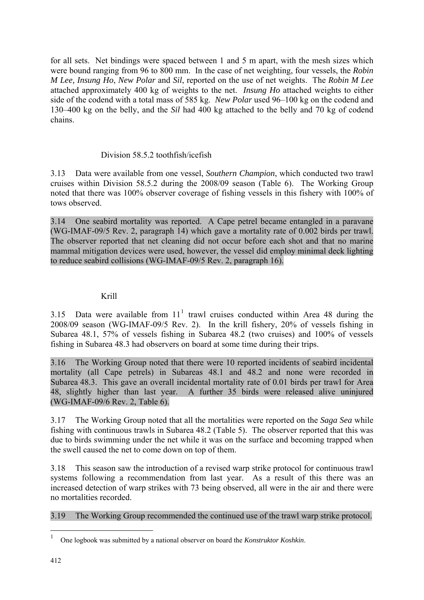for all sets. Net bindings were spaced between 1 and 5 m apart, with the mesh sizes which were bound ranging from 96 to 800 mm. In the case of net weighting, four vessels, the *Robin M Lee, Insung Ho*, *New Polar* and *Sil*, reported on the use of net weights. The *Robin M Lee* attached approximately 400 kg of weights to the net. *Insung Ho* attached weights to either side of the codend with a total mass of 585 kg. *New Polar* used 96–100 kg on the codend and 130–400 kg on the belly, and the *Sil* had 400 kg attached to the belly and 70 kg of codend chains.

## Division 58.5.2 toothfish/icefish

3.13 Data were available from one vessel, *Southern Champion*, which conducted two trawl cruises within Division 58.5.2 during the 2008/09 season (Table 6). The Working Group noted that there was 100% observer coverage of fishing vessels in this fishery with 100% of tows observed.

3.14 One seabird mortality was reported. A Cape petrel became entangled in a paravane (WG-IMAF-09/5 Rev. 2, paragraph 14) which gave a mortality rate of 0.002 birds per trawl. The observer reported that net cleaning did not occur before each shot and that no marine mammal mitigation devices were used, however, the vessel did employ minimal deck lighting to reduce seabird collisions (WG-IMAF-09/5 Rev. 2, paragraph 16).

## Krill

3.15 Data were available from  $11<sup>1</sup>$  trawl cruises conducted within Area 48 during the 2008/09 season (WG-IMAF-09/5 Rev. 2). In the krill fishery, 20% of vessels fishing in Subarea 48.1, 57% of vessels fishing in Subarea 48.2 (two cruises) and 100% of vessels fishing in Subarea 48.3 had observers on board at some time during their trips.

3.16 The Working Group noted that there were 10 reported incidents of seabird incidental mortality (all Cape petrels) in Subareas 48.1 and 48.2 and none were recorded in Subarea 48.3. This gave an overall incidental mortality rate of 0.01 birds per trawl for Area 48, slightly higher than last year. A further 35 birds were released alive uninjured (WG-IMAF-09/6 Rev. 2, Table 6).

3.17 The Working Group noted that all the mortalities were reported on the *Saga Sea* while fishing with continuous trawls in Subarea 48.2 (Table 5). The observer reported that this was due to birds swimming under the net while it was on the surface and becoming trapped when the swell caused the net to come down on top of them.

3.18 This season saw the introduction of a revised warp strike protocol for continuous trawl systems following a recommendation from last year. As a result of this there was an increased detection of warp strikes with 73 being observed, all were in the air and there were no mortalities recorded.

3.19 The Working Group recommended the continued use of the trawl warp strike protocol.

<u>.</u>

<sup>1</sup> One logbook was submitted by a national observer on board the *Konstruktor Koshkin*.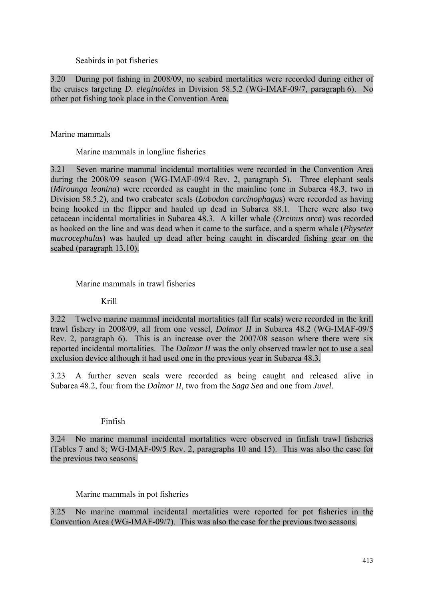Seabirds in pot fisheries

3.20 During pot fishing in 2008/09, no seabird mortalities were recorded during either of the cruises targeting *D. eleginoides* in Division 58.5.2 (WG-IMAF-09/7, paragraph 6). No other pot fishing took place in the Convention Area.

Marine mammals

Marine mammals in longline fisheries

3.21 Seven marine mammal incidental mortalities were recorded in the Convention Area during the 2008/09 season (WG-IMAF-09/4 Rev. 2, paragraph 5). Three elephant seals (*Mirounga leonina*) were recorded as caught in the mainline (one in Subarea 48.3, two in Division 58.5.2), and two crabeater seals (*Lobodon carcinophagus*) were recorded as having being hooked in the flipper and hauled up dead in Subarea 88.1. There were also two cetacean incidental mortalities in Subarea 48.3. A killer whale (*Orcinus orca*) was recorded as hooked on the line and was dead when it came to the surface, and a sperm whale (*Physeter macrocephalus*) was hauled up dead after being caught in discarded fishing gear on the seabed (paragraph 13.10).

## Marine mammals in trawl fisheries

#### Krill

3.22 Twelve marine mammal incidental mortalities (all fur seals) were recorded in the krill trawl fishery in 2008/09, all from one vessel, *Dalmor II* in Subarea 48.2 (WG-IMAF-09/5 Rev. 2, paragraph 6). This is an increase over the 2007/08 season where there were six reported incidental mortalities. The *Dalmor II* was the only observed trawler not to use a seal exclusion device although it had used one in the previous year in Subarea 48.3.

3.23 A further seven seals were recorded as being caught and released alive in Subarea 48.2, four from the *Dalmor II*, two from the *Saga Sea* and one from *Juvel*.

## Finfish

3.24 No marine mammal incidental mortalities were observed in finfish trawl fisheries (Tables 7 and 8; WG-IMAF-09/5 Rev. 2, paragraphs 10 and 15). This was also the case for the previous two seasons.

## Marine mammals in pot fisheries

3.25 No marine mammal incidental mortalities were reported for pot fisheries in the Convention Area (WG-IMAF-09/7). This was also the case for the previous two seasons.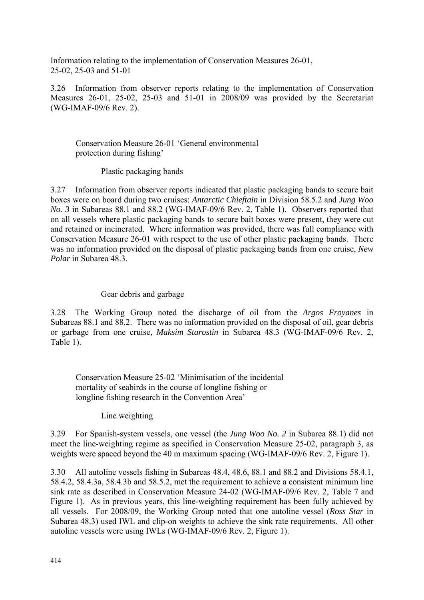Information relating to the implementation of Conservation Measures 26-01, 25-02, 25-03 and 51-01

3.26 Information from observer reports relating to the implementation of Conservation Measures 26-01, 25-02, 25-03 and 51-01 in 2008/09 was provided by the Secretariat (WG-IMAF-09/6 Rev. 2).

## Conservation Measure 26-01 'General environmental protection during fishing'

Plastic packaging bands

3.27 Information from observer reports indicated that plastic packaging bands to secure bait boxes were on board during two cruises: *Antarctic Chieftain* in Division 58.5.2 and *Jung Woo No. 3* in Subareas 88.1 and 88.2 (WG-IMAF-09/6 Rev. 2, Table 1). Observers reported that on all vessels where plastic packaging bands to secure bait boxes were present, they were cut and retained or incinerated. Where information was provided, there was full compliance with Conservation Measure 26-01 with respect to the use of other plastic packaging bands. There was no information provided on the disposal of plastic packaging bands from one cruise, *New Polar* in Subarea 48.3.

## Gear debris and garbage

3.28 The Working Group noted the discharge of oil from the *Argos Froyanes* in Subareas 88.1 and 88.2. There was no information provided on the disposal of oil, gear debris or garbage from one cruise, *Maksim Starostin* in Subarea 48.3 (WG-IMAF-09/6 Rev. 2, Table 1).

Conservation Measure 25-02 'Minimisation of the incidental mortality of seabirds in the course of longline fishing or longline fishing research in the Convention Area'

Line weighting

3.29 For Spanish-system vessels, one vessel (the *Jung Woo No. 2* in Subarea 88.1) did not meet the line-weighting regime as specified in Conservation Measure 25-02, paragraph 3, as weights were spaced beyond the 40 m maximum spacing (WG-IMAF-09/6 Rev. 2, Figure 1).

3.30 All autoline vessels fishing in Subareas 48.4, 48.6, 88.1 and 88.2 and Divisions 58.4.1, 58.4.2, 58.4.3a, 58.4.3b and 58.5.2, met the requirement to achieve a consistent minimum line sink rate as described in Conservation Measure 24-02 (WG-IMAF-09/6 Rev. 2, Table 7 and Figure 1). As in previous years, this line-weighting requirement has been fully achieved by all vessels. For 2008/09, the Working Group noted that one autoline vessel (*Ross Star* in Subarea 48.3) used IWL and clip-on weights to achieve the sink rate requirements. All other autoline vessels were using IWLs (WG-IMAF-09/6 Rev. 2, Figure 1).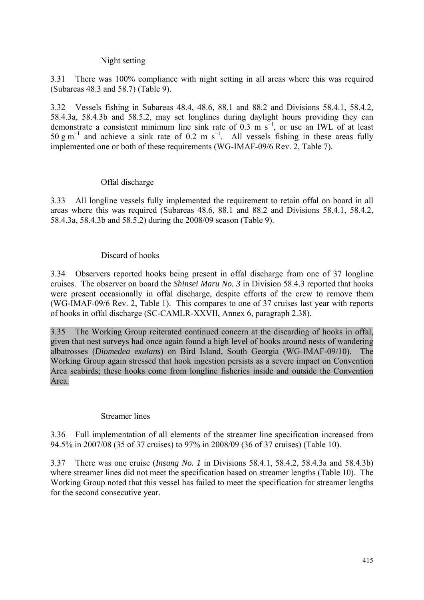## Night setting

3.31 There was 100% compliance with night setting in all areas where this was required (Subareas 48.3 and 58.7) (Table 9).

3.32 Vessels fishing in Subareas 48.4, 48.6, 88.1 and 88.2 and Divisions 58.4.1, 58.4.2, 58.4.3a, 58.4.3b and 58.5.2, may set longlines during daylight hours providing they can demonstrate a consistent minimum line sink rate of  $\overline{0.3}$  m  $\overline{s}^{-1}$ , or use an IWL of at least 50 g m<sup>-1</sup> and achieve a sink rate of 0.2 m s<sup>-1</sup>. All vessels fishing in these areas fully implemented one or both of these requirements (WG-IMAF-09/6 Rev. 2, Table 7).

## Offal discharge

3.33 All longline vessels fully implemented the requirement to retain offal on board in all areas where this was required (Subareas 48.6, 88.1 and 88.2 and Divisions 58.4.1, 58.4.2, 58.4.3a, 58.4.3b and 58.5.2) during the 2008/09 season (Table 9).

## Discard of hooks

3.34 Observers reported hooks being present in offal discharge from one of 37 longline cruises. The observer on board the *Shinsei Maru No. 3* in Division 58.4.3 reported that hooks were present occasionally in offal discharge, despite efforts of the crew to remove them (WG-IMAF-09/6 Rev. 2, Table 1). This compares to one of 37 cruises last year with reports of hooks in offal discharge (SC-CAMLR-XXVII, Annex 6, paragraph 2.38).

3.35 The Working Group reiterated continued concern at the discarding of hooks in offal, given that nest surveys had once again found a high level of hooks around nests of wandering albatrosses (*Diomedea exulans*) on Bird Island, South Georgia (WG-IMAF-09/10). The Working Group again stressed that hook ingestion persists as a severe impact on Convention Area seabirds; these hooks come from longline fisheries inside and outside the Convention Area.

#### Streamer lines

3.36 Full implementation of all elements of the streamer line specification increased from 94.5% in 2007/08 (35 of 37 cruises) to 97% in 2008/09 (36 of 37 cruises) (Table 10).

3.37 There was one cruise (*Insung No. 1* in Divisions 58.4.1, 58.4.2, 58.4.3a and 58.4.3b) where streamer lines did not meet the specification based on streamer lengths (Table 10). The Working Group noted that this vessel has failed to meet the specification for streamer lengths for the second consecutive year.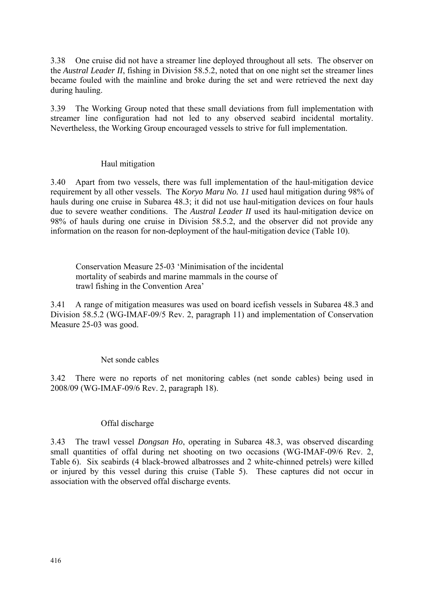3.38 One cruise did not have a streamer line deployed throughout all sets. The observer on the *Austral Leader II*, fishing in Division 58.5.2, noted that on one night set the streamer lines became fouled with the mainline and broke during the set and were retrieved the next day during hauling.

3.39 The Working Group noted that these small deviations from full implementation with streamer line configuration had not led to any observed seabird incidental mortality. Nevertheless, the Working Group encouraged vessels to strive for full implementation.

## Haul mitigation

3.40 Apart from two vessels, there was full implementation of the haul-mitigation device requirement by all other vessels. The *Koryo Maru No. 11* used haul mitigation during 98% of hauls during one cruise in Subarea 48.3; it did not use haul-mitigation devices on four hauls due to severe weather conditions. The *Austral Leader II* used its haul-mitigation device on 98% of hauls during one cruise in Division 58.5.2, and the observer did not provide any information on the reason for non-deployment of the haul-mitigation device (Table 10).

Conservation Measure 25-03 'Minimisation of the incidental mortality of seabirds and marine mammals in the course of trawl fishing in the Convention Area'

3.41 A range of mitigation measures was used on board icefish vessels in Subarea 48.3 and Division 58.5.2 (WG-IMAF-09/5 Rev. 2, paragraph 11) and implementation of Conservation Measure 25-03 was good.

#### Net sonde cables

3.42 There were no reports of net monitoring cables (net sonde cables) being used in 2008/09 (WG-IMAF-09/6 Rev. 2, paragraph 18).

## Offal discharge

3.43 The trawl vessel *Dongsan Ho*, operating in Subarea 48.3, was observed discarding small quantities of offal during net shooting on two occasions (WG-IMAF-09/6 Rev. 2, Table 6). Six seabirds (4 black-browed albatrosses and 2 white-chinned petrels) were killed or injured by this vessel during this cruise (Table 5). These captures did not occur in association with the observed offal discharge events.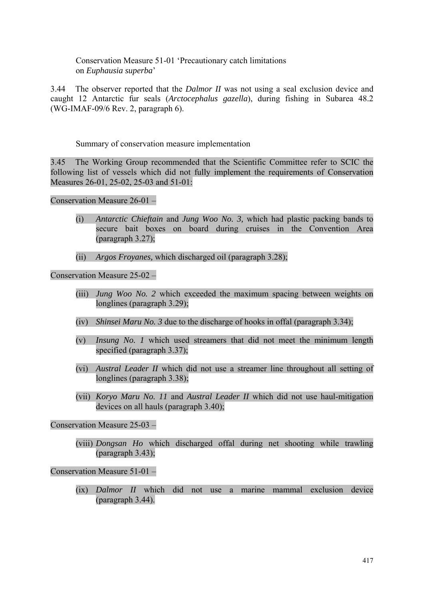Conservation Measure 51-01 'Precautionary catch limitations on *Euphausia superba*'

3.44 The observer reported that the *Dalmor II* was not using a seal exclusion device and caught 12 Antarctic fur seals (*Arctocephalus gazella*), during fishing in Subarea 48.2 (WG-IMAF-09/6 Rev. 2, paragraph 6).

Summary of conservation measure implementation

3.45 The Working Group recommended that the Scientific Committee refer to SCIC the following list of vessels which did not fully implement the requirements of Conservation Measures 26-01, 25-02, 25-03 and 51-01:

Conservation Measure 26-01 –

- (i) *Antarctic Chieftain* and *Jung Woo No. 3,* which had plastic packing bands to secure bait boxes on board during cruises in the Convention Area (paragraph 3.27);
- (ii) *Argos Froyanes,* which discharged oil (paragraph 3.28);

Conservation Measure 25-02 –

- (iii) *Jung Woo No. 2* which exceeded the maximum spacing between weights on longlines (paragraph 3.29);
- (iv) *Shinsei Maru No. 3* due to the discharge of hooks in offal (paragraph 3.34);
- (v) *Insung No. 1* which used streamers that did not meet the minimum length specified (paragraph 3.37);
- (vi) *Austral Leader II* which did not use a streamer line throughout all setting of longlines (paragraph 3.38);
- (vii) *Koryo Maru No. 11* and *Austral Leader II* which did not use haul-mitigation devices on all hauls (paragraph 3.40);

Conservation Measure 25-03 –

(viii) *Dongsan Ho* which discharged offal during net shooting while trawling (paragraph 3.43);

Conservation Measure 51-01 –

(ix) *Dalmor II* which did not use a marine mammal exclusion device (paragraph 3.44).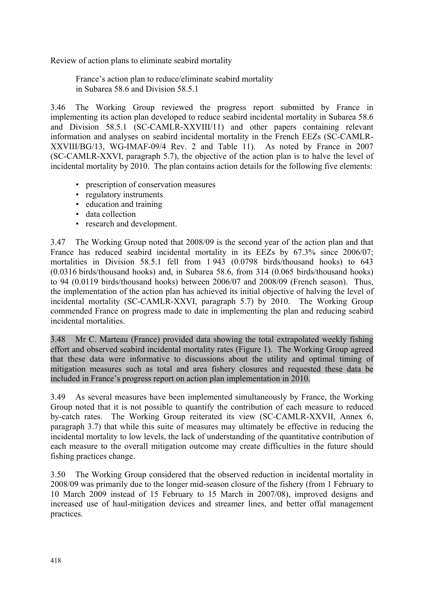Review of action plans to eliminate seabird mortality

France's action plan to reduce/eliminate seabird mortality in Subarea 58.6 and Division 58.5.1

3.46 The Working Group reviewed the progress report submitted by France in implementing its action plan developed to reduce seabird incidental mortality in Subarea 58.6 and Division 58.5.1 (SC-CAMLR-XXVIII/11) and other papers containing relevant information and analyses on seabird incidental mortality in the French EEZs (SC-CAMLR-XXVIII/BG/13, WG-IMAF-09/4 Rev. 2 and Table 11). As noted by France in 2007 (SC-CAMLR-XXVI, paragraph 5.7), the objective of the action plan is to halve the level of incidental mortality by 2010. The plan contains action details for the following five elements:

- prescription of conservation measures
- regulatory instruments
- education and training
- data collection
- research and development.

3.47 The Working Group noted that 2008/09 is the second year of the action plan and that France has reduced seabird incidental mortality in its EEZs by 67.3% since 2006/07; mortalities in Division 58.5.1 fell from 1 943 (0.0798 birds/thousand hooks) to 643 (0.0316 birds/thousand hooks) and, in Subarea 58.6, from 314 (0.065 birds/thousand hooks) to 94 (0.0119 birds/thousand hooks) between 2006/07 and 2008/09 (French season). Thus, the implementation of the action plan has achieved its initial objective of halving the level of incidental mortality (SC-CAMLR-XXVI, paragraph 5.7) by 2010. The Working Group commended France on progress made to date in implementing the plan and reducing seabird incidental mortalities.

3.48 Mr C. Marteau (France) provided data showing the total extrapolated weekly fishing effort and observed seabird incidental mortality rates (Figure 1). The Working Group agreed that these data were informative to discussions about the utility and optimal timing of mitigation measures such as total and area fishery closures and requested these data be included in France's progress report on action plan implementation in 2010.

3.49 As several measures have been implemented simultaneously by France, the Working Group noted that it is not possible to quantify the contribution of each measure to reduced by-catch rates. The Working Group reiterated its view (SC-CAMLR-XXVII, Annex 6, paragraph 3.7) that while this suite of measures may ultimately be effective in reducing the incidental mortality to low levels, the lack of understanding of the quantitative contribution of each measure to the overall mitigation outcome may create difficulties in the future should fishing practices change.

3.50 The Working Group considered that the observed reduction in incidental mortality in 2008/09 was primarily due to the longer mid-season closure of the fishery (from 1 February to 10 March 2009 instead of 15 February to 15 March in 2007/08), improved designs and increased use of haul-mitigation devices and streamer lines, and better offal management practices.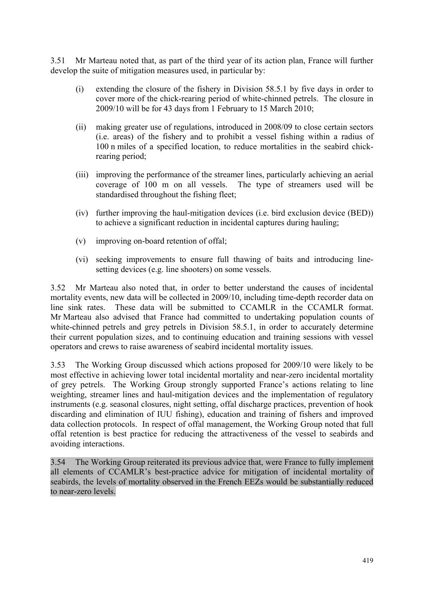3.51 Mr Marteau noted that, as part of the third year of its action plan, France will further develop the suite of mitigation measures used, in particular by:

- (i) extending the closure of the fishery in Division 58.5.1 by five days in order to cover more of the chick-rearing period of white-chinned petrels. The closure in 2009/10 will be for 43 days from 1 February to 15 March 2010;
- (ii) making greater use of regulations, introduced in 2008/09 to close certain sectors (i.e. areas) of the fishery and to prohibit a vessel fishing within a radius of 100 n miles of a specified location, to reduce mortalities in the seabird chickrearing period;
- (iii) improving the performance of the streamer lines, particularly achieving an aerial coverage of 100 m on all vessels. The type of streamers used will be standardised throughout the fishing fleet;
- (iv) further improving the haul-mitigation devices (i.e. bird exclusion device (BED)) to achieve a significant reduction in incidental captures during hauling;
- (v) improving on-board retention of offal;
- (vi) seeking improvements to ensure full thawing of baits and introducing linesetting devices (e.g. line shooters) on some vessels.

3.52 Mr Marteau also noted that, in order to better understand the causes of incidental mortality events, new data will be collected in 2009/10, including time-depth recorder data on line sink rates. These data will be submitted to CCAMLR in the CCAMLR format. Mr Marteau also advised that France had committed to undertaking population counts of white-chinned petrels and grey petrels in Division 58.5.1, in order to accurately determine their current population sizes, and to continuing education and training sessions with vessel operators and crews to raise awareness of seabird incidental mortality issues.

3.53 The Working Group discussed which actions proposed for 2009/10 were likely to be most effective in achieving lower total incidental mortality and near-zero incidental mortality of grey petrels. The Working Group strongly supported France's actions relating to line weighting, streamer lines and haul-mitigation devices and the implementation of regulatory instruments (e.g. seasonal closures, night setting, offal discharge practices, prevention of hook discarding and elimination of IUU fishing), education and training of fishers and improved data collection protocols. In respect of offal management, the Working Group noted that full offal retention is best practice for reducing the attractiveness of the vessel to seabirds and avoiding interactions.

3.54 The Working Group reiterated its previous advice that, were France to fully implement all elements of CCAMLR's best-practice advice for mitigation of incidental mortality of seabirds, the levels of mortality observed in the French EEZs would be substantially reduced to near-zero levels.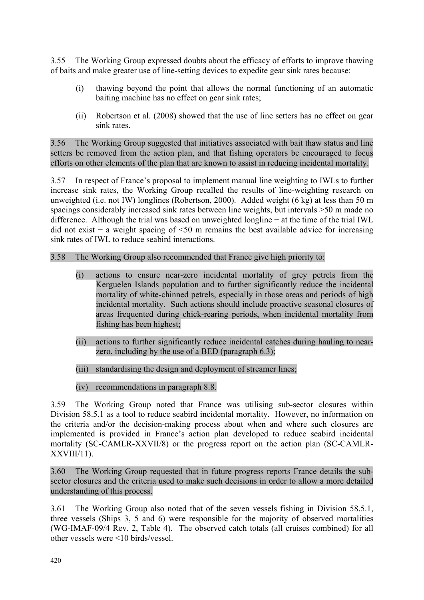3.55 The Working Group expressed doubts about the efficacy of efforts to improve thawing of baits and make greater use of line-setting devices to expedite gear sink rates because:

- (i) thawing beyond the point that allows the normal functioning of an automatic baiting machine has no effect on gear sink rates;
- (ii) Robertson et al. (2008) showed that the use of line setters has no effect on gear sink rates.

3.56 The Working Group suggested that initiatives associated with bait thaw status and line setters be removed from the action plan, and that fishing operators be encouraged to focus efforts on other elements of the plan that are known to assist in reducing incidental mortality.

3.57 In respect of France's proposal to implement manual line weighting to IWLs to further increase sink rates, the Working Group recalled the results of line-weighting research on unweighted (i.e. not IW) longlines (Robertson, 2000). Added weight (6 kg) at less than 50 m spacings considerably increased sink rates between line weights, but intervals >50 m made no difference. Although the trial was based on unweighted longline − at the time of the trial IWL did not exist − a weight spacing of <50 m remains the best available advice for increasing sink rates of IWL to reduce seabird interactions.

#### 3.58 The Working Group also recommended that France give high priority to:

- (i) actions to ensure near-zero incidental mortality of grey petrels from the Kerguelen Islands population and to further significantly reduce the incidental mortality of white-chinned petrels, especially in those areas and periods of high incidental mortality. Such actions should include proactive seasonal closures of areas frequented during chick-rearing periods, when incidental mortality from fishing has been highest;
- (ii) actions to further significantly reduce incidental catches during hauling to nearzero, including by the use of a BED (paragraph 6.3);
- (iii) standardising the design and deployment of streamer lines;
- (iv) recommendations in paragraph 8.8.

3.59 The Working Group noted that France was utilising sub-sector closures within Division 58.5.1 as a tool to reduce seabird incidental mortality. However, no information on the criteria and/or the decision-making process about when and where such closures are implemented is provided in France's action plan developed to reduce seabird incidental mortality (SC-CAMLR-XXVII/8) or the progress report on the action plan (SC-CAMLR-XXVIII/11).

3.60 The Working Group requested that in future progress reports France details the subsector closures and the criteria used to make such decisions in order to allow a more detailed understanding of this process.

3.61 The Working Group also noted that of the seven vessels fishing in Division 58.5.1, three vessels (Ships 3, 5 and 6) were responsible for the majority of observed mortalities (WG-IMAF-09/4 Rev. 2, Table 4). The observed catch totals (all cruises combined) for all other vessels were <10 birds/vessel.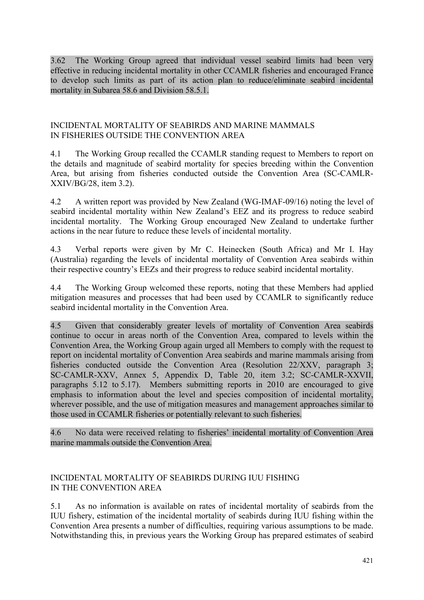<span id="page-16-0"></span>3.62 The Working Group agreed that individual vessel seabird limits had been very effective in reducing incidental mortality in other CCAMLR fisheries and encouraged France to develop such limits as part of its action plan to reduce/eliminate seabird incidental mortality in Subarea 58.6 and Division 58.5.1.

## INCIDENTAL MORTALITY OF SEABIRDS AND MARINE MAMMALS IN FISHERIES OUTSIDE THE CONVENTION AREA

4.1 The Working Group recalled the CCAMLR standing request to Members to report on the details and magnitude of seabird mortality for species breeding within the Convention Area, but arising from fisheries conducted outside the Convention Area (SC-CAMLR-XXIV/BG/28, item 3.2).

4.2 A written report was provided by New Zealand (WG-IMAF-09/16) noting the level of seabird incidental mortality within New Zealand's EEZ and its progress to reduce seabird incidental mortality. The Working Group encouraged New Zealand to undertake further actions in the near future to reduce these levels of incidental mortality.

4.3 Verbal reports were given by Mr C. Heinecken (South Africa) and Mr I. Hay (Australia) regarding the levels of incidental mortality of Convention Area seabirds within their respective country's EEZs and their progress to reduce seabird incidental mortality.

4.4 The Working Group welcomed these reports, noting that these Members had applied mitigation measures and processes that had been used by CCAMLR to significantly reduce seabird incidental mortality in the Convention Area.

4.5 Given that considerably greater levels of mortality of Convention Area seabirds continue to occur in areas north of the Convention Area, compared to levels within the Convention Area, the Working Group again urged all Members to comply with the request to report on incidental mortality of Convention Area seabirds and marine mammals arising from fisheries conducted outside the Convention Area (Resolution 22/XXV, paragraph 3; SC-CAMLR-XXV, Annex 5, Appendix D, Table 20, item 3.2; SC-CAMLR-XXVII, paragraphs 5.12 to 5.17). Members submitting reports in 2010 are encouraged to give emphasis to information about the level and species composition of incidental mortality, wherever possible, and the use of mitigation measures and management approaches similar to those used in CCAMLR fisheries or potentially relevant to such fisheries.

4.6 No data were received relating to fisheries' incidental mortality of Convention Area marine mammals outside the Convention Area.

## INCIDENTAL MORTALITY OF SEABIRDS DURING IUU FISHING IN THE CONVENTION AREA

5.1 As no information is available on rates of incidental mortality of seabirds from the IUU fishery, estimation of the incidental mortality of seabirds during IUU fishing within the Convention Area presents a number of difficulties, requiring various assumptions to be made. Notwithstanding this, in previous years the Working Group has prepared estimates of seabird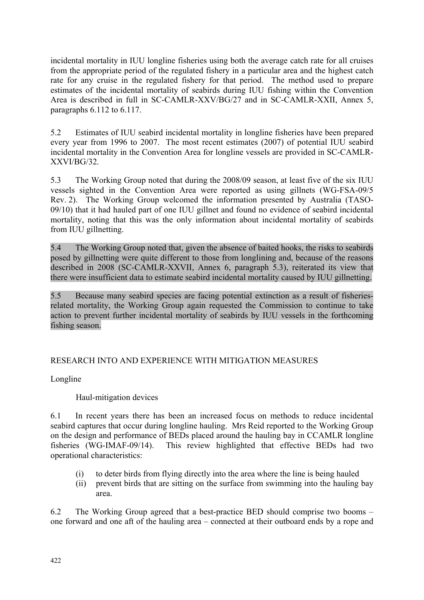<span id="page-17-0"></span>incidental mortality in IUU longline fisheries using both the average catch rate for all cruises from the appropriate period of the regulated fishery in a particular area and the highest catch rate for any cruise in the regulated fishery for that period. The method used to prepare estimates of the incidental mortality of seabirds during IUU fishing within the Convention Area is described in full in SC-CAMLR-XXV/BG/27 and in SC-CAMLR-XXII, Annex 5, paragraphs 6.112 to 6.117.

5.2 Estimates of IUU seabird incidental mortality in longline fisheries have been prepared every year from 1996 to 2007. The most recent estimates (2007) of potential IUU seabird incidental mortality in the Convention Area for longline vessels are provided in SC-CAMLR-XXVI/BG/32.

5.3 The Working Group noted that during the 2008/09 season, at least five of the six IUU vessels sighted in the Convention Area were reported as using gillnets (WG-FSA-09/5 Rev. 2). The Working Group welcomed the information presented by Australia (TASO-09/10) that it had hauled part of one IUU gillnet and found no evidence of seabird incidental mortality, noting that this was the only information about incidental mortality of seabirds from IUU gillnetting.

5.4 The Working Group noted that, given the absence of baited hooks, the risks to seabirds posed by gillnetting were quite different to those from longlining and, because of the reasons described in 2008 (SC-CAMLR-XXVII, Annex 6, paragraph 5.3), reiterated its view that there were insufficient data to estimate seabird incidental mortality caused by IUU gillnetting.

5.5 Because many seabird species are facing potential extinction as a result of fisheriesrelated mortality, the Working Group again requested the Commission to continue to take action to prevent further incidental mortality of seabirds by IUU vessels in the forthcoming fishing season.

## RESEARCH INTO AND EXPERIENCE WITH MITIGATION MEASURES

Longline

## Haul-mitigation devices

6.1 In recent years there has been an increased focus on methods to reduce incidental seabird captures that occur during longline hauling. Mrs Reid reported to the Working Group on the design and performance of BEDs placed around the hauling bay in CCAMLR longline fisheries (WG-IMAF-09/14). This review highlighted that effective BEDs had two operational characteristics:

- (i) to deter birds from flying directly into the area where the line is being hauled
- (ii) prevent birds that are sitting on the surface from swimming into the hauling bay area.

6.2 The Working Group agreed that a best-practice BED should comprise two booms – one forward and one aft of the hauling area – connected at their outboard ends by a rope and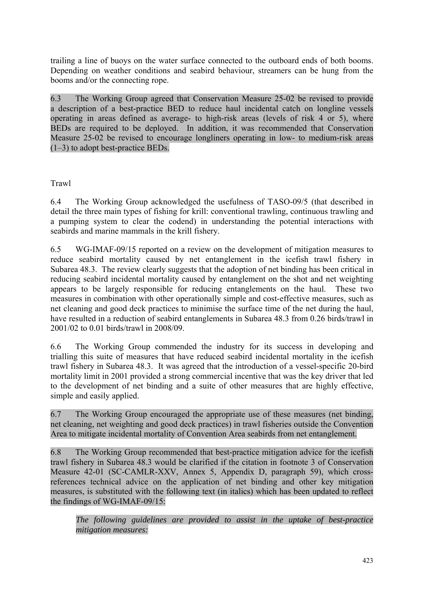trailing a line of buoys on the water surface connected to the outboard ends of both booms. Depending on weather conditions and seabird behaviour, streamers can be hung from the booms and/or the connecting rope.

6.3 The Working Group agreed that Conservation Measure 25-02 be revised to provide a description of a best-practice BED to reduce haul incidental catch on longline vessels operating in areas defined as average- to high-risk areas (levels of risk 4 or 5), where BEDs are required to be deployed. In addition, it was recommended that Conservation Measure 25-02 be revised to encourage longliners operating in low- to medium-risk areas (1–3) to adopt best-practice BEDs.

Trawl

6.4 The Working Group acknowledged the usefulness of TASO-09/5 (that described in detail the three main types of fishing for krill: conventional trawling, continuous trawling and a pumping system to clear the codend) in understanding the potential interactions with seabirds and marine mammals in the krill fishery.

6.5 WG-IMAF-09/15 reported on a review on the development of mitigation measures to reduce seabird mortality caused by net entanglement in the icefish trawl fishery in Subarea 48.3. The review clearly suggests that the adoption of net binding has been critical in reducing seabird incidental mortality caused by entanglement on the shot and net weighting appears to be largely responsible for reducing entanglements on the haul. These two measures in combination with other operationally simple and cost-effective measures, such as net cleaning and good deck practices to minimise the surface time of the net during the haul, have resulted in a reduction of seabird entanglements in Subarea 48.3 from 0.26 birds/trawl in 2001/02 to 0.01 birds/trawl in 2008/09.

6.6 The Working Group commended the industry for its success in developing and trialling this suite of measures that have reduced seabird incidental mortality in the icefish trawl fishery in Subarea 48.3. It was agreed that the introduction of a vessel-specific 20-bird mortality limit in 2001 provided a strong commercial incentive that was the key driver that led to the development of net binding and a suite of other measures that are highly effective, simple and easily applied.

6.7 The Working Group encouraged the appropriate use of these measures (net binding, net cleaning, net weighting and good deck practices) in trawl fisheries outside the Convention Area to mitigate incidental mortality of Convention Area seabirds from net entanglement.

6.8 The Working Group recommended that best-practice mitigation advice for the icefish trawl fishery in Subarea 48.3 would be clarified if the citation in footnote 3 of Conservation Measure 42-01 (SC-CAMLR-XXV, Annex 5, Appendix D, paragraph 59), which crossreferences technical advice on the application of net binding and other key mitigation measures, is substituted with the following text (in italics) which has been updated to reflect the findings of WG-IMAF-09/15:

*The following guidelines are provided to assist in the uptake of best-practice mitigation measures:*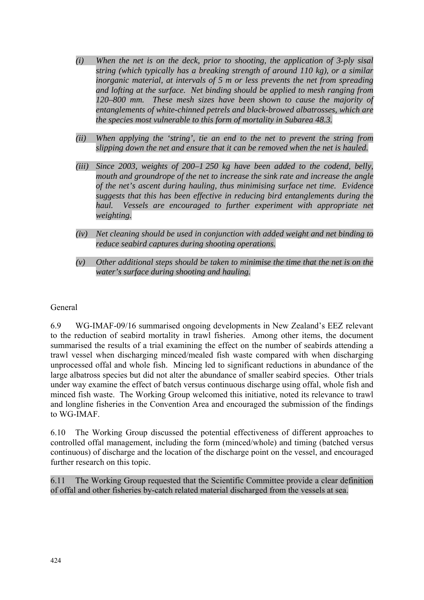- *(i) When the net is on the deck, prior to shooting, the application of 3-ply sisal string (which typically has a breaking strength of around 110 kg), or a similar inorganic material, at intervals of 5 m or less prevents the net from spreading and lofting at the surface. Net binding should be applied to mesh ranging from 120–800 mm. These mesh sizes have been shown to cause the majority of entanglements of white-chinned petrels and black-browed albatrosses, which are the species most vulnerable to this form of mortality in Subarea 48.3.*
- *(ii) When applying the 'string', tie an end to the net to prevent the string from slipping down the net and ensure that it can be removed when the net is hauled.*
- *(iii) Since 2003, weights of 200–1 250 kg have been added to the codend, belly, mouth and groundrope of the net to increase the sink rate and increase the angle of the net's ascent during hauling, thus minimising surface net time. Evidence suggests that this has been effective in reducing bird entanglements during the haul.* Vessels are encouraged to further experiment with appropriate net *weighting.*
- *(iv) Net cleaning should be used in conjunction with added weight and net binding to reduce seabird captures during shooting operations.*
- *(v) Other additional steps should be taken to minimise the time that the net is on the water's surface during shooting and hauling.*

## General

6.9 WG-IMAF-09/16 summarised ongoing developments in New Zealand's EEZ relevant to the reduction of seabird mortality in trawl fisheries. Among other items, the document summarised the results of a trial examining the effect on the number of seabirds attending a trawl vessel when discharging minced/mealed fish waste compared with when discharging unprocessed offal and whole fish. Mincing led to significant reductions in abundance of the large albatross species but did not alter the abundance of smaller seabird species. Other trials under way examine the effect of batch versus continuous discharge using offal, whole fish and minced fish waste. The Working Group welcomed this initiative, noted its relevance to trawl and longline fisheries in the Convention Area and encouraged the submission of the findings to WG-IMAF.

6.10 The Working Group discussed the potential effectiveness of different approaches to controlled offal management, including the form (minced/whole) and timing (batched versus continuous) of discharge and the location of the discharge point on the vessel, and encouraged further research on this topic.

6.11 The Working Group requested that the Scientific Committee provide a clear definition of offal and other fisheries by-catch related material discharged from the vessels at sea.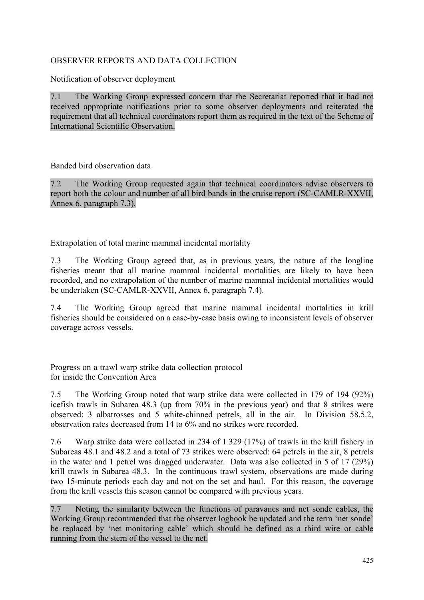## <span id="page-20-0"></span>OBSERVER REPORTS AND DATA COLLECTION

Notification of observer deployment

7.1 The Working Group expressed concern that the Secretariat reported that it had not received appropriate notifications prior to some observer deployments and reiterated the requirement that all technical coordinators report them as required in the text of the Scheme of International Scientific Observation.

Banded bird observation data

7.2 The Working Group requested again that technical coordinators advise observers to report both the colour and number of all bird bands in the cruise report (SC-CAMLR-XXVII, Annex 6, paragraph 7.3).

Extrapolation of total marine mammal incidental mortality

7.3 The Working Group agreed that, as in previous years, the nature of the longline fisheries meant that all marine mammal incidental mortalities are likely to have been recorded, and no extrapolation of the number of marine mammal incidental mortalities would be undertaken (SC-CAMLR-XXVII, Annex 6, paragraph 7.4).

7.4 The Working Group agreed that marine mammal incidental mortalities in krill fisheries should be considered on a case-by-case basis owing to inconsistent levels of observer coverage across vessels.

Progress on a trawl warp strike data collection protocol for inside the Convention Area

7.5 The Working Group noted that warp strike data were collected in 179 of 194 (92%) icefish trawls in Subarea 48.3 (up from 70% in the previous year) and that 8 strikes were observed: 3 albatrosses and 5 white-chinned petrels, all in the air. In Division 58.5.2, observation rates decreased from 14 to 6% and no strikes were recorded.

7.6 Warp strike data were collected in 234 of 1 329 (17%) of trawls in the krill fishery in Subareas 48.1 and 48.2 and a total of 73 strikes were observed: 64 petrels in the air, 8 petrels in the water and 1 petrel was dragged underwater. Data was also collected in 5 of 17 (29%) krill trawls in Subarea 48.3. In the continuous trawl system, observations are made during two 15-minute periods each day and not on the set and haul. For this reason, the coverage from the krill vessels this season cannot be compared with previous years.

7.7 Noting the similarity between the functions of paravanes and net sonde cables, the Working Group recommended that the observer logbook be updated and the term 'net sonde' be replaced by 'net monitoring cable' which should be defined as a third wire or cable running from the stern of the vessel to the net.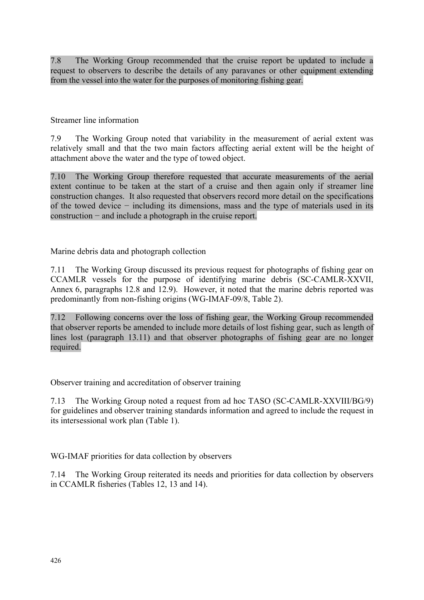7.8 The Working Group recommended that the cruise report be updated to include a request to observers to describe the details of any paravanes or other equipment extending from the vessel into the water for the purposes of monitoring fishing gear.

Streamer line information

7.9 The Working Group noted that variability in the measurement of aerial extent was relatively small and that the two main factors affecting aerial extent will be the height of attachment above the water and the type of towed object.

7.10 The Working Group therefore requested that accurate measurements of the aerial extent continue to be taken at the start of a cruise and then again only if streamer line construction changes. It also requested that observers record more detail on the specifications of the towed device − including its dimensions, mass and the type of materials used in its construction − and include a photograph in the cruise report.

Marine debris data and photograph collection

7.11 The Working Group discussed its previous request for photographs of fishing gear on CCAMLR vessels for the purpose of identifying marine debris (SC-CAMLR-XXVII, Annex 6, paragraphs 12.8 and 12.9). However, it noted that the marine debris reported was predominantly from non-fishing origins (WG-IMAF-09/8, Table 2).

7.12 Following concerns over the loss of fishing gear, the Working Group recommended that observer reports be amended to include more details of lost fishing gear, such as length of lines lost (paragraph 13.11) and that observer photographs of fishing gear are no longer required.

Observer training and accreditation of observer training

7.13 The Working Group noted a request from ad hoc TASO (SC-CAMLR-XXVIII/BG/9) for guidelines and observer training standards information and agreed to include the request in its intersessional work plan (Table 1).

WG-IMAF priorities for data collection by observers

7.14 The Working Group reiterated its needs and priorities for data collection by observers in CCAMLR fisheries (Tables 12, 13 and 14).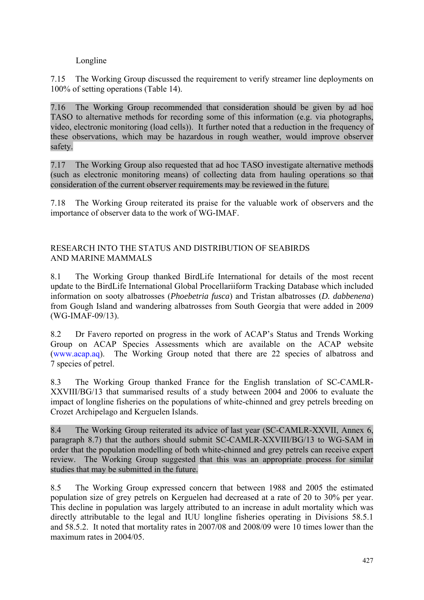## Longline

<span id="page-22-0"></span>7.15 The Working Group discussed the requirement to verify streamer line deployments on 100% of setting operations (Table 14).

7.16 The Working Group recommended that consideration should be given by ad hoc TASO to alternative methods for recording some of this information (e.g. via photographs, video, electronic monitoring (load cells)). It further noted that a reduction in the frequency of these observations, which may be hazardous in rough weather, would improve observer safety.

7.17 The Working Group also requested that ad hoc TASO investigate alternative methods (such as electronic monitoring means) of collecting data from hauling operations so that consideration of the current observer requirements may be reviewed in the future.

7.18 The Working Group reiterated its praise for the valuable work of observers and the importance of observer data to the work of WG-IMAF.

## RESEARCH INTO THE STATUS AND DISTRIBUTION OF SEABIRDS AND MARINE MAMMALS

8.1 The Working Group thanked BirdLife International for details of the most recent update to the BirdLife International Global Procellariiform Tracking Database which included information on sooty albatrosses (*Phoebetria fusca*) and Tristan albatrosses (*D. dabbenena*) from Gough Island and wandering albatrosses from South Georgia that were added in 2009 (WG-IMAF-09/13).

8.2 Dr Favero reported on progress in the work of ACAP's Status and Trends Working Group on ACAP Species Assessments which are available on the ACAP website (www.acap.aq). The Working Group noted that there are 22 species of albatross and 7 species of petrel.

8.3 The Working Group thanked France for the English translation of SC-CAMLR-XXVIII/BG/13 that summarised results of a study between 2004 and 2006 to evaluate the impact of longline fisheries on the populations of white-chinned and grey petrels breeding on Crozet Archipelago and Kerguelen Islands.

8.4 The Working Group reiterated its advice of last year (SC-CAMLR-XXVII, Annex 6, paragraph 8.7) that the authors should submit SC-CAMLR-XXVIII/BG/13 to WG-SAM in order that the population modelling of both white-chinned and grey petrels can receive expert review. The Working Group suggested that this was an appropriate process for similar studies that may be submitted in the future.

8.5 The Working Group expressed concern that between 1988 and 2005 the estimated population size of grey petrels on Kerguelen had decreased at a rate of 20 to 30% per year. This decline in population was largely attributed to an increase in adult mortality which was directly attributable to the legal and IUU longline fisheries operating in Divisions 58.5.1 and 58.5.2. It noted that mortality rates in 2007/08 and 2008/09 were 10 times lower than the maximum rates in 2004/05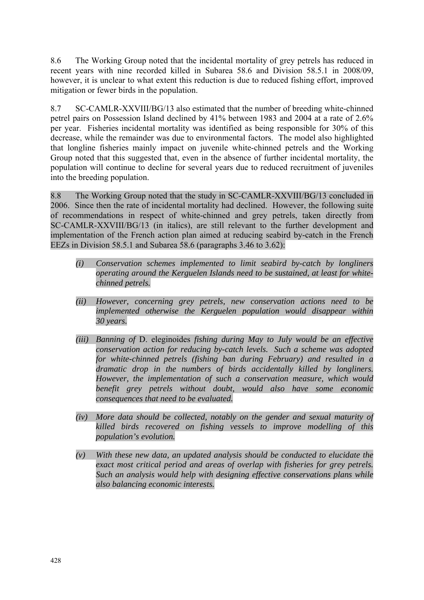8.6 The Working Group noted that the incidental mortality of grey petrels has reduced in recent years with nine recorded killed in Subarea 58.6 and Division 58.5.1 in 2008/09, however, it is unclear to what extent this reduction is due to reduced fishing effort, improved mitigation or fewer birds in the population.

8.7 SC-CAMLR-XXVIII/BG/13 also estimated that the number of breeding white-chinned petrel pairs on Possession Island declined by 41% between 1983 and 2004 at a rate of 2.6% per year. Fisheries incidental mortality was identified as being responsible for 30% of this decrease, while the remainder was due to environmental factors. The model also highlighted that longline fisheries mainly impact on juvenile white-chinned petrels and the Working Group noted that this suggested that, even in the absence of further incidental mortality, the population will continue to decline for several years due to reduced recruitment of juveniles into the breeding population.

8.8 The Working Group noted that the study in SC-CAMLR-XXVIII/BG/13 concluded in 2006. Since then the rate of incidental mortality had declined. However, the following suite of recommendations in respect of white-chinned and grey petrels, taken directly from SC-CAMLR-XXVIII/BG/13 (in italics), are still relevant to the further development and implementation of the French action plan aimed at reducing seabird by-catch in the French EEZs in Division 58.5.1 and Subarea 58.6 (paragraphs 3.46 to 3.62):

- *(i) Conservation schemes implemented to limit seabird by-catch by longliners operating around the Kerguelen Islands need to be sustained, at least for whitechinned petrels.*
- *(ii) However, concerning grey petrels, new conservation actions need to be implemented otherwise the Kerguelen population would disappear within 30 years.*
- *(iii) Banning of* D. eleginoides *fishing during May to July would be an effective conservation action for reducing by-catch levels. Such a scheme was adopted for white-chinned petrels (fishing ban during February) and resulted in a dramatic drop in the numbers of birds accidentally killed by longliners. However, the implementation of such a conservation measure, which would benefit grey petrels without doubt, would also have some economic consequences that need to be evaluated.*
- *(iv) More data should be collected, notably on the gender and sexual maturity of killed birds recovered on fishing vessels to improve modelling of this population's evolution.*
- *(v) With these new data, an updated analysis should be conducted to elucidate the exact most critical period and areas of overlap with fisheries for grey petrels. Such an analysis would help with designing effective conservations plans while also balancing economic interests.*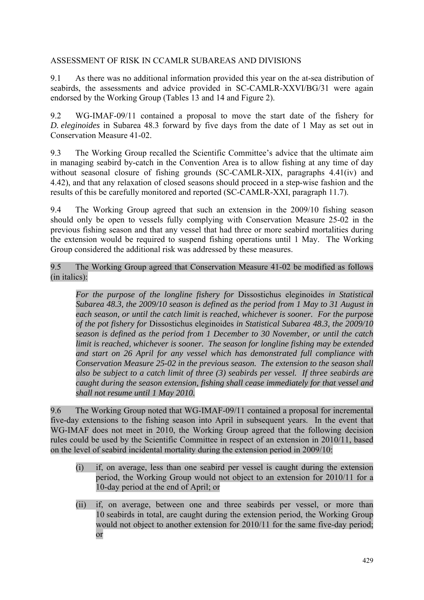## <span id="page-24-0"></span>ASSESSMENT OF RISK IN CCAMLR SUBAREAS AND DIVISIONS

9.1 As there was no additional information provided this year on the at-sea distribution of seabirds, the assessments and advice provided in SC-CAMLR-XXVI/BG/31 were again endorsed by the Working Group (Tables 13 and 14 and Figure 2).

9.2 WG-IMAF-09/11 contained a proposal to move the start date of the fishery for *D. eleginoides* in Subarea 48.3 forward by five days from the date of 1 May as set out in Conservation Measure 41-02.

9.3 The Working Group recalled the Scientific Committee's advice that the ultimate aim in managing seabird by-catch in the Convention Area is to allow fishing at any time of day without seasonal closure of fishing grounds (SC-CAMLR-XIX, paragraphs 4.41(iv) and 4.42), and that any relaxation of closed seasons should proceed in a step-wise fashion and the results of this be carefully monitored and reported (SC-CAMLR-XXI, paragraph 11.7).

9.4 The Working Group agreed that such an extension in the 2009/10 fishing season should only be open to vessels fully complying with Conservation Measure 25-02 in the previous fishing season and that any vessel that had three or more seabird mortalities during the extension would be required to suspend fishing operations until 1 May. The Working Group considered the additional risk was addressed by these measures.

9.5 The Working Group agreed that Conservation Measure 41-02 be modified as follows (in italics):

*For the purpose of the longline fishery for* Dissostichus eleginoides *in Statistical Subarea 48.3, the 2009/10 season is defined as the period from 1 May to 31 August in each season, or until the catch limit is reached, whichever is sooner. For the purpose of the pot fishery for* Dissostichus eleginoides *in Statistical Subarea 48.3, the 2009/10 season is defined as the period from 1 December to 30 November, or until the catch limit is reached, whichever is sooner. The season for longline fishing may be extended and start on 26 April for any vessel which has demonstrated full compliance with Conservation Measure 25-02 in the previous season. The extension to the season shall also be subject to a catch limit of three (3) seabirds per vessel. If three seabirds are caught during the season extension, fishing shall cease immediately for that vessel and shall not resume until 1 May 2010.* 

9.6 The Working Group noted that WG-IMAF-09/11 contained a proposal for incremental five-day extensions to the fishing season into April in subsequent years. In the event that WG-IMAF does not meet in 2010, the Working Group agreed that the following decision rules could be used by the Scientific Committee in respect of an extension in 2010/11, based on the level of seabird incidental mortality during the extension period in 2009/10:

- (i) if, on average, less than one seabird per vessel is caught during the extension period, the Working Group would not object to an extension for 2010/11 for a 10-day period at the end of April; or
- (ii) if, on average, between one and three seabirds per vessel, or more than 10 seabirds in total, are caught during the extension period, the Working Group would not object to another extension for 2010/11 for the same five-day period; or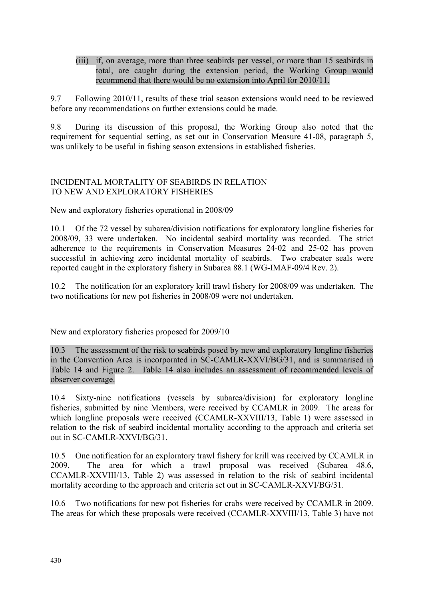<span id="page-25-0"></span>(iii) if, on average, more than three seabirds per vessel, or more than 15 seabirds in total, are caught during the extension period, the Working Group would recommend that there would be no extension into April for 2010/11.

9.7 Following 2010/11, results of these trial season extensions would need to be reviewed before any recommendations on further extensions could be made.

9.8 During its discussion of this proposal, the Working Group also noted that the requirement for sequential setting, as set out in Conservation Measure 41-08, paragraph 5, was unlikely to be useful in fishing season extensions in established fisheries.

## INCIDENTAL MORTALITY OF SEABIRDS IN RELATION TO NEW AND EXPLORATORY FISHERIES

New and exploratory fisheries operational in 2008/09

10.1 Of the 72 vessel by subarea/division notifications for exploratory longline fisheries for 2008/09, 33 were undertaken. No incidental seabird mortality was recorded. The strict adherence to the requirements in Conservation Measures 24-02 and 25-02 has proven successful in achieving zero incidental mortality of seabirds. Two crabeater seals were reported caught in the exploratory fishery in Subarea 88.1 (WG-IMAF-09/4 Rev. 2).

10.2 The notification for an exploratory krill trawl fishery for 2008/09 was undertaken. The two notifications for new pot fisheries in 2008/09 were not undertaken.

New and exploratory fisheries proposed for 2009/10

10.3 The assessment of the risk to seabirds posed by new and exploratory longline fisheries in the Convention Area is incorporated in SC-CAMLR-XXVI/BG/31, and is summarised in Table 14 and Figure 2. Table 14 also includes an assessment of recommended levels of observer coverage.

10.4 Sixty-nine notifications (vessels by subarea/division) for exploratory longline fisheries, submitted by nine Members, were received by CCAMLR in 2009. The areas for which longline proposals were received (CCAMLR-XXVIII/13, Table 1) were assessed in relation to the risk of seabird incidental mortality according to the approach and criteria set out in SC-CAMLR-XXVI/BG/31.

10.5 One notification for an exploratory trawl fishery for krill was received by CCAMLR in 2009. The area for which a trawl proposal was received (Subarea 48.6, CCAMLR-XXVIII/13, Table 2) was assessed in relation to the risk of seabird incidental mortality according to the approach and criteria set out in SC-CAMLR-XXVI/BG/31.

10.6 Two notifications for new pot fisheries for crabs were received by CCAMLR in 2009. The areas for which these proposals were received (CCAMLR-XXVIII/13, Table 3) have not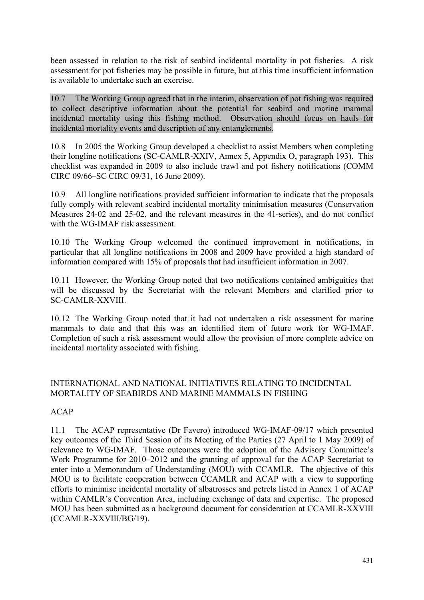<span id="page-26-0"></span>been assessed in relation to the risk of seabird incidental mortality in pot fisheries. A risk assessment for pot fisheries may be possible in future, but at this time insufficient information is available to undertake such an exercise.

10.7 The Working Group agreed that in the interim, observation of pot fishing was required to collect descriptive information about the potential for seabird and marine mammal incidental mortality using this fishing method. Observation should focus on hauls for incidental mortality events and description of any entanglements.

10.8 In 2005 the Working Group developed a checklist to assist Members when completing their longline notifications (SC-CAMLR-XXIV, Annex 5, Appendix O, paragraph 193). This checklist was expanded in 2009 to also include trawl and pot fishery notifications (COMM CIRC 09/66–SC CIRC 09/31, 16 June 2009).

10.9 All longline notifications provided sufficient information to indicate that the proposals fully comply with relevant seabird incidental mortality minimisation measures (Conservation Measures 24-02 and 25-02, and the relevant measures in the 41-series), and do not conflict with the WG-IMAF risk assessment.

10.10 The Working Group welcomed the continued improvement in notifications, in particular that all longline notifications in 2008 and 2009 have provided a high standard of information compared with 15% of proposals that had insufficient information in 2007.

10.11 However, the Working Group noted that two notifications contained ambiguities that will be discussed by the Secretariat with the relevant Members and clarified prior to SC-CAMLR-XXVIII.

10.12 The Working Group noted that it had not undertaken a risk assessment for marine mammals to date and that this was an identified item of future work for WG-IMAF. Completion of such a risk assessment would allow the provision of more complete advice on incidental mortality associated with fishing.

## INTERNATIONAL AND NATIONAL INITIATIVES RELATING TO INCIDENTAL MORTALITY OF SEABIRDS AND MARINE MAMMALS IN FISHING

# ACAP

11.1 The ACAP representative (Dr Favero) introduced WG-IMAF-09/17 which presented key outcomes of the Third Session of its Meeting of the Parties (27 April to 1 May 2009) of relevance to WG-IMAF. Those outcomes were the adoption of the Advisory Committee's Work Programme for 2010–2012 and the granting of approval for the ACAP Secretariat to enter into a Memorandum of Understanding (MOU) with CCAMLR. The objective of this MOU is to facilitate cooperation between CCAMLR and ACAP with a view to supporting efforts to minimise incidental mortality of albatrosses and petrels listed in Annex 1 of ACAP within CAMLR's Convention Area, including exchange of data and expertise. The proposed MOU has been submitted as a background document for consideration at CCAMLR-XXVIII (CCAMLR-XXVIII/BG/19).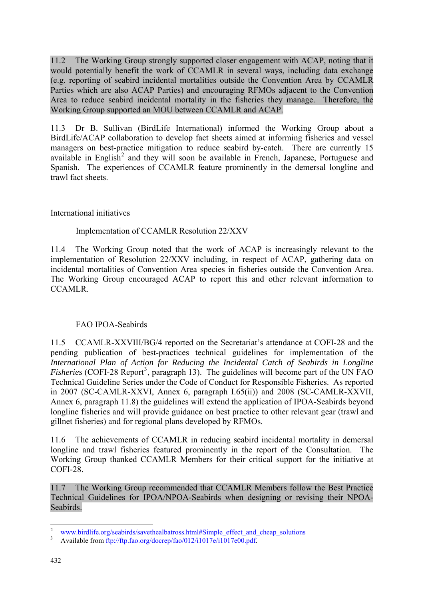11.2 The Working Group strongly supported closer engagement with ACAP, noting that it would potentially benefit the work of CCAMLR in several ways, including data exchange (e.g. reporting of seabird incidental mortalities outside the Convention Area by CCAMLR Parties which are also ACAP Parties) and encouraging RFMOs adjacent to the Convention Area to reduce seabird incidental mortality in the fisheries they manage. Therefore, the Working Group supported an MOU between CCAMLR and ACAP.

11.3 Dr B. Sullivan (BirdLife International) informed the Working Group about a BirdLife/ACAP collaboration to develop fact sheets aimed at informing fisheries and vessel managers on best-practice mitigation to reduce seabird by-catch. There are currently 15 available in English<sup>2</sup> and they will soon be available in French, Japanese, Portuguese and Spanish. The experiences of CCAMLR feature prominently in the demersal longline and trawl fact sheets.

# International initiatives

## Implementation of CCAMLR Resolution 22/XXV

11.4 The Working Group noted that the work of ACAP is increasingly relevant to the implementation of Resolution 22/XXV including, in respect of ACAP, gathering data on incidental mortalities of Convention Area species in fisheries outside the Convention Area. The Working Group encouraged ACAP to report this and other relevant information to CCAMLR.

## FAO IPOA-Seabirds

11.5 CCAMLR-XXVIII/BG/4 reported on the Secretariat's attendance at COFI-28 and the pending publication of best-practices technical guidelines for implementation of the *International Plan of Action for Reducing the Incidental Catch of Seabirds in Longline*  Fisheries (COFI-28 Report<sup>3</sup>, paragraph 13). The guidelines will become part of the UN FAO Technical Guideline Series under the Code of Conduct for Responsible Fisheries. As reported in 2007 (SC-CAMLR-XXVI, Annex 6, paragraph I.65(ii)) and 2008 (SC-CAMLR-XXVII, Annex 6, paragraph 11.8) the guidelines will extend the application of IPOA-Seabirds beyond longline fisheries and will provide guidance on best practice to other relevant gear (trawl and gillnet fisheries) and for regional plans developed by RFMOs.

11.6 The achievements of CCAMLR in reducing seabird incidental mortality in demersal longline and trawl fisheries featured prominently in the report of the Consultation. The Working Group thanked CCAMLR Members for their critical support for the initiative at COFI-28.

11.7 The Working Group recommended that CCAMLR Members follow the Best Practice Technical Guidelines for IPOA/NPOA-Seabirds when designing or revising their NPOA-Seabirds.

1

www.birdlife.org/seabirds/savethealbatross.html#Simple\_effect\_and\_cheap\_solutions

Available from ftp://ftp.fao.org/docrep/fao/012/i1017e/i1017e00.pdf.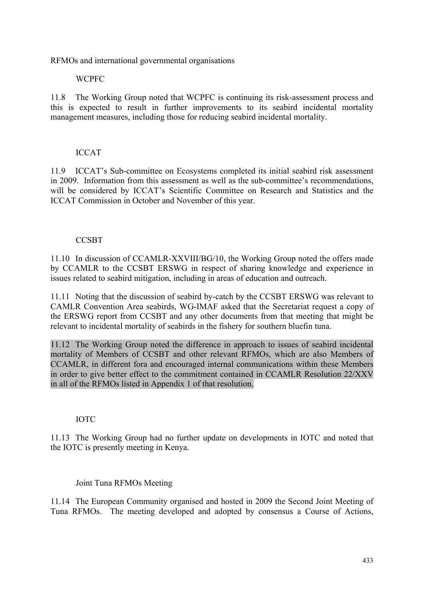RFMOs and international governmental organisations

## WCPFC

11.8 The Working Group noted that WCPFC is continuing its risk-assessment process and this is expected to result in further improvements to its seabird incidental mortality management measures, including those for reducing seabird incidental mortality.

## ICCAT

11.9 ICCAT's Sub-committee on Ecosystems completed its initial seabird risk assessment in 2009. Information from this assessment as well as the sub-committee's recommendations, will be considered by ICCAT's Scientific Committee on Research and Statistics and the ICCAT Commission in October and November of this year.

## **CCSBT**

11.10 In discussion of CCAMLR-XXVIII/BG/10, the Working Group noted the offers made by CCAMLR to the CCSBT ERSWG in respect of sharing knowledge and experience in issues related to seabird mitigation, including in areas of education and outreach.

11.11 Noting that the discussion of seabird by-catch by the CCSBT ERSWG was relevant to CAMLR Convention Area seabirds, WG-IMAF asked that the Secretariat request a copy of the ERSWG report from CCSBT and any other documents from that meeting that might be relevant to incidental mortality of seabirds in the fishery for southern bluefin tuna.

11.12 The Working Group noted the difference in approach to issues of seabird incidental mortality of Members of CCSBT and other relevant RFMOs, which are also Members of CCAMLR, in different fora and encouraged internal communications within these Members in order to give better effect to the commitment contained in CCAMLR Resolution 22/XXV in all of the RFMOs listed in Appendix 1 of that resolution.

#### IOTC

11.13 The Working Group had no further update on developments in IOTC and noted that the IOTC is presently meeting in Kenya.

## Joint Tuna RFMOs Meeting

11.14 The European Community organised and hosted in 2009 the Second Joint Meeting of Tuna RFMOs. The meeting developed and adopted by consensus a Course of Actions,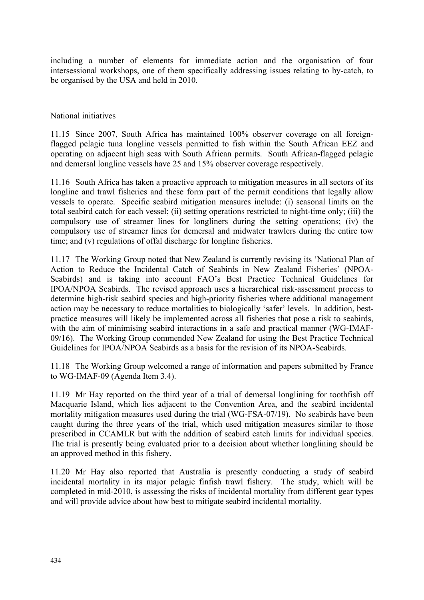including a number of elements for immediate action and the organisation of four intersessional workshops, one of them specifically addressing issues relating to by-catch, to be organised by the USA and held in 2010.

## National initiatives

11.15 Since 2007, South Africa has maintained 100% observer coverage on all foreignflagged pelagic tuna longline vessels permitted to fish within the South African EEZ and operating on adjacent high seas with South African permits. South African-flagged pelagic and demersal longline vessels have 25 and 15% observer coverage respectively.

11.16 South Africa has taken a proactive approach to mitigation measures in all sectors of its longline and trawl fisheries and these form part of the permit conditions that legally allow vessels to operate. Specific seabird mitigation measures include: (i) seasonal limits on the total seabird catch for each vessel; (ii) setting operations restricted to night-time only; (iii) the compulsory use of streamer lines for longliners during the setting operations; (iv) the compulsory use of streamer lines for demersal and midwater trawlers during the entire tow time; and (v) regulations of offal discharge for longline fisheries.

11.17 The Working Group noted that New Zealand is currently revising its 'National Plan of Action to Reduce the Incidental Catch of Seabirds in New Zealand Fisheries' (NPOA-Seabirds) and is taking into account FAO's Best Practice Technical Guidelines for IPOA/NPOA Seabirds. The revised approach uses a hierarchical risk-assessment process to determine high-risk seabird species and high-priority fisheries where additional management action may be necessary to reduce mortalities to biologically 'safer' levels. In addition, bestpractice measures will likely be implemented across all fisheries that pose a risk to seabirds, with the aim of minimising seabird interactions in a safe and practical manner (WG-IMAF-09/16). The Working Group commended New Zealand for using the Best Practice Technical Guidelines for IPOA/NPOA Seabirds as a basis for the revision of its NPOA-Seabirds.

11.18 The Working Group welcomed a range of information and papers submitted by France to WG-IMAF-09 (Agenda Item 3.4).

11.19 Mr Hay reported on the third year of a trial of demersal longlining for toothfish off Macquarie Island, which lies adjacent to the Convention Area, and the seabird incidental mortality mitigation measures used during the trial (WG-FSA-07/19). No seabirds have been caught during the three years of the trial, which used mitigation measures similar to those prescribed in CCAMLR but with the addition of seabird catch limits for individual species. The trial is presently being evaluated prior to a decision about whether longlining should be an approved method in this fishery.

11.20 Mr Hay also reported that Australia is presently conducting a study of seabird incidental mortality in its major pelagic finfish trawl fishery. The study, which will be completed in mid-2010, is assessing the risks of incidental mortality from different gear types and will provide advice about how best to mitigate seabird incidental mortality.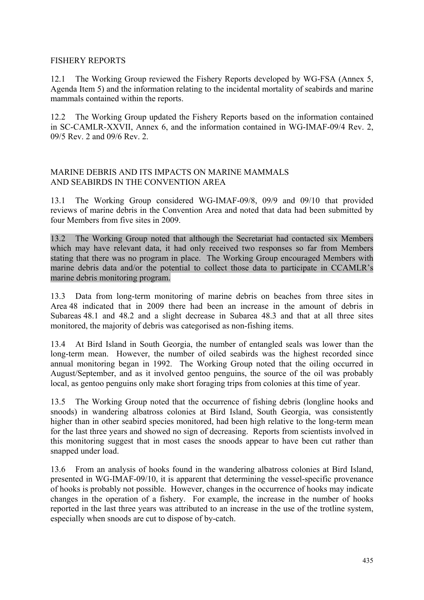## <span id="page-30-0"></span>FISHERY REPORTS

12.1 The Working Group reviewed the Fishery Reports developed by WG-FSA (Annex 5, Agenda Item 5) and the information relating to the incidental mortality of seabirds and marine mammals contained within the reports.

12.2 The Working Group updated the Fishery Reports based on the information contained in SC-CAMLR-XXVII, Annex 6, and the information contained in WG-IMAF-09/4 Rev. 2, 09/5 Rev. 2 and 09/6 Rev. 2.

## MARINE DEBRIS AND ITS IMPACTS ON MARINE MAMMALS AND SEABIRDS IN THE CONVENTION AREA

13.1 The Working Group considered WG-IMAF-09/8, 09/9 and 09/10 that provided reviews of marine debris in the Convention Area and noted that data had been submitted by four Members from five sites in 2009.

13.2 The Working Group noted that although the Secretariat had contacted six Members which may have relevant data, it had only received two responses so far from Members stating that there was no program in place. The Working Group encouraged Members with marine debris data and/or the potential to collect those data to participate in CCAMLR's marine debris monitoring program.

13.3 Data from long-term monitoring of marine debris on beaches from three sites in Area 48 indicated that in 2009 there had been an increase in the amount of debris in Subareas 48.1 and 48.2 and a slight decrease in Subarea 48.3 and that at all three sites monitored, the majority of debris was categorised as non-fishing items.

13.4 At Bird Island in South Georgia, the number of entangled seals was lower than the long-term mean. However, the number of oiled seabirds was the highest recorded since annual monitoring began in 1992. The Working Group noted that the oiling occurred in August/September, and as it involved gentoo penguins, the source of the oil was probably local, as gentoo penguins only make short foraging trips from colonies at this time of year.

13.5 The Working Group noted that the occurrence of fishing debris (longline hooks and snoods) in wandering albatross colonies at Bird Island, South Georgia, was consistently higher than in other seabird species monitored, had been high relative to the long-term mean for the last three years and showed no sign of decreasing. Reports from scientists involved in this monitoring suggest that in most cases the snoods appear to have been cut rather than snapped under load.

13.6 From an analysis of hooks found in the wandering albatross colonies at Bird Island, presented in WG-IMAF-09/10, it is apparent that determining the vessel-specific provenance of hooks is probably not possible. However, changes in the occurrence of hooks may indicate changes in the operation of a fishery. For example, the increase in the number of hooks reported in the last three years was attributed to an increase in the use of the trotline system, especially when snoods are cut to dispose of by-catch.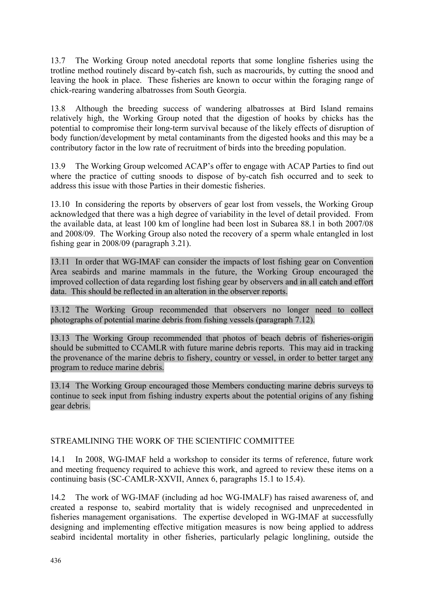<span id="page-31-0"></span>13.7 The Working Group noted anecdotal reports that some longline fisheries using the trotline method routinely discard by-catch fish, such as macrourids, by cutting the snood and leaving the hook in place. These fisheries are known to occur within the foraging range of chick-rearing wandering albatrosses from South Georgia.

13.8 Although the breeding success of wandering albatrosses at Bird Island remains relatively high, the Working Group noted that the digestion of hooks by chicks has the potential to compromise their long-term survival because of the likely effects of disruption of body function/development by metal contaminants from the digested hooks and this may be a contributory factor in the low rate of recruitment of birds into the breeding population.

13.9 The Working Group welcomed ACAP's offer to engage with ACAP Parties to find out where the practice of cutting snoods to dispose of by-catch fish occurred and to seek to address this issue with those Parties in their domestic fisheries.

13.10 In considering the reports by observers of gear lost from vessels, the Working Group acknowledged that there was a high degree of variability in the level of detail provided. From the available data, at least 100 km of longline had been lost in Subarea 88.1 in both 2007/08 and 2008/09. The Working Group also noted the recovery of a sperm whale entangled in lost fishing gear in 2008/09 (paragraph 3.21).

13.11 In order that WG-IMAF can consider the impacts of lost fishing gear on Convention Area seabirds and marine mammals in the future, the Working Group encouraged the improved collection of data regarding lost fishing gear by observers and in all catch and effort data. This should be reflected in an alteration in the observer reports.

13.12 The Working Group recommended that observers no longer need to collect photographs of potential marine debris from fishing vessels (paragraph 7.12).

13.13 The Working Group recommended that photos of beach debris of fisheries-origin should be submitted to CCAMLR with future marine debris reports. This may aid in tracking the provenance of the marine debris to fishery, country or vessel, in order to better target any program to reduce marine debris.

13.14 The Working Group encouraged those Members conducting marine debris surveys to continue to seek input from fishing industry experts about the potential origins of any fishing gear debris.

## STREAMLINING THE WORK OF THE SCIENTIFIC COMMITTEE

14.1 In 2008, WG-IMAF held a workshop to consider its terms of reference, future work and meeting frequency required to achieve this work, and agreed to review these items on a continuing basis (SC-CAMLR-XXVII, Annex 6, paragraphs 15.1 to 15.4).

14.2 The work of WG-IMAF (including ad hoc WG-IMALF) has raised awareness of, and created a response to, seabird mortality that is widely recognised and unprecedented in fisheries management organisations. The expertise developed in WG-IMAF at successfully designing and implementing effective mitigation measures is now being applied to address seabird incidental mortality in other fisheries, particularly pelagic longlining, outside the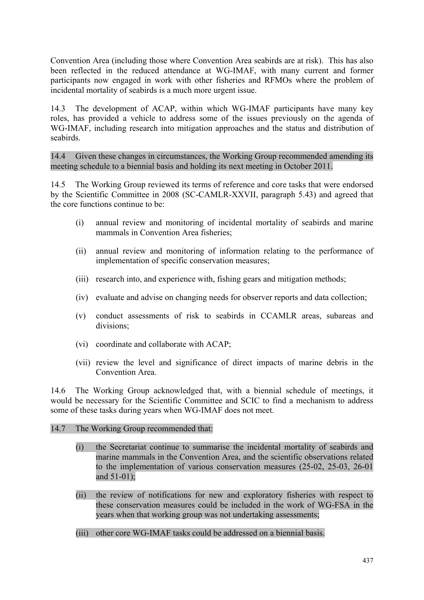Convention Area (including those where Convention Area seabirds are at risk). This has also been reflected in the reduced attendance at WG-IMAF, with many current and former participants now engaged in work with other fisheries and RFMOs where the problem of incidental mortality of seabirds is a much more urgent issue.

14.3 The development of ACAP, within which WG-IMAF participants have many key roles, has provided a vehicle to address some of the issues previously on the agenda of WG-IMAF, including research into mitigation approaches and the status and distribution of seabirds.

14.4 Given these changes in circumstances, the Working Group recommended amending its meeting schedule to a biennial basis and holding its next meeting in October 2011.

14.5 The Working Group reviewed its terms of reference and core tasks that were endorsed by the Scientific Committee in 2008 (SC-CAMLR-XXVII, paragraph 5.43) and agreed that the core functions continue to be:

- (i) annual review and monitoring of incidental mortality of seabirds and marine mammals in Convention Area fisheries;
- (ii) annual review and monitoring of information relating to the performance of implementation of specific conservation measures;
- (iii) research into, and experience with, fishing gears and mitigation methods;
- (iv) evaluate and advise on changing needs for observer reports and data collection;
- (v) conduct assessments of risk to seabirds in CCAMLR areas, subareas and divisions;
- (vi) coordinate and collaborate with ACAP;
- (vii) review the level and significance of direct impacts of marine debris in the Convention Area.

14.6 The Working Group acknowledged that, with a biennial schedule of meetings, it would be necessary for the Scientific Committee and SCIC to find a mechanism to address some of these tasks during years when WG-IMAF does not meet.

#### 14.7 The Working Group recommended that:

- (i) the Secretariat continue to summarise the incidental mortality of seabirds and marine mammals in the Convention Area, and the scientific observations related to the implementation of various conservation measures (25-02, 25-03, 26-01 and 51-01);
- (ii) the review of notifications for new and exploratory fisheries with respect to these conservation measures could be included in the work of WG-FSA in the years when that working group was not undertaking assessments;
- (iii) other core WG-IMAF tasks could be addressed on a biennial basis.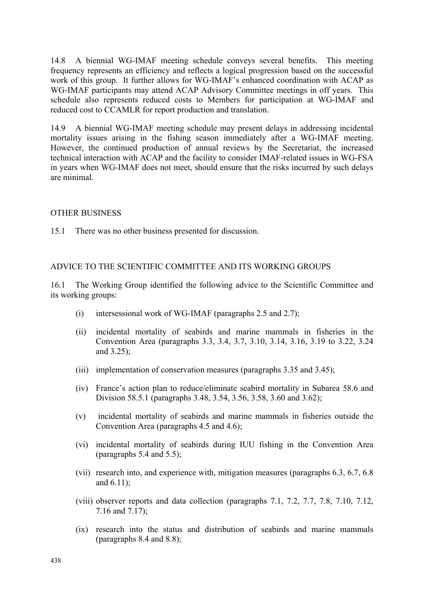<span id="page-33-0"></span>14.8 A biennial WG-IMAF meeting schedule conveys several benefits. This meeting frequency represents an efficiency and reflects a logical progression based on the successful work of this group. It further allows for WG-IMAF's enhanced coordination with ACAP as WG-IMAF participants may attend ACAP Advisory Committee meetings in off years. This schedule also represents reduced costs to Members for participation at WG-IMAF and reduced cost to CCAMLR for report production and translation.

14.9 A biennial WG-IMAF meeting schedule may present delays in addressing incidental mortality issues arising in the fishing season immediately after a WG-IMAF meeting. However, the continued production of annual reviews by the Secretariat, the increased technical interaction with ACAP and the facility to consider IMAF-related issues in WG-FSA in years when WG-IMAF does not meet, should ensure that the risks incurred by such delays are minimal.

## OTHER BUSINESS

15.1 There was no other business presented for discussion.

## ADVICE TO THE SCIENTIFIC COMMITTEE AND ITS WORKING GROUPS

16.1 The Working Group identified the following advice to the Scientific Committee and its working groups:

- (i) intersessional work of WG-IMAF (paragraphs 2.5 and 2.7);
- (ii) incidental mortality of seabirds and marine mammals in fisheries in the Convention Area (paragraphs 3.3, 3.4, 3.7, 3.10, 3.14, 3.16, 3.19 to 3.22, 3.24 and 3.25);
- (iii) implementation of conservation measures (paragraphs 3.35 and 3.45);
- (iv) France's action plan to reduce/eliminate seabird mortality in Subarea 58.6 and Division 58.5.1 (paragraphs 3.48, 3.54, 3.56, 3.58, 3.60 and 3.62);
- (v) incidental mortality of seabirds and marine mammals in fisheries outside the Convention Area (paragraphs 4.5 and 4.6);
- (vi) incidental mortality of seabirds during IUU fishing in the Convention Area (paragraphs 5.4 and 5.5);
- (vii) research into, and experience with, mitigation measures (paragraphs 6.3, 6.7, 6.8 and 6.11);
- (viii) observer reports and data collection (paragraphs 7.1, 7.2, 7.7, 7.8, 7.10, 7.12, 7.16 and 7.17);
- (ix) research into the status and distribution of seabirds and marine mammals (paragraphs 8.4 and 8.8);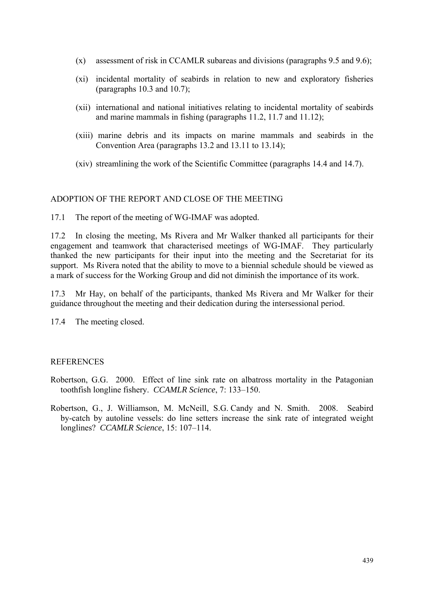- <span id="page-34-0"></span>(x) assessment of risk in CCAMLR subareas and divisions (paragraphs 9.5 and 9.6);
- (xi) incidental mortality of seabirds in relation to new and exploratory fisheries (paragraphs 10.3 and 10.7);
- (xii) international and national initiatives relating to incidental mortality of seabirds and marine mammals in fishing (paragraphs 11.2, 11.7 and 11.12);
- (xiii) marine debris and its impacts on marine mammals and seabirds in the Convention Area (paragraphs 13.2 and 13.11 to 13.14);
- (xiv) streamlining the work of the Scientific Committee (paragraphs 14.4 and 14.7).

#### ADOPTION OF THE REPORT AND CLOSE OF THE MEETING

17.1 The report of the meeting of WG-IMAF was adopted.

17.2 In closing the meeting, Ms Rivera and Mr Walker thanked all participants for their engagement and teamwork that characterised meetings of WG-IMAF. They particularly thanked the new participants for their input into the meeting and the Secretariat for its support. Ms Rivera noted that the ability to move to a biennial schedule should be viewed as a mark of success for the Working Group and did not diminish the importance of its work.

17.3 Mr Hay, on behalf of the participants, thanked Ms Rivera and Mr Walker for their guidance throughout the meeting and their dedication during the intersessional period.

17.4 The meeting closed.

#### **REFERENCES**

- Robertson, G.G. 2000. Effect of line sink rate on albatross mortality in the Patagonian toothfish longline fishery. *CCAMLR Science*, 7: 133–150.
- Robertson, G., J. Williamson, M. McNeill, S.G. Candy and N. Smith. 2008. Seabird by-catch by autoline vessels: do line setters increase the sink rate of integrated weight longlines? *CCAMLR Science*, 15: 107–114.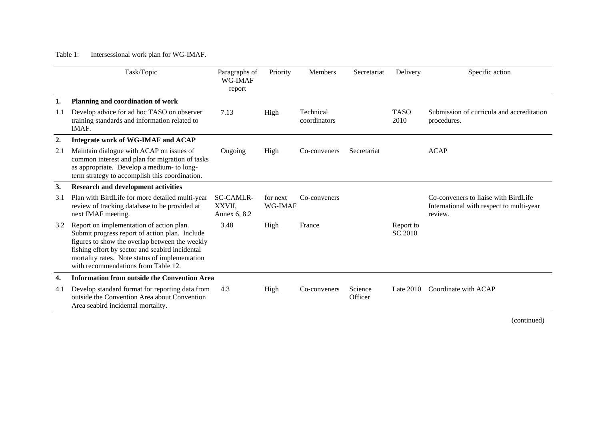## <span id="page-35-0"></span>Table 1: Intersessional work plan for WG-IMAF.

|     | Task/Topic                                                                                                                                                                                                                                                                               | Paragraphs of<br>WG-IMAF<br>report         | Priority            | <b>Members</b>            | Secretariat        | Delivery                    | Specific action                                                                             |
|-----|------------------------------------------------------------------------------------------------------------------------------------------------------------------------------------------------------------------------------------------------------------------------------------------|--------------------------------------------|---------------------|---------------------------|--------------------|-----------------------------|---------------------------------------------------------------------------------------------|
| ı.  | Planning and coordination of work                                                                                                                                                                                                                                                        |                                            |                     |                           |                    |                             |                                                                                             |
| 1.1 | Develop advice for ad hoc TASO on observer<br>training standards and information related to<br>IMAF.                                                                                                                                                                                     | 7.13                                       | High                | Technical<br>coordinators |                    | <b>TASO</b><br>2010         | Submission of curricula and accreditation<br>procedures.                                    |
| 2.  | Integrate work of WG-IMAF and ACAP                                                                                                                                                                                                                                                       |                                            |                     |                           |                    |                             |                                                                                             |
| 2.1 | Maintain dialogue with ACAP on issues of<br>common interest and plan for migration of tasks<br>as appropriate. Develop a medium- to long-<br>term strategy to accomplish this coordination.                                                                                              | Ongoing                                    | High                | Co-conveners              | Secretariat        |                             | <b>ACAP</b>                                                                                 |
| 3.  | <b>Research and development activities</b>                                                                                                                                                                                                                                               |                                            |                     |                           |                    |                             |                                                                                             |
| 3.1 | Plan with BirdLife for more detailed multi-year<br>review of tracking database to be provided at<br>next IMAF meeting.                                                                                                                                                                   | <b>SC-CAMLR-</b><br>XXVII,<br>Annex 6, 8.2 | for next<br>WG-IMAF | Co-conveners              |                    |                             | Co-conveners to liaise with BirdLife<br>International with respect to multi-year<br>review. |
| 3.2 | Report on implementation of action plan.<br>Submit progress report of action plan. Include<br>figures to show the overlap between the weekly<br>fishing effort by sector and seabird incidental<br>mortality rates. Note status of implementation<br>with recommendations from Table 12. | 3.48                                       | High                | France                    |                    | Report to<br><b>SC 2010</b> |                                                                                             |
| 4.  | <b>Information from outside the Convention Area</b>                                                                                                                                                                                                                                      |                                            |                     |                           |                    |                             |                                                                                             |
| 4.1 | Develop standard format for reporting data from<br>outside the Convention Area about Convention<br>Area seabird incidental mortality.                                                                                                                                                    | 4.3                                        | High                | Co-conveners              | Science<br>Officer | Late $2010$                 | Coordinate with ACAP                                                                        |

(continued)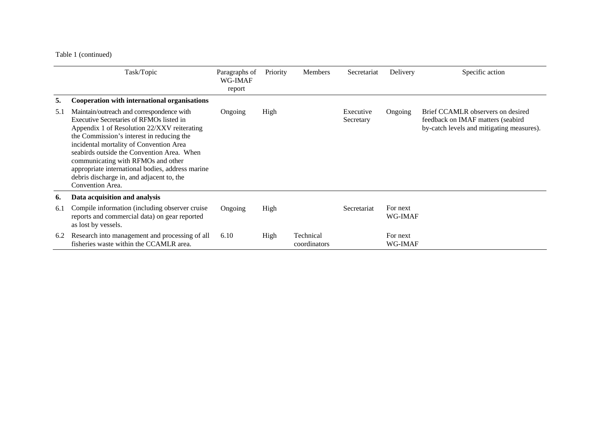## Table 1 (continued)

|     | Task/Topic                                                                                                                                                                                                                                                                                                                                                                                                                            | Paragraphs of<br>WG-IMAF<br>report | Priority | <b>Members</b>            | Secretariat            | Delivery            | Specific action                                                                                                     |
|-----|---------------------------------------------------------------------------------------------------------------------------------------------------------------------------------------------------------------------------------------------------------------------------------------------------------------------------------------------------------------------------------------------------------------------------------------|------------------------------------|----------|---------------------------|------------------------|---------------------|---------------------------------------------------------------------------------------------------------------------|
| 5.  | Cooperation with international organisations                                                                                                                                                                                                                                                                                                                                                                                          |                                    |          |                           |                        |                     |                                                                                                                     |
| 5.1 | Maintain/outreach and correspondence with<br>Executive Secretaries of RFMOs listed in<br>Appendix 1 of Resolution 22/XXV reiterating<br>the Commission's interest in reducing the<br>incidental mortality of Convention Area<br>seabirds outside the Convention Area. When<br>communicating with RFMOs and other<br>appropriate international bodies, address marine<br>debris discharge in, and adjacent to, the<br>Convention Area. | Ongoing                            | High     |                           | Executive<br>Secretary | Ongoing             | Brief CCAMLR observers on desired<br>feedback on IMAF matters (seabird<br>by-catch levels and mitigating measures). |
| 6.  | Data acquisition and analysis                                                                                                                                                                                                                                                                                                                                                                                                         |                                    |          |                           |                        |                     |                                                                                                                     |
| 6.1 | Compile information (including observer cruise<br>reports and commercial data) on gear reported<br>as lost by vessels.                                                                                                                                                                                                                                                                                                                | Ongoing                            | High     |                           | Secretariat            | For next<br>WG-IMAF |                                                                                                                     |
| 6.2 | Research into management and processing of all<br>fisheries waste within the CCAMLR area.                                                                                                                                                                                                                                                                                                                                             | 6.10                               | High     | Technical<br>coordinators |                        | For next<br>WG-IMAF |                                                                                                                     |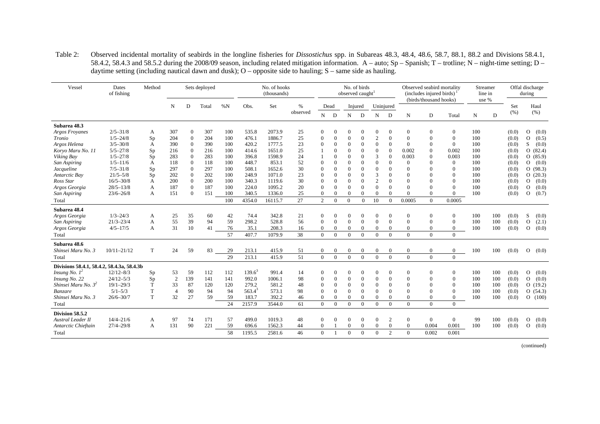| Vessel                                     | Dates<br>of fishing | Method |                |                | Sets deployed |     |           | No. of hooks<br>(thousands) |          |                |                |                | No. of birds<br>observed caught |                  |                  |                | Observed seabird mortality<br>(includes injured birds)<br>(birds/thousand hooks) |                  | Streamer<br>line in<br>use % |     |       | Offal discharge<br>during |
|--------------------------------------------|---------------------|--------|----------------|----------------|---------------|-----|-----------|-----------------------------|----------|----------------|----------------|----------------|---------------------------------|------------------|------------------|----------------|----------------------------------------------------------------------------------|------------------|------------------------------|-----|-------|---------------------------|
|                                            |                     |        | N              | D              | Total         | %N  | Obs.      | Set                         | %        | Dead           |                |                | Injured                         | Uninjured        |                  |                |                                                                                  |                  |                              |     | Set   | Haul                      |
|                                            |                     |        |                |                |               |     |           |                             | observed | $\mathbf N$    | D              | N              | D                               | N                | D                | N              | D                                                                                | Total            | N                            | D   | (% )  | (% )                      |
| Subarea 48.3                               |                     |        |                |                |               |     |           |                             |          |                |                |                |                                 |                  |                  |                |                                                                                  |                  |                              |     |       |                           |
| <b>Argos Froyanes</b>                      | $2/5 - 31/8$        | A      | 307            | $\mathbf{0}$   | 307           | 100 | 535.8     | 2073.9                      | 25       | $\mathbf{0}$   | $\mathbf{0}$   | $\overline{0}$ | $\Omega$                        | $\theta$         | $\overline{0}$   | $\mathbf{0}$   | $\theta$                                                                         | $\mathbf{0}$     | 100                          |     | (0.0) | $\circ$<br>(0.0)          |
| Tronio                                     | $1/5 - 24/8$        | Sp     | 204            | $\mathbf{0}$   | 204           | 100 | 476.1     | 1886.7                      | 25       | $\Omega$       | $\theta$       | $\theta$       | $\mathbf{0}$                    | $\mathbf{2}$     | $\theta$         | $\mathbf{0}$   | $\theta$                                                                         | $\boldsymbol{0}$ | 100                          |     | (0.0) | (0.5)<br>$\mathbf{O}$     |
| Argos Helena                               | $3/5 - 30/8$        | A      | 390            | $\overline{0}$ | 390           | 100 | 420.2     | 1777.5                      | 23       | $\mathbf{0}$   | $\theta$       | $\theta$       | $\overline{0}$                  | $\mathbf{0}$     | $\Omega$         | $\Omega$       | $\Omega$                                                                         | $\mathbf{0}$     | 100                          |     | (0.0) | S<br>(0.0)                |
| Koryo Maru No. 11                          | $5/5 - 27/8$        | Sp     | 216            | $\Omega$       | 216           | 100 | 414.6     | 1651.0                      | 25       |                |                | $\Omega$       | $\theta$                        | $\overline{0}$   | $\theta$         | 0.002          | $\Omega$                                                                         | 0.002            | 100                          |     | (0.0) | O(82.4)                   |
| Viking Bay                                 | $1/5 - 27/8$        | Sp     | 283            | $\Omega$       | 283           | 100 | 396.8     | 1598.9                      | 24       |                | $\Omega$       | $\Omega$       | $\Omega$                        | 3                | $\Omega$         | 0.003          | $\Omega$                                                                         | 0.003            | 100                          |     | (0.0) | O(85.9)                   |
| San Aspiring                               | $1/5 - 11/6$        | A      | 118            | $\mathbf{0}$   | 118           | 100 | 448.7     | 853.1                       | 52       | $\mathbf{0}$   | $\Omega$       | $\theta$       | $\Omega$                        | $\overline{0}$   | $\Omega$         | $\Omega$       | $\Omega$                                                                         | $\theta$         | 100                          |     | (0.0) | (0.0)<br>$\Omega$         |
| Jacqueline                                 | $7/5 - 31/8$        | Sp     | 297            | $\theta$       | 297           | 100 | 508.1     | 1652.6                      | 30       | $\Omega$       | $\theta$       | $\Omega$       | $\theta$                        | $\overline{0}$   | $\Omega$         | $\Omega$       | $\Omega$                                                                         | $\mathbf{0}$     | 100                          |     | (0.0) | O(98.3)                   |
| Antarctic Bay                              | $21/5 - 5/8$        | Sp     | 202            | $\overline{0}$ | 202           | 100 | 248.9     | 1071.0                      | 23       | $\mathbf{0}$   | $\Omega$       | $\theta$       | $\mathbf{0}$                    | 3                | $\Omega$         | $\Omega$       | $\Omega$                                                                         | $\mathbf{0}$     | 100                          |     | (0.0) | O(20.3)                   |
| Ross Star                                  | $16/5 - 30/8$       | A      | 200            | $\Omega$       | 200           | 100 | 340.3     | 1119.6                      | 30       | $\Omega$       |                | $\Omega$       | $\Omega$                        | $\mathbf{2}$     | $\Omega$         | $\Omega$       |                                                                                  | $\Omega$         | 100                          |     | (0.0) | (0.0)<br>$\mathbf{O}$     |
| Argos Georgia                              | $28/5 - 13/8$       | А      | 187            | $\Omega$       | 187           | 100 | 224.0     | 1095.2                      | 20       | $\Omega$       | $\Omega$       | $\Omega$       | $\Omega$                        | $\Omega$         | $\Omega$         | $\Omega$       | $\Omega$                                                                         | $\Omega$         | 100                          |     | (0.0) | (0.0)<br>$\Omega$         |
| San Aspiring                               | $23/6 - 26/8$       | A      | 151            | $\mathbf{0}$   | 151           | 100 | 340.5     | 1336.0                      | 25       | $\mathbf{0}$   | $\theta$       | $\mathbf{0}$   | $\mathbf{0}$                    | $\mathbf{0}$     | $\Omega$         | $\theta$       | $\theta$                                                                         | $\overline{0}$   | 100                          |     | (0.0) | (0.7)<br>$\Omega$         |
| Total                                      |                     |        |                |                |               | 100 | 4354.0    | 16115.7                     | 27       | 2              | $\Omega$       | $\Omega$       | $\Omega$                        | 10               | $\Omega$         | 0.0005         | $\Omega$                                                                         | 0.0005           |                              |     |       |                           |
| Subarea 48.4                               |                     |        |                |                |               |     |           |                             |          |                |                |                |                                 |                  |                  |                |                                                                                  |                  |                              |     |       |                           |
| Argos Georgia                              | $1/3 - 24/3$        | A      | 25             | 35             | 60            | 42  | 74.4      | 342.8                       | 21       | $\theta$       |                | $\theta$       | $\Omega$                        | $\theta$         | $\Omega$         | $\mathbf{0}$   | $\theta$                                                                         | $\theta$         | 100                          | 100 | (0.0) | S<br>(0.0)                |
| San Aspiring                               | $21/3 - 23/4$       | A      | 55             | 39             | 94            | 59  | 298.2     | 528.8                       | 56       | $\Omega$       | $\Omega$       | $\Omega$       | $\theta$                        | $\Omega$         | $\Omega$         | $\Omega$       | $\Omega$                                                                         | $\Omega$         | 100                          | 100 | (0.0) | $\Omega$<br>(2.1)         |
| Argos Georgia                              | $4/5 - 17/5$        | A      | 31             | 10             | 41            | 76  | 35.1      | 208.3                       | 16       | $\overline{0}$ | $\overline{0}$ | $\mathbf{0}$   | $\theta$                        | $\overline{0}$   | $\overline{0}$   | $\mathbf{0}$   | $\overline{0}$                                                                   | $\mathbf{0}$     | 100                          | 100 | (0.0) | $\Omega$<br>(0.0)         |
| Total                                      |                     |        |                |                |               | 57  | 407.7     | 1079.9                      | 38       | $\Omega$       | $\Omega$       | $\Omega$       | $\Omega$                        | $\Omega$         | $\Omega$         | $\Omega$       | $\Omega$                                                                         | $\theta$         |                              |     |       |                           |
| Subarea 48.6                               |                     |        |                |                |               |     |           |                             |          |                |                |                |                                 |                  |                  |                |                                                                                  |                  |                              |     |       |                           |
| Shinsei Maru No. 3                         | $10/11 - 21/12$     | T      | 24             | 59             | 83            | 29  | 213.1     | 415.9                       | 51       | $\overline{0}$ | $\mathbf{0}$   | $\mathbf{0}$   | $\mathbf{0}$                    | $\boldsymbol{0}$ | $\theta$         | $\mathbf{0}$   | $\boldsymbol{0}$                                                                 | $\mathbf{0}$     | 100                          | 100 | (0.0) | $\mathbf{O}$<br>(0.0)     |
| Total                                      |                     |        |                |                |               | 29  | 213.1     | 415.9                       | 51       | $\Omega$       | $\Omega$       | $\theta$       | $\theta$                        | $\Omega$         | $\Omega$         | $\Omega$       | $\Omega$                                                                         | $\theta$         |                              |     |       |                           |
| Divisions 58.4.1, 58.4.2, 58.4.3a, 58.4.3b |                     |        |                |                |               |     |           |                             |          |                |                |                |                                 |                  |                  |                |                                                                                  |                  |                              |     |       |                           |
| <i>Insung No.</i> $1^2$                    | $12/12 - 8/3$       | Sp     | 53             | 59             | 112           | 112 | $139.6^3$ | 991.4                       | 14       | $\overline{0}$ | $\theta$       | $\theta$       | $\overline{0}$                  | $\theta$         | $\theta$         | $\mathbf{0}$   | $\theta$                                                                         | $\mathbf{0}$     | 100                          | 100 | (0.0) | (0.0)<br>$\circ$          |
| Insung No. 22                              | $24/12 - 5/3$       | Sp     | 2              | 139            | 141           | 141 | 992.0     | 1006.1                      | 98       | $\theta$       | $\theta$       | $\Omega$       | $\Omega$                        | $\overline{0}$   | $\theta$         | $\Omega$       |                                                                                  | $\mathbf{0}$     | 100                          | 100 | (0.0) | (0.0)<br>$\circ$          |
| Shinsei Maru No. 3 <sup>2</sup>            | $19/1 - 29/3$       | T      | 33             | 87             | 120           | 120 | 279.2     | 581.2                       | 48       | $\mathbf{0}$   | $\theta$       | $\mathbf{0}$   | $\mathbf{0}$                    | $\overline{0}$   | $\Omega$         | $\mathbf{0}$   | $\Omega$                                                                         | $\theta$         | 100                          | 100 | (0.0) | O(19.2)                   |
| Banzare                                    | $5/1 - 5/3$         | T      | $\overline{4}$ | 90             | 94            | 94  | $563.4^3$ | 573.1                       | 98       | $\mathbf{0}$   | $\theta$       | $\theta$       | $\overline{0}$                  | $\overline{0}$   | $\Omega$         | $\Omega$       | $\Omega$                                                                         | $\Omega$         | 100                          | 100 | (0.0) | O(54.3)                   |
| Shinsei Maru No. 3                         | $26/6 - 30/7$       | T      | 32             | 27             | 59            | 59  | 183.7     | 392.2                       | 46       | $\overline{0}$ | $\Omega$       | $\theta$       | $\mathbf{0}$                    | $\overline{0}$   | $\Omega$         | $\Omega$       | $\theta$                                                                         | $\Omega$         | 100                          | 100 | (0.0) | O(100)                    |
| Total                                      |                     |        |                |                |               | 24  | 2157.9    | 3544.0                      | 61       | $\Omega$       | $\Omega$       | $\Omega$       | $\Omega$                        | $\Omega$         | $\Omega$         | $\Omega$       | $\Omega$                                                                         | $\Omega$         |                              |     |       |                           |
| Division 58.5.2                            |                     |        |                |                |               |     |           |                             |          |                |                |                |                                 |                  |                  |                |                                                                                  |                  |                              |     |       |                           |
| <b>Austral Leader II</b>                   | $14/4 - 21/6$       | A      | 97             | 74             | 171           | 57  | 499.0     | 1019.3                      | 48       | $\overline{0}$ | $\theta$       | $\overline{0}$ | $\overline{0}$                  | $\boldsymbol{0}$ | $\boldsymbol{2}$ | $\overline{0}$ | $\overline{0}$                                                                   | $\mathbf{0}$     | 99                           | 100 | (0.0) | $\Omega$<br>(0.0)         |
| Antarctic Chieftain                        | $27/4 - 29/8$       | A      | 131            | 90             | 221           | 59  | 696.6     | 1562.3                      | 44       | $\overline{0}$ |                | $\overline{0}$ | $\overline{0}$                  | $\overline{0}$   | $\mathbf{0}$     | $\overline{0}$ | 0.004                                                                            | 0.001            | 100                          | 100 | (0.0) | (0.0)<br>$\Omega$         |
| Total                                      |                     |        |                |                |               | 58  | 1195.5    | 2581.6                      | 46       | $\Omega$       |                | $\Omega$       | $\theta$                        | $\Omega$         | 2                | $\Omega$       | 0.002                                                                            | 0.001            |                              |     |       |                           |

Table 2: Observed incidental mortality of seabirds in the longline fisheries for *Dissostichus* spp. in Subareas 48.3, 48.4, 48.6, 58.7, 88.1, 88.2 and Divisions 58.4.1, 58.4.2, 58.4.3 and 58.5.2 during the 2008/09 season, including related mitigation information. A – auto; Sp – Spanish; T – trotline; N – night-time setting; D – daytime setting (including nautical dawn and dusk); O – opposite side to hauling; S – same side as hauling.

(continued)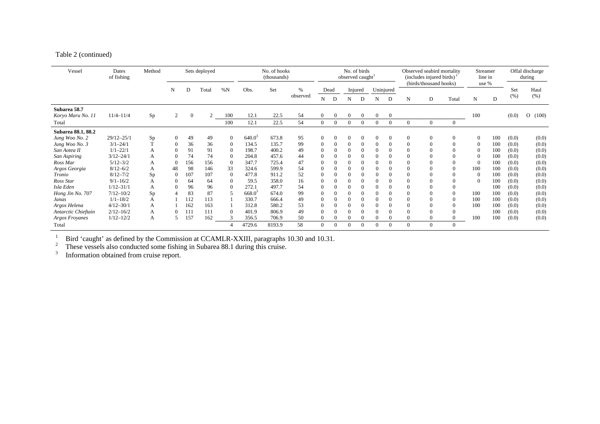#### Table 2 (continued)

| Vessel                            | Dates<br>of fishing            | Method   |                            |          | Sets deployed  |                      | No. of hooks<br>(thousands) |                |          |                | No. of birds<br>observed caught <sup>1</sup> |                |                      |                      |          |          | Observed seabird mortality<br>(includes injured birds)<br>(birds/thousand hooks) | Streamer<br>line in<br>use % |                                  | Offal discharge<br>during |                |                  |
|-----------------------------------|--------------------------------|----------|----------------------------|----------|----------------|----------------------|-----------------------------|----------------|----------|----------------|----------------------------------------------|----------------|----------------------|----------------------|----------|----------|----------------------------------------------------------------------------------|------------------------------|----------------------------------|---------------------------|----------------|------------------|
|                                   |                                |          | N                          | D        | Total          | %N                   | Obs.                        | Set            | $\%$     |                | Dead                                         |                | Injured              | Uninjured            |          |          |                                                                                  |                              |                                  |                           | Set            | Haul             |
|                                   |                                |          |                            |          |                |                      |                             |                | observed | N              | D                                            | N              | D                    | N                    | D        | N        | D                                                                                | Total                        | N                                | D                         | (% )           | (% )             |
| Subarea 58.7<br>Koryo Maru No. 11 | $11/4 - 11/4$                  | Sp       | 2                          | $\Omega$ | $\mathfrak{D}$ | 100                  | 12.1                        | 22.5           | 54       | $\overline{0}$ | $\overline{0}$                               | $\overline{0}$ | $\overline{0}$       | $\overline{0}$       | $\theta$ |          |                                                                                  |                              | 100                              |                           | (0.0)          | (100)<br>$\circ$ |
| Total                             |                                |          |                            |          |                | 100                  | 12.1                        | 22.5           | 54       | $\overline{0}$ | $\overline{0}$                               | $\Omega$       | $\overline{0}$       | $\theta$             | $\Omega$ | $\Omega$ | $\Omega$                                                                         | $\overline{0}$               |                                  |                           |                |                  |
| Subarea 88.1, 88.2                |                                |          |                            |          | 49             |                      | $640.0^3$                   |                |          | $\theta$       |                                              |                |                      |                      | $\theta$ | $\Omega$ | $\Omega$                                                                         |                              |                                  |                           |                |                  |
| Jung Woo No. 2                    | $29/12 - 25/1$<br>$3/1 - 24/1$ | Sp<br>T. | $\theta$<br>$\overline{0}$ | 49<br>36 | 36             | $\Omega$             | 134.5                       | 673.8<br>135.7 | 95<br>99 | $\theta$       | $\overline{0}$<br>$\theta$                   | $\Omega$       | $\Omega$<br>$\Omega$ | $\Omega$<br>$\theta$ |          |          |                                                                                  | $\mathbf{0}$<br>$\Omega$     | $\overline{0}$<br>$\overline{0}$ | 100<br>100                | (0.0)<br>(0.0) | (0.0)            |
| Jung Woo No. 3                    | $1/1 - 22/1$                   |          | $\theta$                   | 91       | 91             | $\theta$             | 198.7                       | 400.2          |          | $\theta$       | $\overline{0}$                               |                | $\Omega$             |                      |          |          |                                                                                  |                              | $\theta$                         | 100                       |                | (0.0)            |
| San Aotea II                      | $3/12 - 24/1$                  | А        |                            | 74       | 74             | $\theta$<br>$\Omega$ | 204.8                       | 457.6          | 49<br>44 | $\Omega$       | $\overline{0}$                               |                |                      |                      |          |          |                                                                                  |                              | $\theta$                         | 100                       | (0.0)<br>(0.0) | (0.0)<br>(0.0)   |
| San Aspiring<br>Ross Mar          | $5/12 - 3/2$                   | А        | $\Omega$                   | 156      | 156            | $\Omega$             | 347.7                       | 725.4          | 47       | $\Omega$       | $\Omega$                                     |                |                      |                      |          |          |                                                                                  |                              | $\Omega$                         | 100                       | (0.0)          | (0.0)            |
| Argos Georgia                     | $8/12 - 6/2$                   | А        | 48                         | 98       | 146            | 33                   | 324.6                       | 599.9          | 54       | $\Omega$       | $\Omega$                                     |                |                      |                      |          |          |                                                                                  | $\Omega$                     | 100                              | 100                       | (0.0)          | (0.0)            |
| Tronio                            | $8/12 - 7/2$                   | A<br>Sp  | $\Omega$                   | 107      | 107            | $\mathbf{0}$         | 477.8                       | 911.2          | 52       | $\theta$       | $\Omega$                                     |                |                      |                      |          |          |                                                                                  | $\Omega$                     | $\overline{0}$                   | 100                       | (0.0)          | (0.0)            |
| Ross Star                         | $9/1 - 16/2$                   | А        | $\theta$                   | 64       | 64             | $\Omega$             | 59.5                        | 358.0          | 16       | $\Omega$       | $\Omega$                                     |                |                      |                      |          |          |                                                                                  |                              | $\theta$                         | 100                       | (0.0)          | (0.0)            |
| Isla Eden                         | $1/12 - 31/1$                  | А        | $\Omega$                   | 96       | 96             | $\Omega$             | 272.1                       | 497.7          | 54       | $\Omega$       | $\theta$                                     |                |                      |                      |          |          |                                                                                  |                              |                                  | 100                       | (0.0)          | (0.0)            |
| Hong Jin No. 707                  | $7/12 - 10/2$                  | Sp       |                            | 83       | 87             |                      | $668.0^{3}$                 | 674.0          | 99       | $\Omega$       | $\Omega$                                     |                |                      |                      |          |          |                                                                                  |                              | 100                              | 100                       | (0.0)          | (0.0)            |
| Janas                             | $1/1 - 18/2$                   | А        |                            | 112      | 113            |                      | 330.7                       | 666.4          | 49       | $\theta$       | $\theta$                                     |                |                      |                      |          |          |                                                                                  | $\theta$                     | 100                              | 100                       | (0.0)          | (0.0)            |
| Argos Helena                      | $4/12 - 30/1$                  | А        |                            | 162      | 163            |                      | 312.8                       | 580.2          | 53       | $\theta$       | $\Omega$                                     |                |                      |                      |          |          |                                                                                  |                              | 100                              | 100                       | (0.0)          | (0.0)            |
| Antarctic Chieftain               | $2/12 - 16/2$                  | А        | $\Omega$                   | 111      | 111            | $\Omega$             | 401.9                       | 806.9          | 49       | $\Omega$       | $\Omega$                                     |                |                      |                      |          |          |                                                                                  |                              |                                  | 100                       | (0.0)          | (0.0)            |
| Argos Froyanes                    | $1/12 - 12/2$                  | А        | .5                         | 157      | 162            |                      | 356.5                       | 706.9          | 50       | $\Omega$       | $\Omega$                                     |                |                      |                      |          |          | 0                                                                                | $\mathbf{0}$                 | 100                              | 100                       | (0.0)          | (0.0)            |
| Total                             |                                |          |                            |          |                |                      | 4729.6                      | 8193.9         | 58       | $\theta$       | $\overline{0}$                               | $\Omega$       | $\Omega$             | $\Omega$             | $\Omega$ | $\Omega$ | $\Omega$                                                                         | $\theta$                     |                                  |                           |                |                  |

<sup>1</sup> Bird 'caught' as defined by the Commission at CCAMLR-XXIII, paragraphs 10.30 and 10.31.

<sup>2</sup> These vessels also conducted some fishing in Subarea 88.1 during this cruise.

 $3$  Information obtained from cruise report.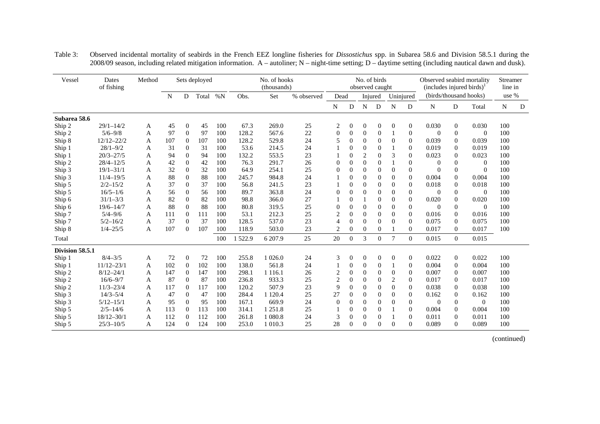| Vessel          | Dates<br>of fishing | Method |     |                  | Sets deployed |       |        | No. of hooks<br>(thousands) |            |                  |                | No. of birds<br>observed caught |                  |              |                  | Observed seabird mortality<br>$(includes\,)$ <sup><math>\perp</math></sup> |                  |                | Streamer<br>line in |   |
|-----------------|---------------------|--------|-----|------------------|---------------|-------|--------|-----------------------------|------------|------------------|----------------|---------------------------------|------------------|--------------|------------------|----------------------------------------------------------------------------|------------------|----------------|---------------------|---|
|                 |                     |        | N   | D                | Total         | $\%N$ | Obs.   | Set                         | % observed |                  | Dead           |                                 | Injured          |              | Uninjured        | (birds/thousand hooks)                                                     |                  |                | use %               |   |
|                 |                     |        |     |                  |               |       |        |                             |            | N                | D              | N                               | D                | N            | D                | N                                                                          | ${\rm D}$        | Total          | N                   | D |
| Subarea 58.6    |                     |        |     |                  |               |       |        |                             |            |                  |                |                                 |                  |              |                  |                                                                            |                  |                |                     |   |
| Ship 2          | $29/1 - 14/2$       | A      | 45  | $\mathbf{0}$     | 45            | 100   | 67.3   | 269.0                       | 25         | 2                | $\overline{0}$ | $\overline{0}$                  | $\theta$         | $\mathbf{0}$ | 0                | 0.030                                                                      | $\overline{0}$   | 0.030          | 100                 |   |
| Ship 2          | $5/6 - 9/8$         | A      | 97  | $\Omega$         | 97            | 100   | 128.2  | 567.6                       | 22         | $\mathbf{0}$     | $\mathbf{0}$   | $\theta$                        | $\overline{0}$   |              | $\mathbf{0}$     | $\overline{0}$                                                             | $\theta$         | $\theta$       | 100                 |   |
| Ship 8          | $12/12 - 22/2$      | A      | 107 | $\theta$         | 107           | 100   | 128.2  | 529.8                       | 24         | 5                | $\theta$       | $\mathbf{0}$                    | $\overline{0}$   | $\mathbf{0}$ | $\mathbf{0}$     | 0.039                                                                      | $\mathbf{0}$     | 0.039          | 100                 |   |
| Ship 1          | $28/1 - 9/2$        | A      | 31  | $\boldsymbol{0}$ | 31            | 100   | 53.6   | 214.5                       | 24         |                  | $\overline{0}$ | $\overline{0}$                  | $\boldsymbol{0}$ |              | $\boldsymbol{0}$ | 0.019                                                                      | $\boldsymbol{0}$ | 0.019          | 100                 |   |
| Ship 1          | $20/3 - 27/5$       | A      | 94  | $\overline{0}$   | 94            | 100   | 132.2  | 553.5                       | 23         |                  | $\overline{0}$ | $\overline{2}$                  | $\overline{0}$   | 3            | $\mathbf{0}$     | 0.023                                                                      | $\theta$         | 0.023          | 100                 |   |
| Ship 2          | $28/4 - 12/5$       | A      | 42  | $\boldsymbol{0}$ | 42            | 100   | 76.3   | 291.7                       | 26         | $\theta$         | $\theta$       | $\Omega$                        | $\theta$         |              | $\mathbf{0}$     | $\overline{0}$                                                             | $\Omega$         | $\theta$       | 100                 |   |
| Ship 3          | $19/1 - 31/1$       | A      | 32  | $\overline{0}$   | 32            | 100   | 64.9   | 254.1                       | 25         | $\overline{0}$   | $\theta$       | $\Omega$                        | $\theta$         | $\mathbf{0}$ | $\theta$         | $\overline{0}$                                                             | $\mathbf{0}$     | $\overline{0}$ | 100                 |   |
| Ship 3          | $11/4 - 19/5$       | A      | 88  | $\mathbf{0}$     | 88            | 100   | 245.7  | 984.8                       | 24         |                  | $\Omega$       | $\Omega$                        | $\overline{0}$   | $\Omega$     | $\theta$         | 0.004                                                                      | $\Omega$         | 0.004          | 100                 |   |
| Ship 5          | $2/2 - 15/2$        | A      | 37  | $\Omega$         | 37            | 100   | 56.8   | 241.5                       | 23         |                  | $\theta$       | $\Omega$                        | $\theta$         | $\Omega$     | $\Omega$         | 0.018                                                                      | $\Omega$         | 0.018          | 100                 |   |
| Ship 5          | $16/5 - 1/6$        | A      | 56  | $\overline{0}$   | 56            | 100   | 89.7   | 363.8                       | 24         | $\theta$         | $\theta$       | $\Omega$                        | $\overline{0}$   | $\theta$     | $\mathbf{0}$     | $\overline{0}$                                                             | $\mathbf{0}$     | $\theta$       | 100                 |   |
| Ship 6          | $31/1 - 3/3$        | A      | 82  | $\boldsymbol{0}$ | 82            | 100   | 98.8   | 366.0                       | 27         |                  | $\Omega$       |                                 | $\overline{0}$   | $\theta$     | $\mathbf{0}$     | 0.020                                                                      | $\mathbf{0}$     | 0.020          | 100                 |   |
| Ship 6          | $19/6 - 14/7$       | A      | 88  | $\mathbf{0}$     | 88            | 100   | 80.8   | 319.5                       | 25         | $\boldsymbol{0}$ | $\overline{0}$ | $\overline{0}$                  | $\mathbf{0}$     | $\mathbf{0}$ | $\boldsymbol{0}$ | $\overline{0}$                                                             | $\theta$         | $\theta$       | 100                 |   |
| Ship 7          | $5/4 - 9/6$         | A      | 111 | $\mathbf{0}$     | 111           | 100   | 53.1   | 212.3                       | 25         | $\overline{c}$   | $\Omega$       | $\Omega$                        | $\theta$         | $\Omega$     | $\Omega$         | 0.016                                                                      | $\Omega$         | 0.016          | 100                 |   |
| Ship 7          | $5/2 - 16/2$        | A      | 37  | $\Omega$         | 37            | 100   | 128.5  | 537.0                       | 23         | $\overline{4}$   | $\overline{0}$ | $\Omega$                        | $\overline{0}$   | $\Omega$     | $\mathbf{0}$     | 0.075                                                                      | $\mathbf{0}$     | 0.075          | 100                 |   |
| Ship 8          | $1/4 - 25/5$        | A      | 107 | $\Omega$         | 107           | 100   | 118.9  | 503.0                       | 23         | $\overline{2}$   | $\Omega$       | $\Omega$                        | $\Omega$         |              | $\theta$         | 0.017                                                                      | $\overline{0}$   | 0.017          | 100                 |   |
| Total           |                     |        |     |                  |               | 100   | 1522.9 | 6 207.9                     | 25         | 20               | $\Omega$       | 3                               | $\Omega$         | 7            | $\Omega$         | 0.015                                                                      | $\Omega$         | 0.015          |                     |   |
| Division 58.5.1 |                     |        |     |                  |               |       |        |                             |            |                  |                |                                 |                  |              |                  |                                                                            |                  |                |                     |   |
| Ship 1          | $8/4 - 3/5$         | A      | 72  | $\overline{0}$   | 72            | 100   | 255.8  | 1 0 26.0                    | 24         | 3                | $\overline{0}$ | $\overline{0}$                  | $\theta$         | $\mathbf{0}$ | $\mathbf{0}$     | 0.022                                                                      | $\overline{0}$   | 0.022          | 100                 |   |
| Ship 1          | $11/12 - 23/1$      | A      | 102 | $\boldsymbol{0}$ | 102           | 100   | 138.0  | 561.8                       | 24         |                  | $\overline{0}$ | $\Omega$                        | $\boldsymbol{0}$ |              | $\mathbf{0}$     | 0.004                                                                      | $\boldsymbol{0}$ | 0.004          | 100                 |   |
| Ship 2          | $8/12 - 24/1$       | A      | 147 | $\boldsymbol{0}$ | 147           | 100   | 298.1  | 1 1 1 6 .1                  | 26         | $\overline{c}$   | $\overline{0}$ | $\mathbf{0}$                    | $\overline{0}$   | $\mathbf{0}$ | $\theta$         | 0.007                                                                      | $\theta$         | 0.007          | 100                 |   |
| Ship 2          | $16/6 - 9/7$        | A      | 87  | $\mathbf{0}$     | 87            | 100   | 236.8  | 933.3                       | 25         | $\sqrt{2}$       | $\Omega$       | $\theta$                        | $\overline{0}$   | 2            | $\theta$         | 0.017                                                                      | $\mathbf{0}$     | 0.017          | 100                 |   |
| Ship 2          | $11/3 - 23/4$       | A      | 117 | $\theta$         | 117           | 100   | 120.2  | 507.9                       | 23         | 9                | $\Omega$       | $\Omega$                        | $\theta$         | $\Omega$     | $\theta$         | 0.038                                                                      | $\mathbf{0}$     | 0.038          | 100                 |   |
| Ship 3          | $14/3 - 5/4$        | A      | 47  | $\theta$         | 47            | 100   | 284.4  | 1 1 2 0.4                   | 25         | 27               | $\overline{0}$ | $\Omega$                        | $\overline{0}$   | $\Omega$     | $\theta$         | 0.162                                                                      | $\mathbf{0}$     | 0.162          | 100                 |   |
| Ship 3          | $5/12 - 15/1$       | A      | 95  | $\Omega$         | 95            | 100   | 167.1  | 669.9                       | 24         | $\theta$         | $\Omega$       | $\Omega$                        | $\overline{0}$   | $\Omega$     | $\theta$         | $\overline{0}$                                                             | $\Omega$         | $\theta$       | 100                 |   |
| Ship 5          | $2/5 - 14/6$        | A      | 113 | $\theta$         | 113           | 100   | 314.1  | 1 251.8                     | 25         |                  | $\overline{0}$ | $\Omega$                        | $\overline{0}$   |              | $\mathbf{0}$     | 0.004                                                                      | $\mathbf{0}$     | 0.004          | 100                 |   |
| Ship 5          | $18/12 - 30/1$      | A      | 112 | $\Omega$         | 112           | 100   | 261.8  | 1 080.8                     | 24         | 3                | $\theta$       | $\Omega$                        | $\overline{0}$   |              | $\theta$         | 0.011                                                                      | $\mathbf{0}$     | 0.011          | 100                 |   |
| Ship 5          | $25/3 - 10/5$       | A      | 124 | $\theta$         | 124           | 100   | 253.0  | 1 0 1 0 .3                  | 25         | 28               | $\theta$       | $\Omega$                        | $\overline{0}$   | $\Omega$     | 0                | 0.089                                                                      | $\mathbf{0}$     | 0.089          | 100                 |   |

Table 3: Observed incidental mortality of seabirds in the French EEZ longline fisheries for *Dissostichus* spp. in Subarea 58.6 and Division 58.5.1 during the 2008/09 season, including related mitigation information. A – autoliner; N – night-time setting; D – daytime setting (including nautical dawn and dusk).

(continued)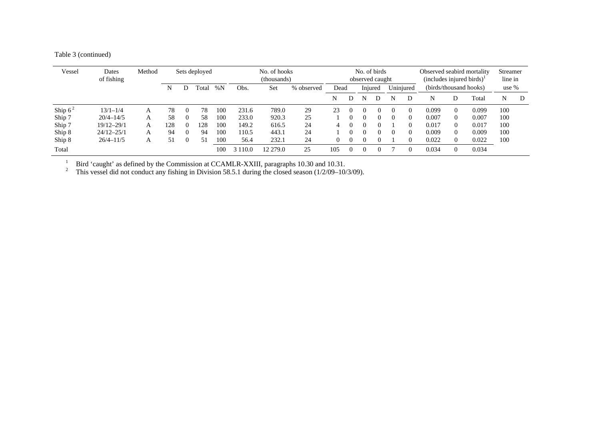|  | Table 3 (continued) |
|--|---------------------|
|--|---------------------|

| Vessel    | Dates<br>of fishing | Method |     |          | Sets deployed |     |       | No. of hooks<br>(thousands) |                               |     |   | No. of birds<br>observed caught |           |          |   | Observed seabird mortality<br>$(includes\ injured\ birds)^{1}$ | Streamer<br>line in    |       |     |   |
|-----------|---------------------|--------|-----|----------|---------------|-----|-------|-----------------------------|-------------------------------|-----|---|---------------------------------|-----------|----------|---|----------------------------------------------------------------|------------------------|-------|-----|---|
|           |                     |        | N   |          | l`otal        | %N  | Obs.  | Set                         | Injured<br>% observed<br>Dead |     |   |                                 | Uninjured |          |   |                                                                | (birds/thousand hooks) | use % |     |   |
|           |                     |        |     |          |               |     |       |                             |                               | N   |   | N                               |           | N        | D | N                                                              | D                      | Total | N   | D |
| Ship $62$ | $13/1 - 1/4$        | А      | 78  | $\Omega$ | 78            | 100 | 231.6 | 789.0                       | 29                            | 23  | 0 |                                 | $\Omega$  | $\theta$ |   | 0.099                                                          | $\Omega$               | 0.099 | 100 |   |
| Ship 7    | $20/4 - 14/5$       |        | 58  | $\Omega$ | 58            | 100 | 233.0 | 920.3                       | 25                            |     |   |                                 | 0         | $\left($ |   | 0.007                                                          | $\Omega$               | 0.007 | 100 |   |
| Ship 7    | $19/12 - 29/1$      | А      | 128 | $\Omega$ | 28            | 100 | 149.2 | 616.5                       | 24                            | 4   |   |                                 | 0         |          |   | 0.017                                                          | $\Omega$               | 0.017 | 100 |   |
| Ship 8    | $24/12 - 25/1$      | А      | 94  | $\theta$ | 94            | 100 | 110.5 | 443.1                       | 24                            |     |   |                                 | 0         | $\theta$ |   | 0.009                                                          | $\Omega$               | 0.009 | 100 |   |
| Ship 8    | $26/4 - 11/5$       | А      | 51  | 0        | 51            | 100 | 56.4  | 232.1                       | 24                            | 0   |   |                                 |           |          |   | 0.022                                                          | $\Omega$               | 0.022 | 100 |   |
| Total     |                     |        |     |          |               | 100 | 110.0 | 12 279.0                    | 25                            | 105 |   |                                 |           |          |   | 0.034                                                          |                        | 0.034 |     |   |

<sup>1</sup> Bird 'caught' as defined by the Commission at CCAMLR-XXIII, paragraphs 10.30 and 10.31.

<sup>2</sup> This vessel did not conduct any fishing in Division 58.5.1 during the closed season ( $1/2/09-10/3/09$ ).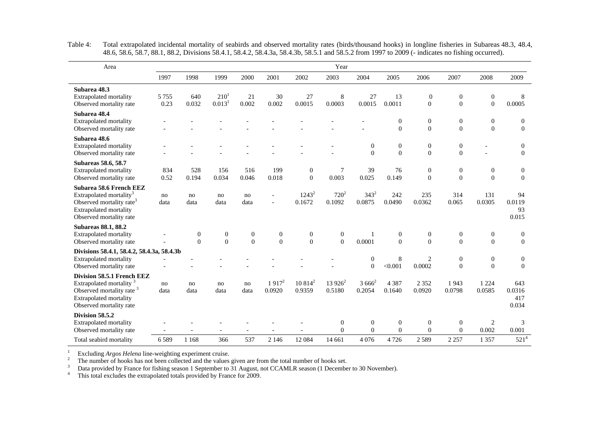| Area                                                                                                                                                                  |                 |                              |                                 |                          |                              |                          | Year                     |                                    |                                    |                                      |                                |                                  |                                  |
|-----------------------------------------------------------------------------------------------------------------------------------------------------------------------|-----------------|------------------------------|---------------------------------|--------------------------|------------------------------|--------------------------|--------------------------|------------------------------------|------------------------------------|--------------------------------------|--------------------------------|----------------------------------|----------------------------------|
|                                                                                                                                                                       | 1997            | 1998                         | 1999                            | 2000                     | 2001                         | 2002                     | 2003                     | 2004                               | 2005                               | 2006                                 | 2007                           | 2008                             | 2009                             |
| Subarea 48.3<br><b>Extrapolated mortality</b><br>Observed mortality rate                                                                                              | 5 7 5 5<br>0.23 | 640<br>0.032                 | $210^{1}$<br>0.013 <sup>1</sup> | 21<br>0.002              | 30<br>0.002                  | 27<br>0.0015             | 8<br>0.0003              | 27<br>0.0015                       | 13<br>0.0011                       | $\boldsymbol{0}$<br>$\boldsymbol{0}$ | $\boldsymbol{0}$<br>$\Omega$   | $\boldsymbol{0}$<br>$\mathbf{0}$ | 8<br>0.0005                      |
| Subarea 48.4<br><b>Extrapolated mortality</b><br>Observed mortality rate                                                                                              |                 |                              |                                 |                          |                              |                          |                          |                                    | $\boldsymbol{0}$<br>$\mathbf{0}$   | $\boldsymbol{0}$<br>$\mathbf{0}$     | $\mathbf{0}$<br>$\overline{0}$ | $\theta$<br>$\Omega$             | $\overline{0}$<br>$\mathbf{0}$   |
| Subarea 48.6<br>Extrapolated mortality<br>Observed mortality rate                                                                                                     |                 |                              |                                 |                          |                              |                          |                          | $\mathbf{0}$<br>$\theta$           | $\boldsymbol{0}$<br>$\overline{0}$ | $\boldsymbol{0}$<br>$\overline{0}$   | $\boldsymbol{0}$<br>$\theta$   |                                  | $\boldsymbol{0}$<br>$\theta$     |
| <b>Subareas 58.6, 58.7</b><br><b>Extrapolated mortality</b><br>Observed mortality rate                                                                                | 834<br>0.52     | 528<br>0.194                 | 156<br>0.034                    | 516<br>0.046             | 199<br>0.018                 | $\mathbf{0}$<br>$\theta$ | $\overline{7}$<br>0.003  | 39<br>0.025                        | 76<br>0.149                        | $\boldsymbol{0}$<br>$\theta$         | $\boldsymbol{0}$<br>$\theta$   | $\boldsymbol{0}$<br>$\Omega$     | $\boldsymbol{0}$<br>$\theta$     |
| Subarea 58.6 French EEZ<br>Extrapolated mortality <sup>3</sup><br>Observed mortality rate <sup>3</sup><br>Extrapolated mortality<br>Observed mortality rate           | no<br>data      | no<br>data                   | no<br>data                      | no<br>data               |                              | $1243^2$<br>0.1672       | $720^2$<br>0.1092        | $343^2$<br>0.0875                  | 242<br>0.0490                      | 235<br>0.0362                        | 314<br>0.065                   | 131<br>0.0305                    | 94<br>0.0119<br>93<br>0.015      |
| <b>Subareas 88.1, 88.2</b><br>Extrapolated mortality<br>Observed mortality rate                                                                                       |                 | $\boldsymbol{0}$<br>$\theta$ | $\boldsymbol{0}$<br>$\theta$    | $\mathbf{0}$<br>$\theta$ | $\boldsymbol{0}$<br>$\Omega$ | $\mathbf{0}$<br>$\Omega$ | $\mathbf{0}$<br>$\Omega$ | 1<br>0.0001                        | $\boldsymbol{0}$<br>$\theta$       | $\boldsymbol{0}$<br>$\overline{0}$   | $\boldsymbol{0}$<br>$\Omega$   | $\mathbf{0}$<br>$\Omega$         | $\boldsymbol{0}$<br>$\Omega$     |
| Divisions 58.4.1, 58.4.2, 58.4.3a, 58.4.3b<br><b>Extrapolated mortality</b><br>Observed mortality rate                                                                |                 |                              |                                 |                          |                              |                          |                          | $\boldsymbol{0}$<br>$\overline{0}$ | 8<br>< 0.001                       | $\overline{c}$<br>0.0002             | $\boldsymbol{0}$<br>$\theta$   | $\mathbf{0}$<br>$\mathbf{0}$     | $\boldsymbol{0}$<br>$\mathbf{0}$ |
| Division 58.5.1 French EEZ<br>Extrapolated mortality <sup>3</sup><br>Observed mortality rate <sup>3</sup><br><b>Extrapolated mortality</b><br>Observed mortality rate | no<br>data      | no<br>data                   | no<br>data                      | no<br>data               | $1917^2$<br>0.0920           | $10814^2$<br>0.9359      | $13926^2$<br>0.5180      | $3666^2$<br>0.2054                 | 4 3 8 7<br>0.1640                  | 2 3 5 2<br>0.0920                    | 1943<br>0.0798                 | 1 2 2 4<br>0.0585                | 643<br>0.0316<br>417<br>0.034    |
| <b>Division 58.5.2</b><br><b>Extrapolated mortality</b><br>Observed mortality rate                                                                                    |                 |                              |                                 |                          |                              |                          | $\mathbf{0}$<br>$\Omega$ | $\mathbf{0}$<br>$\Omega$           | $\boldsymbol{0}$<br>$\theta$       | $\boldsymbol{0}$<br>$\Omega$         | $\mathbf{0}$<br>$\theta$       | $\overline{2}$<br>0.002          | 3<br>0.001                       |
| Total seabird mortality                                                                                                                                               | 6589            | 1 1 6 8                      | 366                             | 537                      | 2 1 4 6                      | 12 084                   | 14 661                   | 4076                               | 4 7 2 6                            | 2589                                 | 2 2 5 7                        | 1 3 5 7                          | $521^{4}$                        |

Table 4: Total extrapolated incidental mortality of seabirds and observed mortality rates (birds/thousand hooks) in longline fisheries in Subareas 48.3, 48.4, 48.6, 58.6, 58.7, 88.1, 88.2, Divisions 58.4.1, 58.4.2, 58.4.3a, 58.4.3b, 58.5.1 and 58.5.2 from 1997 to 2009 (- indicates no fishing occurred).

Excluding *Argos Helena* line-weighting experiment cruise.<br>
<sup>2</sup><br>
The number of hooks has not been collected and the values given are from the total number of hooks set.<br>
<sup>3</sup><br>
Data provided by France for fishing season 1 S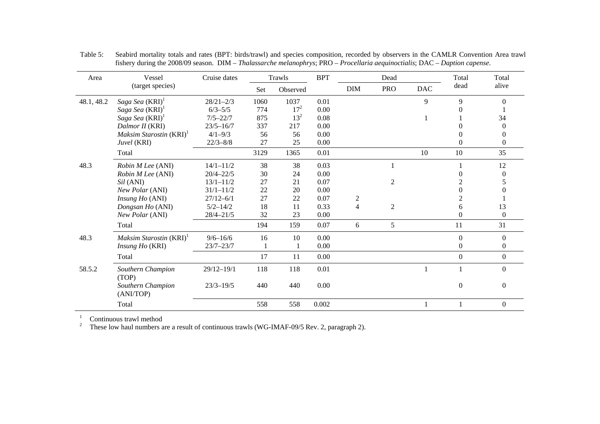| Area       | Vessel                              | Cruise dates   |      | Trawls   | <b>BPT</b> |                  | Dead           |              | Total            | Total          |
|------------|-------------------------------------|----------------|------|----------|------------|------------------|----------------|--------------|------------------|----------------|
|            | (target species)                    |                | Set  | Observed |            | <b>DIM</b>       | <b>PRO</b>     | <b>DAC</b>   | dead             | alive          |
| 48.1, 48.2 | Saga Sea (KRI) <sup>1</sup>         | $28/21 - 2/3$  | 1060 | 1037     | 0.01       |                  |                | 9            | 9                | $\Omega$       |
|            | Saga Sea (KRI) <sup>1</sup>         | $6/3 - 5/5$    | 774  | $17^{2}$ | 0.00       |                  |                |              | 0                |                |
|            | Saga Sea (KRI) <sup>1</sup>         | $7/5 - 22/7$   | 875  | $13^2$   | 0.08       |                  |                | $\mathbf{1}$ |                  | 34             |
|            | Dalmor II (KRI)                     | $23/5 - 16/7$  | 337  | 217      | 0.00       |                  |                |              | 0                | 0              |
|            | Maksim Starostin (KRI) <sup>1</sup> | $4/1 - 9/3$    | 56   | 56       | 0.00       |                  |                |              | $\Omega$         | $\Omega$       |
|            | Juvel (KRI)                         | $22/3 - 8/8$   | 27   | 25       | 0.00       |                  |                |              | $\theta$         | $\Omega$       |
|            | Total                               |                | 3129 | 1365     | 0.01       |                  |                | 10           | 10               | 35             |
| 48.3       | Robin M Lee (ANI)                   | $14/1 - 11/2$  | 38   | 38       | 0.03       |                  |                |              |                  | 12             |
|            | Robin M Lee (ANI)                   | $20/4 - 22/5$  | 30   | 24       | 0.00       |                  |                |              | 0                | $\Omega$       |
|            | <i>Sil</i> (ANI)                    | $13/1 - 11/2$  | 27   | 21       | 0.07       |                  | $\overline{2}$ |              | 2                |                |
|            | New Polar (ANI)                     | $31/1 - 11/2$  | 22   | 20       | 0.00       |                  |                |              | $\boldsymbol{0}$ |                |
|            | Insung Ho (ANI)                     | $27/12 - 6/1$  | 27   | 22       | 0.07       | $\boldsymbol{2}$ |                |              | $\overline{c}$   |                |
|            | Dongsan Ho (ANI)                    | $5/2 - 14/2$   | 18   | 11       | 0.33       | $\overline{4}$   | $\overline{2}$ |              | 6                | 13             |
|            | New Polar (ANI)                     | $28/4 - 21/5$  | 32   | 23       | 0.00       |                  |                |              | $\Omega$         | $\Omega$       |
|            | Total                               |                | 194  | 159      | 0.07       | 6                | 5              |              | 11               | 31             |
| 48.3       | Maksim Starostin (KRI) <sup>1</sup> | $9/6 - 16/6$   | 16   | 10       | 0.00       |                  |                |              | $\boldsymbol{0}$ | $\Omega$       |
|            | Insung Ho (KRI)                     | $23/7 - 23/7$  |      |          | 0.00       |                  |                |              | $\Omega$         | $\left($       |
|            | Total                               |                | 17   | 11       | 0.00       |                  |                |              | $\mathbf{0}$     | $\overline{0}$ |
| 58.5.2     | Southern Champion<br>(TOP)          | $29/12 - 19/1$ | 118  | 118      | 0.01       |                  |                | 1            |                  | $\Omega$       |
|            | Southern Champion<br>(ANI/TOP)      | $23/3 - 19/5$  | 440  | 440      | 0.00       |                  |                |              | $\overline{0}$   | $\Omega$       |
|            | Total                               |                | 558  | 558      | 0.002      |                  |                | 1            |                  | $\mathbf{0}$   |

Table 5: Seabird mortality totals and rates (BPT: birds/trawl) and species composition, recorded by observers in the CAMLR Convention Area trawl fishery during the 2008/09 season. DIM – *Thalassarche melanophrys*; PRO – *Procellaria aequinoctialis*; DAC – *Daption capense*.

 $1$  Continuous trawl method

<sup>2</sup> These low haul numbers are a result of continuous trawls (WG-IMAF-09/5 Rev. 2, paragraph 2).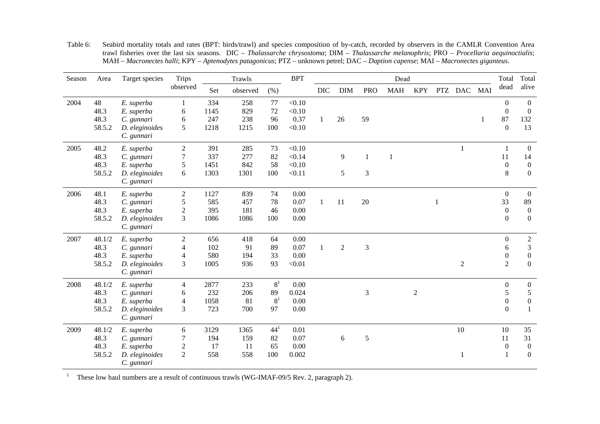| Season | Area   | Target species | <b>Trips</b>   | Trawls |          | <b>BPT</b>     | Dead   |              |                |                |              |            |  |                | Total | Total            |                  |
|--------|--------|----------------|----------------|--------|----------|----------------|--------|--------------|----------------|----------------|--------------|------------|--|----------------|-------|------------------|------------------|
|        |        |                | observed       | Set    | observed | (% )           |        | <b>DIC</b>   | <b>DIM</b>     | <b>PRO</b>     | <b>MAH</b>   | <b>KPY</b> |  | PTZ DAC        | MAI   | dead             | alive            |
| 2004   | 48     | E. superba     | 1              | 334    | 258      | 77             | < 0.10 |              |                |                |              |            |  |                |       | $\overline{0}$   | $\boldsymbol{0}$ |
|        | 48.3   | E. superba     | 6              | 1145   | 829      | 72             | < 0.10 |              |                |                |              |            |  |                |       | $\boldsymbol{0}$ | $\boldsymbol{0}$ |
|        | 48.3   | C. gunnari     | 6              | 247    | 238      | 96             | 0.37   | 1            | 26             | 59             |              |            |  |                | 1     | 87               | 132              |
|        | 58.5.2 | D. eleginoides | 5              | 1218   | 1215     | 100            | < 0.10 |              |                |                |              |            |  |                |       | $\boldsymbol{0}$ | 13               |
|        |        | C. gunnari     |                |        |          |                |        |              |                |                |              |            |  |                |       |                  |                  |
| 2005   | 48.2   | E. superba     | $\overline{2}$ | 391    | 285      | 73             | < 0.10 |              |                |                |              |            |  | 1              |       | 1                | $\boldsymbol{0}$ |
|        | 48.3   | C. gunnari     | 7              | 337    | 277      | 82             | < 0.14 |              | 9              | 1              | $\mathbf{1}$ |            |  |                |       | 11               | 14               |
|        | 48.3   | E. superba     | 5              | 1451   | 842      | 58             | < 0.10 |              |                |                |              |            |  |                |       | $\boldsymbol{0}$ | $\boldsymbol{0}$ |
|        | 58.5.2 | D. eleginoides | 6              | 1303   | 1301     | 100            | < 0.11 |              | 5              | 3              |              |            |  |                |       | 8                | $\mathbf{0}$     |
|        |        | C. gunnari     |                |        |          |                |        |              |                |                |              |            |  |                |       |                  |                  |
| 2006   | 48.1   | E. superba     | $\sqrt{2}$     | 1127   | 839      | 74             | 0.00   |              |                |                |              |            |  |                |       | $\boldsymbol{0}$ | $\boldsymbol{0}$ |
|        | 48.3   | C. gunnari     | 5              | 585    | 457      | 78             | 0.07   | $\mathbf{1}$ | 11             | 20             |              |            |  |                |       | 33               | 89               |
|        | 48.3   | E. superba     | $\sqrt{2}$     | 395    | 181      | 46             | 0.00   |              |                |                |              |            |  |                |       | $\boldsymbol{0}$ | $\boldsymbol{0}$ |
|        | 58.5.2 | D. eleginoides | 3              | 1086   | 1086     | 100            | 0.00   |              |                |                |              |            |  |                |       | $\boldsymbol{0}$ | $\overline{0}$   |
|        |        | C. gunnari     |                |        |          |                |        |              |                |                |              |            |  |                |       |                  |                  |
| 2007   | 48.1/2 | E. superba     | $\mathfrak{2}$ | 656    | 418      | 64             | 0.00   |              |                |                |              |            |  |                |       | $\boldsymbol{0}$ | $\overline{c}$   |
|        | 48.3   | C. gunnari     | $\overline{4}$ | 102    | 91       | 89             | 0.07   | 1            | $\overline{2}$ | 3              |              |            |  |                |       | 6                | $\mathfrak{Z}$   |
|        | 48.3   | E. superba     | $\overline{4}$ | 580    | 194      | 33             | 0.00   |              |                |                |              |            |  |                |       | $\boldsymbol{0}$ | $\boldsymbol{0}$ |
|        | 58.5.2 | D. eleginoides | 3              | 1005   | 936      | 93             | < 0.01 |              |                |                |              |            |  | $\overline{2}$ |       | $\overline{2}$   | $\overline{0}$   |
|        |        | C. gunnari     |                |        |          |                |        |              |                |                |              |            |  |                |       |                  |                  |
| 2008   | 48.1/2 | E. superba     | 4              | 2877   | 233      | 8 <sup>1</sup> | 0.00   |              |                |                |              |            |  |                |       | $\boldsymbol{0}$ | $\boldsymbol{0}$ |
|        | 48.3   | C. gunnari     | 6              | 232    | 206      | 89             | 0.024  |              |                | $\mathfrak{Z}$ |              | $\sqrt{2}$ |  |                |       | 5                | $\sqrt{5}$       |
|        | 48.3   | E. superba     | 4              | 1058   | 81       | 8 <sup>1</sup> | 0.00   |              |                |                |              |            |  |                |       | $\boldsymbol{0}$ | $\boldsymbol{0}$ |
|        | 58.5.2 | D. eleginoides | 3              | 723    | 700      | 97             | 0.00   |              |                |                |              |            |  |                |       | $\boldsymbol{0}$ | $\mathbf{1}$     |
|        |        | C. gunnari     |                |        |          |                |        |              |                |                |              |            |  |                |       |                  |                  |
| 2009   | 48.1/2 | E. superba     | 6              | 3129   | 1365     | $44^{1}$       | 0.01   |              |                |                |              |            |  | 10             |       | 10               | 35               |
|        | 48.3   | C. gunnari     | 7              | 194    | 159      | 82             | 0.07   |              | $\sqrt{6}$     | $\sqrt{5}$     |              |            |  |                |       | 11               | 31               |
|        | 48.3   | E. superba     | $\mathfrak{2}$ | 17     | 11       | 65             | 0.00   |              |                |                |              |            |  |                |       | $\boldsymbol{0}$ | $\boldsymbol{0}$ |
|        | 58.5.2 | D. eleginoides | $\mathfrak{2}$ | 558    | 558      | 100            | 0.002  |              |                |                |              |            |  |                |       | $\mathbf{1}$     | $\boldsymbol{0}$ |
|        |        | C. gunnari     |                |        |          |                |        |              |                |                |              |            |  |                |       |                  |                  |

Table 6: Seabird mortality totals and rates (BPT: birds/trawl) and species composition of by-catch, recorded by observers in the CAMLR Convention Area trawl fisheries over the last six seasons. DIC – *Thalassarche chrysostoma*; DIM – *Thalassarche melanophris*; PRO – *Procellaria aequinoctialis*; MAH – *Macronectes halli*; KPY – *Aptenodytes patagonicus*; PTZ – unknown petrel; DAC – *Daption capense*; MAI – *Macronectes giganteus*.

<sup>1</sup> These low haul numbers are a result of continuous trawls (WG-IMAF-09/5 Rev. 2, paragraph 2).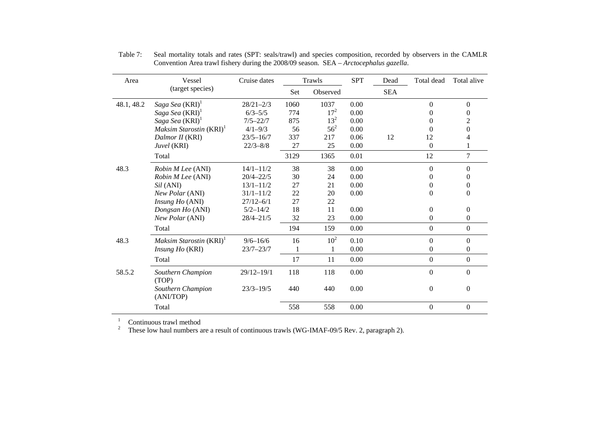| Area       | Vessel                              | Cruise dates   |      | Trawls   | <b>SPT</b> | Dead       | Total dead     | Total alive      |
|------------|-------------------------------------|----------------|------|----------|------------|------------|----------------|------------------|
|            | (target species)                    |                | Set  | Observed |            | <b>SEA</b> |                |                  |
| 48.1, 48.2 | Saga Sea (KRI) <sup>1</sup>         | $28/21 - 2/3$  | 1060 | 1037     | 0.00       |            | $\Omega$       | $\theta$         |
|            | Saga Sea (KRI) <sup>1</sup>         | $6/3 - 5/5$    | 774  | $17^{2}$ | 0.00       |            | 0              | $\theta$         |
|            | Saga Sea (KRI) <sup>1</sup>         | $7/5 - 22/7$   | 875  | $13^2$   | 0.00       |            | 0              | 2                |
|            | Maksim Starostin (KRI) <sup>1</sup> | $4/1 - 9/3$    | 56   | $56^2$   | 0.00       |            | 0              | $\theta$         |
|            | Dalmor II (KRI)                     | $23/5 - 16/7$  | 337  | 217      | 0.06       | 12         | 12             | 4                |
|            | Juvel (KRI)                         | $22/3 - 8/8$   | 27   | 25       | 0.00       |            | $\theta$       |                  |
|            | Total                               |                | 3129 | 1365     | 0.01       |            | 12             | 7                |
| 48.3       | Robin M Lee (ANI)                   | $14/1 - 11/2$  | 38   | 38       | 0.00       |            | $\theta$       | $\Omega$         |
|            | Robin M Lee (ANI)                   | $20/4 - 22/5$  | 30   | 24       | 0.00       |            | $\Omega$       | $\theta$         |
|            | Sil (ANI)                           | $13/1 - 11/2$  | 27   | 21       | 0.00       |            | $\theta$       | 0                |
|            | New Polar (ANI)                     | $31/1 - 11/2$  | 22   | 20       | 0.00       |            | $\Omega$       | $\Omega$         |
|            | Insung Ho (ANI)                     | $27/12 - 6/1$  | 27   | 22       |            |            |                |                  |
|            | Dongsan Ho (ANI)                    | $5/2 - 14/2$   | 18   | 11       | 0.00       |            | $\Omega$       | $\boldsymbol{0}$ |
|            | New Polar (ANI)                     | $28/4 - 21/5$  | 32   | 23       | 0.00       |            | $\Omega$       | $\Omega$         |
|            | Total                               |                | 194  | 159      | 0.00       |            | $\overline{0}$ | $\mathbf{0}$     |
| 48.3       | Maksim Starostin (KRI) <sup>1</sup> | $9/6 - 16/6$   | 16   | $10^{2}$ | 0.10       |            | $\Omega$       | $\Omega$         |
|            | Insung Ho (KRI)                     | $23/7 - 23/7$  |      |          | 0.00       |            | $\Omega$       | $\Omega$         |
|            | Total                               |                | 17   | 11       | 0.00       |            | $\mathbf{0}$   | $\mathbf{0}$     |
| 58.5.2     | Southern Champion<br>(TOP)          | $29/12 - 19/1$ | 118  | 118      | 0.00       |            | $\mathbf{0}$   | $\mathbf{0}$     |
|            | Southern Champion<br>(ANI/TOP)      | $23/3 - 19/5$  | 440  | 440      | 0.00       |            | $\mathbf{0}$   | $\Omega$         |
|            | Total                               |                | 558  | 558      | 0.00       |            | $\Omega$       | $\mathbf{0}$     |

Table 7: Seal mortality totals and rates (SPT: seals/trawl) and species composition, recorded by observers in the CAMLR Convention Area trawl fishery during the 2008/09 season. SEA – *Arctocephalus gazella*.

<sup>1</sup> Continuous trawl method Theorian are a result of continuous trawls (WG-IMAF-09/5 Rev. 2, paragraph 2).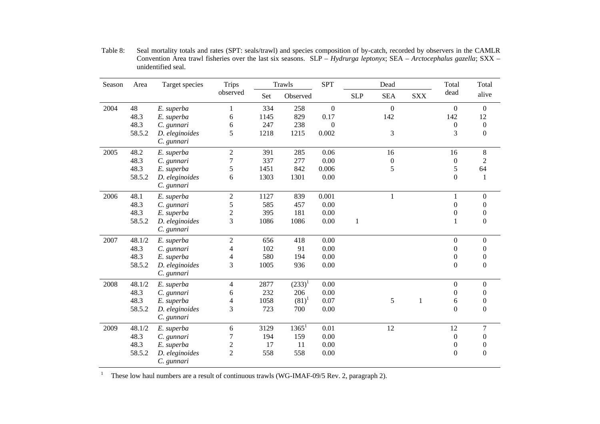| Season | Area   | Target species               | <b>Trips</b>     | Trawls |           | <b>SPT</b>       |            | Dead             |              | Total            | Total            |
|--------|--------|------------------------------|------------------|--------|-----------|------------------|------------|------------------|--------------|------------------|------------------|
|        |        |                              | observed         | Set    | Observed  |                  | <b>SLP</b> | <b>SEA</b>       | <b>SXX</b>   | dead             | alive            |
| 2004   | 48     | E. superba                   | 1                | 334    | 258       | $\boldsymbol{0}$ |            | $\boldsymbol{0}$ |              | $\theta$         | $\overline{0}$   |
|        | 48.3   | E. superba                   | 6                | 1145   | 829       | 0.17             |            | 142              |              | 142              | 12               |
|        | 48.3   | C. gunnari                   | 6                | 247    | 238       | $\mathbf{0}$     |            |                  |              | $\boldsymbol{0}$ | $\boldsymbol{0}$ |
|        | 58.5.2 | D. eleginoides<br>C. gunnari | 5                | 1218   | 1215      | 0.002            |            | 3                |              | 3                | $\boldsymbol{0}$ |
| 2005   | 48.2   | E. superba                   | $\sqrt{2}$       | 391    | 285       | 0.06             |            | 16               |              | 16               | $8\,$            |
|        | 48.3   | C. gunnari                   | 7                | 337    | 277       | 0.00             |            | $\boldsymbol{0}$ |              | $\boldsymbol{0}$ | $\overline{c}$   |
|        | 48.3   | E. superba                   | 5                | 1451   | 842       | 0.006            |            | 5                |              | 5                | 64               |
|        | 58.5.2 | D. eleginoides<br>C. gunnari | 6                | 1303   | 1301      | 0.00             |            |                  |              | $\boldsymbol{0}$ | -1               |
| 2006   | 48.1   | E. superba                   | $\boldsymbol{2}$ | 1127   | 839       | 0.001            |            | $\mathbf{1}$     |              | $\mathbf{1}$     | $\Omega$         |
|        | 48.3   | C. gunnari                   | 5                | 585    | 457       | 0.00             |            |                  |              | $\boldsymbol{0}$ | $\Omega$         |
|        | 48.3   | E. superba                   | $\overline{c}$   | 395    | 181       | 0.00             |            |                  |              | $\boldsymbol{0}$ | $\theta$         |
|        | 58.5.2 | D. eleginoides<br>C. gunnari | 3                | 1086   | 1086      | 0.00             | 1          |                  |              | $\mathbf{1}$     | $\boldsymbol{0}$ |
| 2007   | 48.1/2 | E. superba                   | $\sqrt{2}$       | 656    | 418       | 0.00             |            |                  |              | $\boldsymbol{0}$ | $\Omega$         |
|        | 48.3   | C. gunnari                   | 4                | 102    | 91        | 0.00             |            |                  |              | $\boldsymbol{0}$ | $\Omega$         |
|        | 48.3   | E. superba                   | 4                | 580    | 194       | 0.00             |            |                  |              | $\boldsymbol{0}$ | $\theta$         |
|        | 58.5.2 | D. eleginoides<br>C. gunnari | 3                | 1005   | 936       | 0.00             |            |                  |              | $\boldsymbol{0}$ | $\boldsymbol{0}$ |
| 2008   | 48.1/2 | E. superba                   | 4                | 2877   | $(233)^1$ | 0.00             |            |                  |              | $\boldsymbol{0}$ | $\theta$         |
|        | 48.3   | C. gunnari                   | 6                | 232    | 206       | 0.00             |            |                  |              | $\boldsymbol{0}$ | $\Omega$         |
|        | 48.3   | E. superba                   | 4                | 1058   | $(81)^1$  | 0.07             |            | 5                | $\mathbf{1}$ | 6                | 0                |
|        | 58.5.2 | D. eleginoides<br>C. gunnari | 3                | 723    | 700       | 0.00             |            |                  |              | $\boldsymbol{0}$ | $\boldsymbol{0}$ |
| 2009   | 48.1/2 | E. superba                   | $\epsilon$       | 3129   | $1365^1$  | 0.01             |            | 12               |              | 12               | 7                |
|        | 48.3   | C. gunnari                   | 7                | 194    | 159       | 0.00             |            |                  |              | $\boldsymbol{0}$ | $\Omega$         |
|        | 48.3   | E. superba                   | $\overline{c}$   | 17     | 11        | 0.00             |            |                  |              | $\boldsymbol{0}$ | $\theta$         |
|        | 58.5.2 | D. eleginoides<br>C. gunnari | $\overline{2}$   | 558    | 558       | 0.00             |            |                  |              | $\boldsymbol{0}$ | $\overline{0}$   |

Table 8: Seal mortality totals and rates (SPT: seals/trawl) and species composition of by-catch, recorded by observers in the CAMLR Convention Area trawl fisheries over the last six seasons. SLP – *Hydrurga leptonyx*; SEA – *Arctocephalus gazella*; SXX – unidentified seal.

<sup>1</sup> These low haul numbers are a result of continuous trawls (WG-IMAF-09/5 Rev. 2, paragraph 2).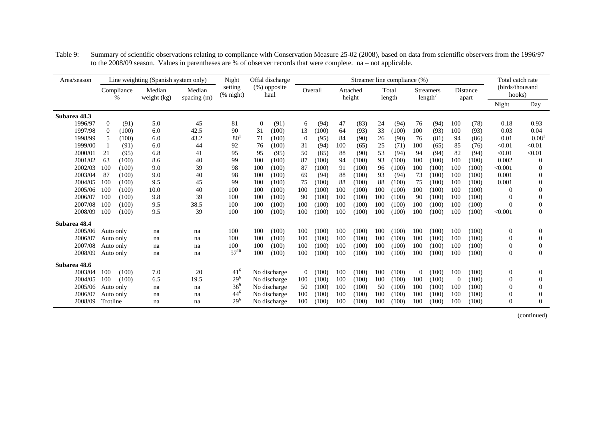| Area/season  |         |                |                    | Line weighting (Spanish system only) |                       | Night                                 | Offal discharge |                      |          |         |     |                    |     | Streamer line compliance (%) |          |                             |          |                   | Total catch rate          |                |
|--------------|---------|----------------|--------------------|--------------------------------------|-----------------------|---------------------------------------|-----------------|----------------------|----------|---------|-----|--------------------|-----|------------------------------|----------|-----------------------------|----------|-------------------|---------------------------|----------------|
|              |         |                | Compliance<br>$\%$ | Median<br>weight $(kg)$              | Median<br>spacing (m) | setting<br>$(% \mathbf{A})$ (% night) |                 | (%) opposite<br>haul |          | Overall |     | Attached<br>height |     | Total<br>length              |          | <b>Streamers</b><br>length' |          | Distance<br>apart | (birds/thousand<br>hooks) |                |
|              |         |                |                    |                                      |                       |                                       |                 |                      |          |         |     |                    |     |                              |          |                             |          |                   | Night                     | Day            |
| Subarea 48.3 |         |                |                    |                                      |                       |                                       |                 |                      |          |         |     |                    |     |                              |          |                             |          |                   |                           |                |
|              | 1996/97 | $\overline{0}$ | (91)               | 5.0                                  | 45                    | 81                                    | $\overline{0}$  | (91)                 | 6        | (94)    | 47  | (83)               | 24  | (94)                         | 76       | (94)                        | 100      | (78)              | 0.18                      | 0.93           |
|              | 1997/98 | $\mathbf{0}$   | (100)              | 6.0                                  | 42.5                  | 90                                    | 31              | (100)                | 13       | (100)   | 64  | (93)               | 33  | (100)                        | 100      | (93)                        | 100      | (93)              | 0.03                      | 0.04           |
|              | 1998/99 | 5              | (100)              | 6.0                                  | 43.2                  | 80 <sup>1</sup>                       | 71              | (100)                | $\theta$ | (95)    | 84  | (90)               | 26  | (90)                         | 76       | (81)                        | 94       | (86)              | 0.01                      | 0.08           |
|              | 1999/00 |                | (91)               | 6.0                                  | 44                    | 92                                    | 76              | (100)                | 31       | (94)    | 100 | (65)               | 25  | (71)                         | 100      | (65)                        | 85       | (76)              | < 0.01                    | < 0.01         |
|              | 2000/01 | 21             | (95)               | 6.8                                  | 41                    | 95                                    | 95              | (95)                 | 50       | (85)    | 88  | (90)               | 53  | (94)                         | 94       | (94)                        | 82       | (94)              | < 0.01                    | < 0.01         |
|              | 2001/02 | 63             | (100)              | 8.6                                  | 40                    | 99                                    | 100             | (100)                | 87       | (100)   | 94  | (100)              | 93  | (100)                        | 100      | (100)                       | 100      | (100)             | 0.002                     | $\Omega$       |
|              | 2002/03 | 100            | (100)              | 9.0                                  | 39                    | 98                                    | 100             | (100)                | 87       | (100)   | 91  | (100)              | 96  | (100)                        | 100      | (100)                       | 100      | (100)             | < 0.001                   | $\Omega$       |
|              | 2003/04 | 87             | (100)              | 9.0                                  | 40                    | 98                                    | 100             | (100)                | 69       | (94)    | 88  | (100)              | 93  | (94)                         | 73       | (100)                       | 100      | (100)             | 0.001                     | $\Omega$       |
|              | 2004/05 | 100            | (100)              | 9.5                                  | 45                    | 99                                    | 100             | (100)                | 75       | (100)   | 88  | (100)              | 88  | (100)                        | 75       | (100)                       | 100      | (100)             | 0.001                     | $\Omega$       |
|              | 2005/06 | 100            | (100)              | 10.0                                 | 40                    | 100                                   | 100             | (100)                | 100      | (100)   | 100 | (100)              | 100 | (100)                        | 100      | (100)                       | 100      | (100)             | $\Omega$                  | 0              |
|              | 2006/07 | 100            | (100)              | 9.8                                  | 39                    | 100                                   | 100             | (100)                | 90       | (100)   | 100 | (100)              | 100 | (100)                        | 90       | (100)                       | 100      | (100)             | $\Omega$                  | $\Omega$       |
|              | 2007/08 | 100            | (100)              | 9.5                                  | 38.5                  | 100                                   | 100             | (100)                | 100      | (100)   | 100 | (100)              | 100 | (100)                        | 100      | (100)                       | 100      | (100)             | $\Omega$                  | $\Omega$       |
|              | 2008/09 | 100            | (100)              | 9.5                                  | 39                    | 100                                   | 100             | (100)                | 100      | (100)   | 100 | (100)              | 100 | (100)                        | 100      | (100)                       | 100      | (100)             | < 0.001                   | $\Omega$       |
| Subarea 48.4 |         |                |                    |                                      |                       |                                       |                 |                      |          |         |     |                    |     |                              |          |                             |          |                   |                           |                |
|              | 2005/06 | Auto only      |                    | na                                   | na                    | 100                                   | 100             | (100)                | 100      | (100)   | 100 | (100)              | 100 | (100)                        | 100      | (100)                       | 100      | (100)             | $\theta$                  | 0              |
|              | 2006/07 | Auto only      |                    | na                                   | na                    | 100                                   | 100             | (100)                | 100      | (100)   | 100 | (100)              | 100 | (100)                        | 100      | (100)                       | 100      | (100)             | $\Omega$                  | 0              |
|              | 2007/08 | Auto only      |                    | na                                   | na                    | 100                                   | 100             | (100)                | 100      | (100)   | 100 | (100)              | 100 | (100)                        | 100      | (100)                       | 100      | (100)             | $\theta$                  | $\overline{0}$ |
|              | 2008/09 | Auto only      |                    | na                                   | na                    | $57^{10}$                             | 100             | (100)                | 100      | (100)   | 100 | (100)              | 100 | (100)                        | 100      | (100)                       | 100      | (100)             | $\theta$                  | $\overline{0}$ |
| Subarea 48.6 |         |                |                    |                                      |                       |                                       |                 |                      |          |         |     |                    |     |                              |          |                             |          |                   |                           |                |
|              | 2003/04 | 100            | (100)              | 7.0                                  | 20                    | $41^{6}$                              |                 | No discharge         | $\theta$ | (100)   | 100 | (100)              | 100 | (100)                        | $\Omega$ | (100)                       | 100      | (100)             | $\theta$                  | 0              |
|              | 2004/05 | 100            | (100)              | 6.5                                  | 19.5                  | $29^{6}$                              |                 | No discharge         | 100      | (100)   | 100 | (100)              | 100 | (100)                        | 100      | (100)                       | $\theta$ | (100)             | $\Omega$                  | $\Omega$       |
|              | 2005/06 | Auto only      |                    | na                                   | na                    | $36^{6}$                              |                 | No discharge         | 50       | (100)   | 100 | (100)              | 50  | (100)                        | 100      | (100)                       | 100      | (100)             | $\Omega$                  | $\Omega$       |
|              | 2006/07 | Auto only      |                    | na                                   | na                    | $44^{6}$                              |                 | No discharge         | 100      | (100)   | 100 | (100)              | 100 | (100)                        | 100      | (100)                       | 100      | (100)             | $\Omega$                  | $\Omega$       |
|              | 2008/09 | Trotline       |                    | na                                   | na                    | $29^{6}$                              |                 | No discharge         | 100      | (100)   | 100 | (100)              | 100 | (100)                        | 100      | (100)                       | 100      | (100)             | $\Omega$                  | $\Omega$       |

Table 9: Summary of scientific observations relating to compliance with Conservation Measure 25-02 (2008), based on data from scientific observers from the 1996/97 to the 2008/09 season. Values in parentheses are % of observer records that were complete. na – not applicable.

(continued)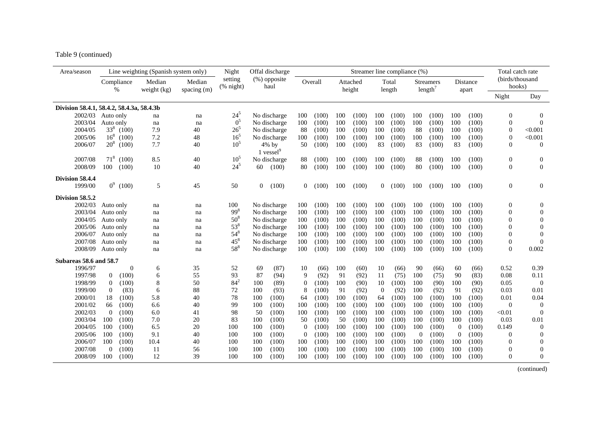Table 9 (continued)

| Area/season                               |                         | Line weighting (Spanish system only) |                       | Night                | Offal discharge          |          |         |     |                    |                | Streamer line compliance (%) |          |                                         |                |                   | Total catch rate          |                  |
|-------------------------------------------|-------------------------|--------------------------------------|-----------------------|----------------------|--------------------------|----------|---------|-----|--------------------|----------------|------------------------------|----------|-----------------------------------------|----------------|-------------------|---------------------------|------------------|
|                                           | Compliance<br>$\%$      | Median<br>weight (kg)                | Median<br>spacing (m) | setting<br>(% night) | (%) opposite<br>haul     |          | Overall |     | Attached<br>height |                | Total<br>length              |          | <b>Streamers</b><br>length <sup>7</sup> |                | Distance<br>apart | (birds/thousand<br>hooks) |                  |
|                                           |                         |                                      |                       |                      |                          |          |         |     |                    |                |                              |          |                                         |                |                   | Night                     | Day              |
| Division 58.4.1, 58.4.2, 58.4.3a, 58.4.3b |                         |                                      |                       |                      |                          |          |         |     |                    |                |                              |          |                                         |                |                   |                           |                  |
| 2002/03                                   | Auto only               | na                                   | na                    | $24^{5}$             | No discharge             | 100      | (100)   | 100 | (100)              | 100            | (100)                        | 100      | (100)                                   | 100            | (100)             | $\boldsymbol{0}$          | $\overline{0}$   |
| 2003/04                                   | Auto only               | na                                   | na                    | 0 <sup>5</sup>       | No discharge             | 100      | (100)   | 100 | (100)              | 100            | (100)                        | 100      | (100)                                   | 100            | (100)             | $\theta$                  | $\theta$         |
| 2004/05                                   | $33^{8}$<br>(100)       | 7.9                                  | 40                    | $26^{5}$             | No discharge             | 88       | (100)   | 100 | (100)              | 100            | (100)                        | 88       | (100)                                   | 100            | (100)             | $\boldsymbol{0}$          | < 0.001          |
| 2005/06                                   | $16^{8}$<br>(100)       | 7.2                                  | 48                    | 16 <sup>5</sup>      | No discharge             | 100      | (100)   | 100 | (100)              | 100            | (100)                        | 100      | (100)                                   | 100            | (100)             | $\overline{0}$            | < 0.001          |
| 2006/07                                   | $20^8$ (100)            | 7.7                                  | 40                    | 10 <sup>5</sup>      | $4\%$ by<br>1 vessel $9$ | 50       | (100)   | 100 | (100)              | 83             | (100)                        | 83       | (100)                                   | 83             | (100)             | $\Omega$                  | $\Omega$         |
| 2007/08                                   | $71^{8}$<br>(100)       | 8.5                                  | 40                    | 10 <sup>5</sup>      | No discharge             | 88       | (100)   | 100 | (100)              | 100            | (100)                        | 88       | (100)                                   | 100            | (100)             | $\mathbf{0}$              | $\boldsymbol{0}$ |
| 2008/09                                   | 100<br>(100)            | 10                                   | 40                    | $24^{5}$             | 60<br>(100)              | 80       | (100)   | 100 | (100)              | 100            | (100)                        | 80       | (100)                                   | 100            | (100)             | $\mathbf{0}$              | $\theta$         |
| Division 58.4.4                           |                         |                                      |                       |                      |                          |          |         |     |                    |                |                              |          |                                         |                |                   |                           |                  |
| 1999/00                                   | $0^9$ (100)             | 5                                    | 45                    | 50                   | $\overline{0}$<br>(100)  | $\Omega$ | (100)   | 100 | (100)              | $\overline{0}$ | (100)                        | 100      | (100)                                   | 100            | (100)             | $\mathbf{0}$              | $\theta$         |
| Division 58.5.2                           |                         |                                      |                       |                      |                          |          |         |     |                    |                |                              |          |                                         |                |                   |                           |                  |
| 2002/03                                   | Auto only               | na                                   | na                    | 100                  | No discharge             | 100      | (100)   | 100 | (100)              | 100            | (100)                        | 100      | (100)                                   | 100            | (100)             | $\overline{0}$            | $\Omega$         |
| 2003/04                                   | Auto only               | na                                   | na                    | $99^{8}$             | No discharge             | 100      | (100)   | 100 | (100)              | 100            | (100)                        | 100      | (100)                                   | 100            | (100)             | $\theta$                  | $\theta$         |
| 2004/05                                   | Auto only               | na                                   | na                    | $50^{8}$             | No discharge             | 100      | (100)   | 100 | (100)              | 100            | (100)                        | 100      | (100)                                   | 100            | (100)             | $\mathbf{0}$              | $\boldsymbol{0}$ |
| 2005/06                                   | Auto only               | na                                   | na                    | $53^{8}$             | No discharge             | 100      | (100)   | 100 | (100)              | 100            | (100)                        | 100      | (100)                                   | 100            | (100)             | $\mathbf{0}$              | $\theta$         |
| 2006/07                                   | Auto only               | na                                   | na                    | $54^{8}$             | No discharge             | 100      | (100)   | 100 | (100)              | 100            | (100)                        | 100      | (100)                                   | 100            | (100)             | $\mathbf{0}$              | $\theta$         |
| 2007/08                                   | Auto only               | na                                   | na                    | $45^{8}$             | No discharge             | 100      | (100)   | 100 | (100)              | 100            | (100)                        | 100      | (100)                                   | 100            | (100)             | $\boldsymbol{0}$          | $\Omega$         |
| 2008/09                                   | Auto only               | na                                   | na                    | $58^{8}$             | No discharge             | 100      | (100)   | 100 | (100)              | 100            | (100)                        | 100      | (100)                                   | 100            | (100)             | $\Omega$                  | 0.002            |
| Subareas 58.6 and 58.7                    |                         |                                      |                       |                      |                          |          |         |     |                    |                |                              |          |                                         |                |                   |                           |                  |
| 1996/97                                   | $\theta$                | 6                                    | 35                    | 52                   | (87)<br>69               | 10       | (66)    | 100 | (60)               | 10             | (66)                         | 90       | (66)                                    | 60             | (66)              | 0.52                      | 0.39             |
| 1997/98                                   | $\overline{0}$<br>(100) | 6                                    | 55                    | 93                   | 87<br>(94)               | 9        | (92)    | 91  | (92)               | 11             | (75)                         | 100      | (75)                                    | 90             | (83)              | 0.08                      | 0.11             |
| 1998/99                                   | (100)<br>$\theta$       | 8                                    | 50                    | $84^{2}$             | 100<br>(89)              | $\Omega$ | (100)   | 100 | (90)               | 10             | (100)                        | 100      | (90)                                    | 100            | (90)              | 0.05                      | $\theta$         |
| 1999/00                                   | (83)<br>$\mathbf{0}$    | 6                                    | 88                    | 72                   | 100<br>(93)              | 8        | (100)   | 91  | (92)               | $\theta$       | (92)                         | 100      | (92)                                    | 91             | (92)              | 0.03                      | 0.01             |
| 2000/01                                   | 18<br>(100)             | 5.8                                  | 40                    | 78                   | 100<br>(100)             | 64       | (100)   | 100 | (100)              | 64             | (100)                        | 100      | (100)                                   | 100            | (100)             | 0.01                      | 0.04             |
| 2001/02                                   | (100)<br>66             | 6.6                                  | 40                    | 99                   | 100<br>(100)             | 100      | (100)   | 100 | (100)              | 100            | (100)                        | 100      | (100)                                   | 100            | (100)             | $\theta$                  | $\theta$         |
| 2002/03                                   | $\overline{0}$<br>(100) | 6.0                                  | 41                    | 98                   | 50<br>(100)              | 100      | (100)   | 100 | (100)              | 100            | (100)                        | 100      | (100)                                   | 100            | (100)             | < 0.01                    | $\overline{0}$   |
| 2003/04                                   | 100<br>(100)            | 7.0                                  | 20                    | 83                   | 100<br>(100)             | 50       | (100)   | 50  | (100)              | 100            | (100)                        | 100      | (100)                                   | 100            | (100)             | 0.03                      | 0.01             |
| 2004/05                                   | 100<br>(100)            | 6.5                                  | 20                    | 100                  | 100<br>(100)             | $\Omega$ | (100)   | 100 | (100)              | 100            | (100)                        | 100      | (100)                                   | $\Omega$       | (100)             | 0.149                     | $\Omega$         |
| 2005/06                                   | 100<br>(100)            | 9.1                                  | 40                    | 100                  | 100<br>(100)             | 0        | (100)   | 100 | (100)              | 100            | (100)                        | $\theta$ | (100)                                   | $\overline{0}$ | (100)             | $\theta$                  | $\Omega$         |
| 2006/07                                   | 100<br>(100)            | 10.4                                 | 40                    | 100                  | 100<br>(100)             | 100      | (100)   | 100 | (100)              | 100            | (100)                        | 100      | (100)                                   | 100            | (100)             | $\Omega$                  | $\Omega$         |
| 2007/08                                   | (100)<br>$\Omega$       | 11                                   | 56                    | 100                  | 100<br>(100)             | 100      | (100)   | 100 | (100)              | 100            | (100)                        | 100      | (100)                                   | 100            | (100)             | $\boldsymbol{0}$          | $\theta$         |
| 2008/09                                   | 100<br>(100)            | 12                                   | 39                    | 100                  | 100<br>(100)             | 100      | (100)   | 100 | (100)              | 100            | (100)                        | 100      | (100)                                   | 100            | (100)             | $\Omega$                  | $\mathbf{0}$     |

(continued)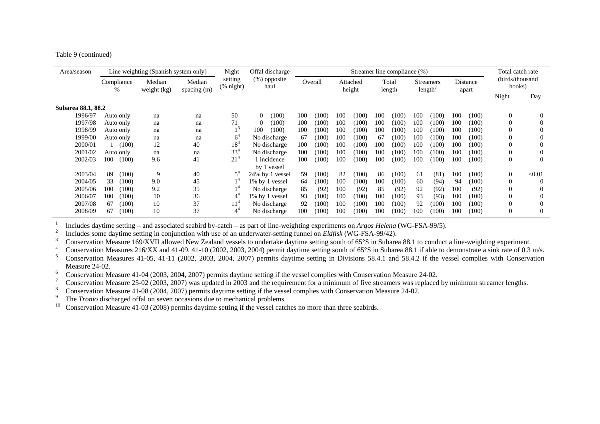Table 9 (continued)

| Area/season        |                 | Line weighting (Spanish system only) |                         | Night                | Offal discharge      |     |         |     |                    |     | Streamer line compliance (%) |     |                            |     |                   | Total catch rate          |          |
|--------------------|-----------------|--------------------------------------|-------------------------|----------------------|----------------------|-----|---------|-----|--------------------|-----|------------------------------|-----|----------------------------|-----|-------------------|---------------------------|----------|
|                    | Compliance<br>% | Median<br>weight (kg)                | Median<br>spacing $(m)$ | setting<br>(% night) | (%) opposite<br>haul |     | Overall |     | Attached<br>height |     | Total<br>length              |     | <b>Streamers</b><br>length |     | Distance<br>apart | (birds/thousand<br>hooks) |          |
|                    |                 |                                      |                         |                      |                      |     |         |     |                    |     |                              |     |                            |     |                   | Night                     | Day      |
| Subarea 88.1, 88.2 |                 |                                      |                         |                      |                      |     |         |     |                    |     |                              |     |                            |     |                   |                           |          |
| 1996/97            | Auto only       | na                                   | na                      | 50                   | $\Omega$<br>(100)    | 100 | (100)   | 100 | (100)              | 100 | (100)                        | 100 | (100)                      | 100 | (100)             | $\left($                  | $\Omega$ |
| 1997/98            | Auto only       | na                                   | na                      | 71                   | (100)<br>$\Omega$    | 100 | (100)   | 100 | (100)              | 100 | (100)                        | 100 | (100)                      | 100 | (100)             | $\Omega$                  | 0        |
| 1998/99            | Auto only       | na                                   | na                      |                      | 100<br>(100)         | 100 | (100)   | 100 | (100)              | 100 | (100)                        | 100 | (100)                      | 100 | (100)             | $\bf{0}$                  | C        |
| 1999/00            | Auto only       | na                                   | na                      | 6                    | No discharge         | 67  | (100)   | 100 | (100)              | 67  | (100)                        | 100 | (100)                      | 100 | (100)             | 0                         |          |
| 2000/01            | (100)           | 12                                   | 40                      | 18'                  | No discharge         | 100 | (100)   | 100 | (100)              | 100 | (100)                        | 100 | (100)                      | 100 | (100)             | 0                         |          |
| 2001/02            | Auto only       | na                                   | na                      | $33^{4}$             | No discharge         | 100 | (100)   | 100 | (100)              | 100 | (100)                        | 100 | (100)                      | 100 | (100)             | $\Omega$                  | $\Omega$ |
| 2002/03            | 100<br>(100)    | 9.6                                  | 41                      | $21^{4}$             | 1 incidence          | 100 | (100)   | 100 | (100)              | 100 | (100)                        | 100 | (100)                      | 100 | (100)             | $\Omega$                  | $\Omega$ |
|                    |                 |                                      |                         |                      | by 1 yessel          |     |         |     |                    |     |                              |     |                            |     |                   |                           |          |
| 2003/04            | 89<br>(100)     | 9                                    | 40                      | $5^{\circ}$          | 24% by 1 yessel      | 59  | (100)   | 82  | (100)              | 86  | (100)                        | 61  | (81)                       | 100 | (100)             | $\theta$                  | < 0.01   |
| 2004/05            | 33<br>(100)     | 9.0                                  | 45                      |                      | 1% by 1 vessel       | 64  | (100)   | 100 | (100)              | 100 | (100)                        | 60  | (94)                       | 94  | (100)             | $\Omega$                  | $\Omega$ |
| 2005/06            | 100<br>(100)    | 9.2                                  | 35                      |                      | No discharge         | 85  | (92)    | 100 | (92)               | 85  | (92)                         | 92  | (92)                       | 100 | (92)              | $\Omega$                  |          |
| 2006/07            | 100<br>(100)    | 10                                   | 36                      |                      | 1% by 1 vessel       | 93  | (100)   | 100 | (100)              | 100 | (100)                        | 93  | (93)                       | 100 | (100)             | 0                         |          |
| 2007/08            | (100)<br>67     | 10                                   | 37                      | $11^{\circ}$         | No discharge         | 92  | (100)   | 100 | (100)              | 100 | (100)                        | 92  | (100)                      | 100 | (100)             | 0                         | $\Omega$ |
| 2008/09            | 67<br>(100)     | 10                                   | 37                      | $4^4$                | No discharge         | 100 | (100)   | 100 | (100)              | 100 | (100)                        | 100 | (100)                      | 100 | (100)             | 0                         | $\Omega$ |

Includes daytime setting – and associated seabird by-catch – as part of line-weighting experiments on *Argos Helena* (WG-FSA-99/5).<br>
Includes some daytime setting in conjunction with use of an underwater-setting funnel on

Measure 24-02.<br>
<sup>6</sup> Conservation Measure 41-04 (2003, 2004, 2007) permits daytime setting if the vessel complies with Conservation Measure 24-02.

Conservation Measure 25-02 (2003, 2007) was updated in 2003 and the requirement for a minimum of five streamers was replaced by minimum streamer lengths.<br>Conservation Measure 41-08 (2004, 2007) permits daytime setting if t

The *Tronio* discharged offal on seven occasions due to mechanical problems.

<sup>10</sup> Conservation Measure 41-03 (2008) permits daytime setting if the vessel catches no more than three seabirds.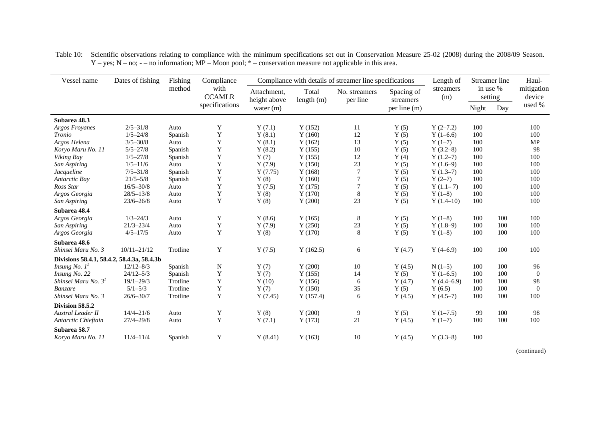| Vessel name                                | Dates of fishing | Fishing  | Compliance            |                             |                       | Compliance with details of streamer line specifications |                         | Length of        |                     | Streamer line | Haul-                |
|--------------------------------------------|------------------|----------|-----------------------|-----------------------------|-----------------------|---------------------------------------------------------|-------------------------|------------------|---------------------|---------------|----------------------|
|                                            |                  | method   | with<br><b>CCAMLR</b> | Attachment,<br>height above | Total<br>length $(m)$ | No. streamers<br>per line                               | Spacing of<br>streamers | streamers<br>(m) | in use %<br>setting |               | mitigation<br>device |
|                                            |                  |          | specifications        | water $(m)$                 |                       |                                                         | per line (m)            |                  | Night               | Day           | used %               |
| Subarea 48.3                               |                  |          |                       |                             |                       |                                                         |                         |                  |                     |               |                      |
| <b>Argos Froyanes</b>                      | $2/5 - 31/8$     | Auto     | Y                     | Y(7.1)                      | Y(152)                | 11                                                      | Y(5)                    | $Y(2-7.2)$       | 100                 |               | 100                  |
| Tronio                                     | $1/5 - 24/8$     | Spanish  | Y                     | Y(8.1)                      | Y(160)                | 12                                                      | Y(5)                    | $Y(1-6.6)$       | 100                 |               | 100                  |
| Argos Helena                               | $3/5 - 30/8$     | Auto     | Y                     | Y(8.1)                      | Y(162)                | 13                                                      | Y(5)                    | $Y(1-7)$         | 100                 |               | MP                   |
| Koryo Maru No. 11                          | $5/5 - 27/8$     | Spanish  | Y                     | Y(8.2)                      | Y(155)                | $10\,$                                                  | Y(5)                    | $Y(3.2-8)$       | 100                 |               | 98                   |
| Viking Bay                                 | $1/5 - 27/8$     | Spanish  | Y                     | Y(7)                        | Y(155)                | 12                                                      | Y(4)                    | $Y(1.2-7)$       | 100                 |               | 100                  |
| San Aspiring                               | $1/5 - 11/6$     | Auto     | Y                     | Y(7.9)                      | Y(150)                | 23                                                      | Y(5)                    | $Y(1.6-9)$       | 100                 |               | 100                  |
| Jacqueline                                 | $7/5 - 31/8$     | Spanish  | Y                     | Y(7.75)                     | Y(168)                | $\overline{7}$                                          | Y(5)                    | $Y(1.3-7)$       | 100                 |               | 100                  |
| Antarctic Bay                              | $21/5 - 5/8$     | Spanish  | Y                     | Y(8)                        | Y(160)                | $\overline{7}$                                          | Y(5)                    | $Y(2-7)$         | 100                 |               | 100                  |
| Ross Star                                  | $16/5 - 30/8$    | Auto     | Y                     | Y(7.5)                      | Y(175)                | $\overline{7}$                                          | Y(5)                    | $Y(1.1-7)$       | 100                 |               | 100                  |
| Argos Georgia                              | $28/5 - 13/8$    | Auto     | Y                     | Y(8)                        | Y(170)                | $\,8\,$                                                 | Y(5)                    | $Y(1-8)$         | 100                 |               | 100                  |
| San Aspiring                               | $23/6 - 26/8$    | Auto     | Y                     | Y(8)                        | Y(200)                | 23                                                      | Y(5)                    | $Y(1.4-10)$      | 100                 |               | 100                  |
| Subarea 48.4                               |                  |          |                       |                             |                       |                                                         |                         |                  |                     |               |                      |
| Argos Georgia                              | $1/3 - 24/3$     | Auto     | Y                     | Y(8.6)                      | Y(165)                | 8                                                       | Y(5)                    | $Y(1-8)$         | 100                 | 100           | 100                  |
| San Aspiring                               | $21/3 - 23/4$    | Auto     | $\mathbf Y$           | Y(7.9)                      | Y(250)                | $23\,$                                                  | Y(5)                    | $Y(1.8-9)$       | 100                 | 100           | 100                  |
| Argos Georgia                              | $4/5 - 17/5$     | Auto     | Y                     | Y(8)                        | Y(170)                | 8                                                       | Y(5)                    | $Y(1-8)$         | 100                 | 100           | 100                  |
| Subarea 48.6                               |                  |          |                       |                             |                       |                                                         |                         |                  |                     |               |                      |
| Shinsei Maru No. 3                         | $10/11 - 21/12$  | Trotline | Y                     | Y(7.5)                      | Y(162.5)              | 6                                                       | Y(4.7)                  | $Y(4-6.9)$       | 100                 | 100           | 100                  |
| Divisions 58.4.1, 58.4.2, 58.4.3a, 58.4.3b |                  |          |                       |                             |                       |                                                         |                         |                  |                     |               |                      |
| <i>Insung No.</i> $I^{\prime}$             | $12/12 - 8/3$    | Spanish  | N                     | Y(7)                        | Y(200)                | 10                                                      | Y(4.5)                  | $N(1-5)$         | 100                 | 100           | 96                   |
| Insung No. 22                              | $24/12 - 5/3$    | Spanish  | $\mathbf Y$           | Y(7)                        | Y(155)                | 14                                                      | Y(5)                    | $Y(1-6.5)$       | 100                 | 100           | $\overline{0}$       |
| Shinsei Maru No. 3 <sup>1</sup>            | $19/1 - 29/3$    | Trotline | Y                     | Y(10)                       | Y(156)                | 6                                                       | Y(4.7)                  | $Y(4.4-6.9)$     | 100                 | 100           | 98                   |
| <b>Banzare</b>                             | $5/1 - 5/3$      | Trotline | Y                     | Y(7)                        | Y(150)                | 35                                                      | Y(5)                    | Y(6.5)           | 100                 | 100           | $\boldsymbol{0}$     |
| Shinsei Maru No. 3                         | $26/6 - 30/7$    | Trotline | $\mathbf Y$           | Y(7.45)                     | Y(157.4)              | 6                                                       | Y(4.5)                  | $Y(4.5-7)$       | 100                 | 100           | 100                  |
| Division 58.5.2                            |                  |          |                       |                             |                       |                                                         |                         |                  |                     |               |                      |
| <b>Austral Leader II</b>                   | $14/4 - 21/6$    | Auto     | $\mathbf Y$           | Y(8)                        | Y(200)                | 9                                                       | Y(5)                    | $Y(1-7.5)$       | 99                  | 100           | 98                   |
| Antarctic Chieftain                        | $27/4 - 29/8$    | Auto     | $\mathbf Y$           | Y(7.1)                      | Y(173)                | 21                                                      | Y(4.5)                  | $Y(1-7)$         | 100                 | 100           | 100                  |
| Subarea 58.7                               |                  |          |                       |                             |                       |                                                         |                         |                  |                     |               |                      |
| Koryo Maru No. 11                          | $11/4 - 11/4$    | Spanish  | Y                     | Y(8.41)                     | Y(163)                | 10                                                      | Y(4.5)                  | $Y(3.3-8)$       | 100                 |               |                      |

Table 10: Scientific observations relating to compliance with the minimum specifications set out in Conservation Measure 25-02 (2008) during the 2008/09 Season.  $Y - yes$ ; N – no; - – no information; MP – Moon pool; \* – conservation measure not applicable in this area.

(continued)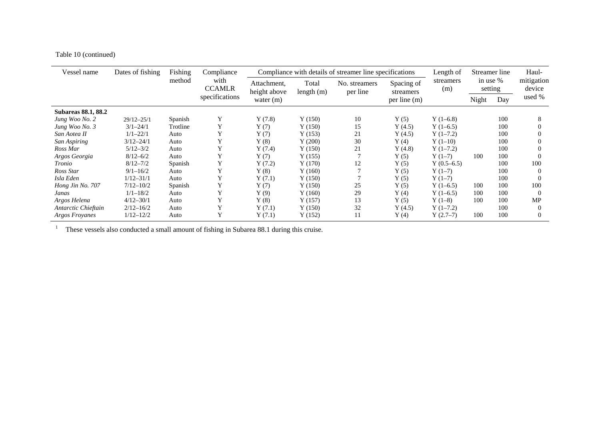## Table 10 (continued)

| Vessel name                | Dates of fishing | Fishing  | Compliance            |                             |                       | Compliance with details of streamer line specifications |                         | Length of        |       | Streamer line       | Haul-                |
|----------------------------|------------------|----------|-----------------------|-----------------------------|-----------------------|---------------------------------------------------------|-------------------------|------------------|-------|---------------------|----------------------|
|                            |                  | method   | with<br><b>CCAMLR</b> | Attachment,<br>height above | Total<br>length $(m)$ | No. streamers<br>per line                               | Spacing of<br>streamers | streamers<br>(m) |       | in use %<br>setting | mitigation<br>device |
|                            |                  |          | specifications        | water $(m)$                 |                       |                                                         | per line (m)            |                  | Night | Day                 | used %               |
| <b>Subareas 88.1, 88.2</b> |                  |          |                       |                             |                       |                                                         |                         |                  |       |                     |                      |
| Jung Woo No. 2             | $29/12 - 25/1$   | Spanish  | Y                     | Y(7.8)                      | Y(150)                | 10                                                      | Y(5)                    | $Y(1-6.8)$       |       | 100                 | 8                    |
| Jung Woo No. 3             | $3/1 - 24/1$     | Trotline | Y                     | Y(7)                        | Y(150)                | 15                                                      | Y(4.5)                  | $Y(1-6.5)$       |       | 100                 | 0                    |
| San Aotea II               | $1/1 - 22/1$     | Auto     | Y                     | Y(7)                        | Y(153)                | 21                                                      | Y(4.5)                  | $Y(1-7.2)$       |       | 100                 | 0                    |
| San Aspiring               | $3/12 - 24/1$    | Auto     | Y                     | Y(8)                        | Y(200)                | 30                                                      | Y(4)                    | $Y(1-10)$        |       | 100                 | 0                    |
| Ross Mar                   | $5/12 - 3/2$     | Auto     |                       | Y(7.4)                      | Y(150)                | 21                                                      | Y(4.8)                  | $Y(1-7.2)$       |       | 100                 | 0                    |
| Argos Georgia              | $8/12 - 6/2$     | Auto     | Y                     | Y(7)                        | Y(155)                |                                                         | Y(5)                    | $Y(1-7)$         | 100   | 100                 | 0                    |
| Tronio                     | $8/12 - 7/2$     | Spanish  | Y                     | Y(7.2)                      | Y(170)                | 12                                                      | Y(5)                    | $Y(0.5-6.5)$     |       | 100                 | 100                  |
| Ross Star                  | $9/1 - 16/2$     | Auto     | Y                     | Y(8)                        | Y(160)                |                                                         | Y(5)                    | $Y(1-7)$         |       | 100                 | $\Omega$             |
| Isla Eden                  | $1/12 - 31/1$    | Auto     |                       | Y(7.1)                      | Y(150)                |                                                         | Y(5)                    | $Y(1-7)$         |       | 100                 | $\Omega$             |
| Hong Jin No. 707           | $7/12 - 10/2$    | Spanish  | Y                     | Y(7)                        | Y(150)                | 25                                                      | Y(5)                    | $Y(1-6.5)$       | 100   | 100                 | 100                  |
| Janas                      | $1/1 - 18/2$     | Auto     | v                     | Y(9)                        | Y(160)                | 29                                                      | Y(4)                    | $Y(1-6.5)$       | 100   | 100                 | $\Omega$             |
| Argos Helena               | $4/12 - 30/1$    | Auto     | v                     | Y(8)                        | Y(157)                | 13                                                      | Y(5)                    | $Y(1-8)$         | 100   | 100                 | MP                   |
| Antarctic Chieftain        | $2/12 - 16/2$    | Auto     | Y                     | Y(7.1)                      | Y(150)                | 32                                                      | Y(4.5)                  | $Y(1-7.2)$       |       | 100                 | $\Omega$             |
| Argos Froyanes             | $1/12 - 12/2$    | Auto     | v                     | Y(7.1)                      | Y(152)                | 11                                                      | Y(4)                    | $Y(2.7-7)$       | 100   | 100                 | 0                    |

<sup>1</sup> These vessels also conducted a small amount of fishing in Subarea 88.1 during this cruise.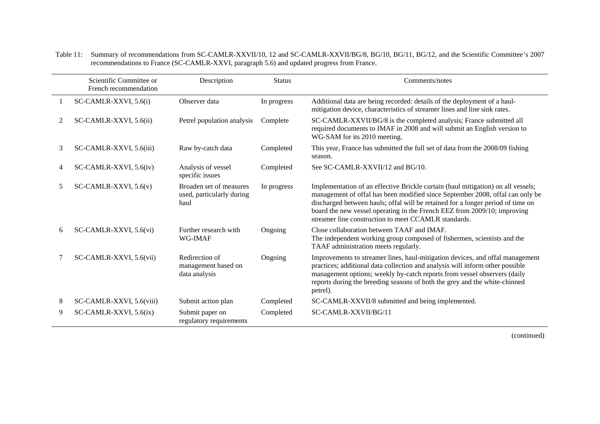|   | Scientific Committee or<br>French recommendation | Description                                                  | <b>Status</b> | Comments/notes                                                                                                                                                                                                                                                                                                                                                                           |
|---|--------------------------------------------------|--------------------------------------------------------------|---------------|------------------------------------------------------------------------------------------------------------------------------------------------------------------------------------------------------------------------------------------------------------------------------------------------------------------------------------------------------------------------------------------|
|   | SC-CAMLR-XXVI, 5.6(i)                            | Observer data                                                | In progress   | Additional data are being recorded: details of the deployment of a haul-<br>mitigation device, characteristics of streamer lines and line sink rates.                                                                                                                                                                                                                                    |
| 2 | SC-CAMLR-XXVI, 5.6(ii)                           | Petrel population analysis                                   | Complete      | SC-CAMLR-XXVII/BG/8 is the completed analysis; France submitted all<br>required documents to IMAF in 2008 and will submit an English version to<br>WG-SAM for its 2010 meeting.                                                                                                                                                                                                          |
| 3 | SC-CAMLR-XXVI, 5.6(iii)                          | Raw by-catch data                                            | Completed     | This year, France has submitted the full set of data from the 2008/09 fishing<br>season.                                                                                                                                                                                                                                                                                                 |
| 4 | SC-CAMLR-XXVI, 5.6(iv)                           | Analysis of vessel<br>specific issues                        | Completed     | See SC-CAMLR-XXVII/12 and BG/10.                                                                                                                                                                                                                                                                                                                                                         |
| 5 | SC-CAMLR-XXVI, $5.6(v)$                          | Broaden set of measures<br>used, particularly during<br>haul | In progress   | Implementation of an effective Brickle curtain (haul mitigation) on all vessels;<br>management of offal has been modified since September 2008, offal can only be<br>discharged between hauls; offal will be retained for a longer period of time on<br>board the new vessel operating in the French EEZ from 2009/10; improving<br>streamer line construction to meet CCAMLR standards. |
| 6 | SC-CAMLR-XXVI, 5.6(vi)                           | Further research with<br>WG-IMAF                             | Ongoing       | Close collaboration between TAAF and IMAF.<br>The independent working group composed of fishermen, scientists and the<br>TAAF administration meets regularly.                                                                                                                                                                                                                            |
|   | SC-CAMLR-XXVI, 5.6(vii)                          | Redirection of<br>management based on<br>data analysis       | Ongoing       | Improvements to streamer lines, haul-mitigation devices, and offal management<br>practices; additional data collection and analysis will inform other possible<br>management options; weekly by-catch reports from vessel observers (daily<br>reports during the breeding seasons of both the grey and the white-chinned<br>petrel).                                                     |
| 8 | SC-CAMLR-XXVI, 5.6(viii)                         | Submit action plan                                           | Completed     | SC-CAMLR-XXVII/8 submitted and being implemented.                                                                                                                                                                                                                                                                                                                                        |
| 9 | $SC-CAMLR-XXVI, 5.6(ix)$                         | Submit paper on<br>regulatory requirements                   | Completed     | SC-CAMLR-XXVII/BG/11                                                                                                                                                                                                                                                                                                                                                                     |

Table 11: Summary of recommendations from SC-CAMLR-XXVII/10, 12 and SC-CAMLR-XXVII/BG/8, BG/10, BG/11, BG/12, and the Scientific Committee's 2007 recommendations to France (SC-CAMLR-XXVI, paragraph 5.6) and updated progress from France.

(continued)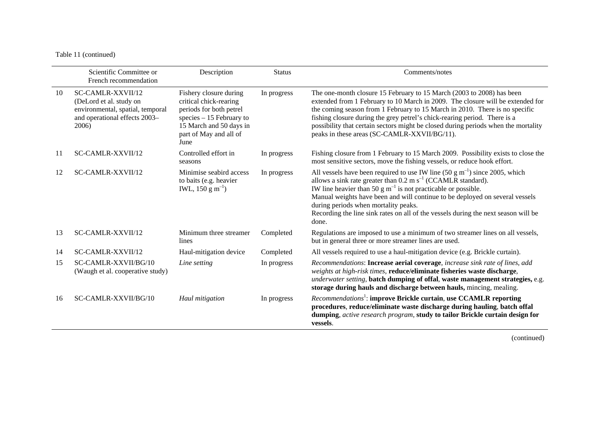#### Table 11 (continued)

|     | Scientific Committee or<br>French recommendation                                                                           | Description                                                                                                                                                           | <b>Status</b> | Comments/notes                                                                                                                                                                                                                                                                                                                                                                                                                                                    |
|-----|----------------------------------------------------------------------------------------------------------------------------|-----------------------------------------------------------------------------------------------------------------------------------------------------------------------|---------------|-------------------------------------------------------------------------------------------------------------------------------------------------------------------------------------------------------------------------------------------------------------------------------------------------------------------------------------------------------------------------------------------------------------------------------------------------------------------|
| 10  | SC-CAMLR-XXVII/12<br>(DeLord et al. study on<br>environmental, spatial, temporal<br>and operational effects 2003-<br>2006) | Fishery closure during<br>critical chick-rearing<br>periods for both petrel<br>species $-15$ February to<br>15 March and 50 days in<br>part of May and all of<br>June | In progress   | The one-month closure 15 February to 15 March (2003 to 2008) has been<br>extended from 1 February to 10 March in 2009. The closure will be extended for<br>the coming season from 1 February to 15 March in 2010. There is no specific<br>fishing closure during the grey petrel's chick-rearing period. There is a<br>possibility that certain sectors might be closed during periods when the mortality<br>peaks in these areas (SC-CAMLR-XXVII/BG/11).         |
| -11 | SC-CAMLR-XXVII/12                                                                                                          | Controlled effort in<br>seasons                                                                                                                                       | In progress   | Fishing closure from 1 February to 15 March 2009. Possibility exists to close the<br>most sensitive sectors, move the fishing vessels, or reduce hook effort.                                                                                                                                                                                                                                                                                                     |
| 12  | SC-CAMLR-XXVII/12                                                                                                          | Minimise seabird access<br>to baits (e.g. heavier<br>IWL, $150 \text{ g m}^{-1}$ )                                                                                    | In progress   | All vessels have been required to use IW line $(50 \text{ g m}^{-1})$ since 2005, which<br>allows a sink rate greater than $0.2 \text{ m s}^{-1}$ (CCAMLR standard).<br>IW line heavier than 50 g $m^{-1}$ is not practicable or possible.<br>Manual weights have been and will continue to be deployed on several vessels<br>during periods when mortality peaks.<br>Recording the line sink rates on all of the vessels during the next season will be<br>done. |
| 13  | SC-CAMLR-XXVII/12                                                                                                          | Minimum three streamer<br>lines                                                                                                                                       | Completed     | Regulations are imposed to use a minimum of two streamer lines on all vessels,<br>but in general three or more streamer lines are used.                                                                                                                                                                                                                                                                                                                           |
| 14  | SC-CAMLR-XXVII/12                                                                                                          | Haul-mitigation device                                                                                                                                                | Completed     | All vessels required to use a haul-mitigation device (e.g. Brickle curtain).                                                                                                                                                                                                                                                                                                                                                                                      |
| 15  | SC-CAMLR-XXVII/BG/10<br>(Waugh et al. cooperative study)                                                                   | Line setting                                                                                                                                                          | In progress   | Recommendations: Increase aerial coverage, increase sink rate of lines, add<br>weights at high-risk times, reduce/eliminate fisheries waste discharge,<br>underwater setting, batch dumping of offal, waste management strategies, e.g.<br>storage during hauls and discharge between hauls, mincing, mealing.                                                                                                                                                    |
| 16  | SC-CAMLR-XXVII/BG/10                                                                                                       | Haul mitigation                                                                                                                                                       | In progress   | Recommendations <sup>1</sup> : improve Brickle curtain, use CCAMLR reporting<br>procedures, reduce/eliminate waste discharge during hauling, batch offal<br>dumping, active research program, study to tailor Brickle curtain design for<br>vessels.                                                                                                                                                                                                              |

(continued)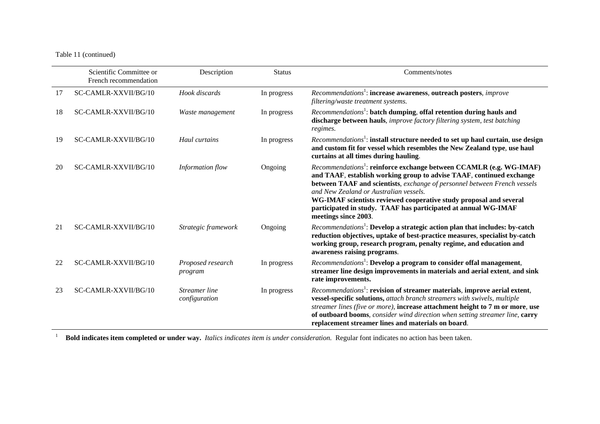#### Table 11 (continued)

|    | Scientific Committee or<br>French recommendation | Description                    | <b>Status</b> | Comments/notes                                                                                                                                                                                                                                                                                                                                                                                                                                 |
|----|--------------------------------------------------|--------------------------------|---------------|------------------------------------------------------------------------------------------------------------------------------------------------------------------------------------------------------------------------------------------------------------------------------------------------------------------------------------------------------------------------------------------------------------------------------------------------|
| 17 | SC-CAMLR-XXVII/BG/10                             | Hook discards                  | In progress   | Recommendations <sup>1</sup> : increase awareness, outreach posters, <i>improve</i><br>filtering/waste treatment systems.                                                                                                                                                                                                                                                                                                                      |
| 18 | SC-CAMLR-XXVII/BG/10                             | Waste management               | In progress   | Recommendations <sup>1</sup> : batch dumping, offal retention during hauls and<br>discharge between hauls, improve factory filtering system, test batching<br>regimes.                                                                                                                                                                                                                                                                         |
| 19 | SC-CAMLR-XXVII/BG/10                             | Haul curtains                  | In progress   | Recommendations <sup>1</sup> : install structure needed to set up haul curtain, use design<br>and custom fit for vessel which resembles the New Zealand type, use haul<br>curtains at all times during hauling.                                                                                                                                                                                                                                |
| 20 | SC-CAMLR-XXVII/BG/10                             | Information flow               | Ongoing       | Recommendations <sup>1</sup> : reinforce exchange between CCAMLR (e.g. WG-IMAF)<br>and TAAF, establish working group to advise TAAF, continued exchange<br>between TAAF and scientists, exchange of personnel between French vessels<br>and New Zealand or Australian vessels.<br>WG-IMAF scientists reviewed cooperative study proposal and several<br>participated in study. TAAF has participated at annual WG-IMAF<br>meetings since 2003. |
| 21 | SC-CAMLR-XXVII/BG/10                             | Strategic framework            | Ongoing       | Recommendations <sup>1</sup> : Develop a strategic action plan that includes: by-catch<br>reduction objectives, uptake of best-practice measures, specialist by-catch<br>working group, research program, penalty regime, and education and<br>awareness raising programs.                                                                                                                                                                     |
| 22 | SC-CAMLR-XXVII/BG/10                             | Proposed research<br>program   | In progress   | Recommendations <sup>1</sup> : Develop a program to consider offal management,<br>streamer line design improvements in materials and aerial extent, and sink<br>rate improvements.                                                                                                                                                                                                                                                             |
| 23 | SC-CAMLR-XXVII/BG/10                             | Streamer line<br>configuration | In progress   | Recommendations <sup>1</sup> : revision of streamer materials, improve aerial extent,<br>vessel-specific solutions, attach branch streamers with swivels, multiple<br>streamer lines (five or more), increase attachment height to 7 m or more, use<br>of outboard booms, consider wind direction when setting streamer line, carry<br>replacement streamer lines and materials on board.                                                      |

<sup>1</sup> **Bold indicates item completed or under way.** *Italics indicates item is under consideration*. Regular font indicates no action has been taken.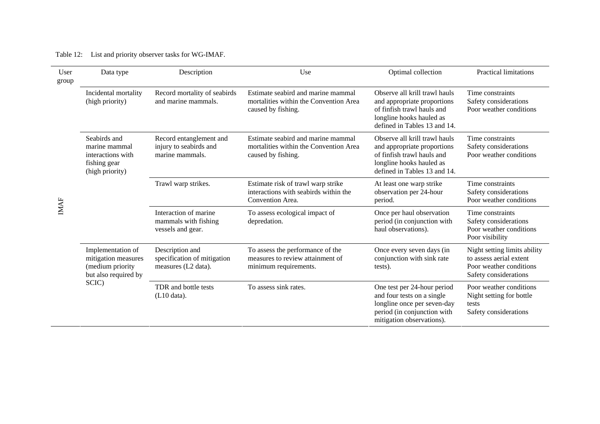| Table 12: |  |  |  |  | List and priority observer tasks for WG-IMAF. |
|-----------|--|--|--|--|-----------------------------------------------|
|-----------|--|--|--|--|-----------------------------------------------|

| User<br>group | Data type                                                                                     | Description                                                           | Use                                                                                                | Optimal collection                                                                                                                                     | <b>Practical limitations</b>                                                                                |
|---------------|-----------------------------------------------------------------------------------------------|-----------------------------------------------------------------------|----------------------------------------------------------------------------------------------------|--------------------------------------------------------------------------------------------------------------------------------------------------------|-------------------------------------------------------------------------------------------------------------|
|               | Incidental mortality<br>(high priority)                                                       | Record mortality of seabirds<br>and marine mammals.                   | Estimate seabird and marine mammal<br>mortalities within the Convention Area<br>caused by fishing. | Observe all krill trawl hauls<br>and appropriate proportions<br>of finfish trawl hauls and<br>longline hooks hauled as<br>defined in Tables 13 and 14. | Time constraints<br>Safety considerations<br>Poor weather conditions                                        |
| IMAF          | Seabirds and<br>marine mammal<br>interactions with<br>fishing gear<br>(high priority)         | Record entanglement and<br>injury to seabirds and<br>marine mammals.  | Estimate seabird and marine mammal<br>mortalities within the Convention Area<br>caused by fishing. | Observe all krill trawl hauls<br>and appropriate proportions<br>of finfish trawl hauls and<br>longline hooks hauled as<br>defined in Tables 13 and 14. | Time constraints<br>Safety considerations<br>Poor weather conditions                                        |
|               |                                                                                               | Trawl warp strikes.                                                   | Estimate risk of trawl warp strike<br>interactions with seabirds within the<br>Convention Area.    | At least one warp strike<br>observation per 24-hour<br>period.                                                                                         | Time constraints<br>Safety considerations<br>Poor weather conditions                                        |
|               |                                                                                               | Interaction of marine<br>mammals with fishing<br>vessels and gear.    | To assess ecological impact of<br>depredation.                                                     | Once per haul observation<br>period (in conjunction with<br>haul observations).                                                                        | Time constraints<br>Safety considerations<br>Poor weather conditions<br>Poor visibility                     |
|               | Implementation of<br>mitigation measures<br>(medium priority<br>but also required by<br>SCIC) | Description and<br>specification of mitigation<br>measures (L2 data). | To assess the performance of the<br>measures to review attainment of<br>minimum requirements.      | Once every seven days (in<br>conjunction with sink rate<br>tests).                                                                                     | Night setting limits ability<br>to assess aerial extent<br>Poor weather conditions<br>Safety considerations |
|               |                                                                                               | TDR and bottle tests<br>(L10 data).                                   | To assess sink rates.                                                                              | One test per 24-hour period<br>and four tests on a single<br>longline once per seven-day<br>period (in conjunction with<br>mitigation observations).   | Poor weather conditions<br>Night setting for bottle<br>tests<br>Safety considerations                       |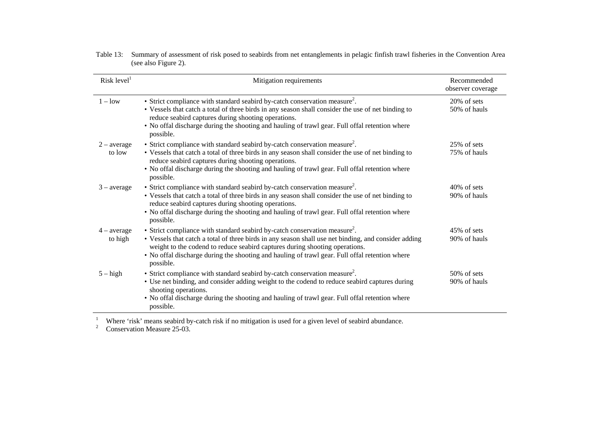| Risk level <sup>1</sup>  | Mitigation requirements                                                                                                                                                                                                                                                                                                                                                                      | Recommended<br>observer coverage |
|--------------------------|----------------------------------------------------------------------------------------------------------------------------------------------------------------------------------------------------------------------------------------------------------------------------------------------------------------------------------------------------------------------------------------------|----------------------------------|
| $1 - low$                | • Strict compliance with standard seabird by-catch conservation measure <sup>2</sup> .<br>• Vessels that catch a total of three birds in any season shall consider the use of net binding to<br>reduce seabird captures during shooting operations.<br>• No offal discharge during the shooting and hauling of trawl gear. Full offal retention where<br>possible.                           | 20% of sets<br>50% of hauls      |
| $2$ – average<br>to low  | • Strict compliance with standard seabird by-catch conservation measure <sup>2</sup> .<br>• Vessels that catch a total of three birds in any season shall consider the use of net binding to<br>reduce seabird captures during shooting operations.<br>• No offal discharge during the shooting and hauling of trawl gear. Full offal retention where<br>possible.                           | 25% of sets<br>75% of hauls      |
| $3$ – average            | • Strict compliance with standard seabird by-catch conservation measure <sup>2</sup> .<br>• Vessels that catch a total of three birds in any season shall consider the use of net binding to<br>reduce seabird captures during shooting operations.<br>• No offal discharge during the shooting and hauling of trawl gear. Full offal retention where<br>possible.                           | $40\%$ of sets<br>90% of hauls   |
| $4 - average$<br>to high | • Strict compliance with standard seabird by-catch conservation measure <sup>2</sup> .<br>• Vessels that catch a total of three birds in any season shall use net binding, and consider adding<br>weight to the codend to reduce seabird captures during shooting operations.<br>• No offal discharge during the shooting and hauling of trawl gear. Full offal retention where<br>possible. | 45% of sets<br>90% of hauls      |
| $5 - high$               | • Strict compliance with standard seabird by-catch conservation measure <sup>2</sup> .<br>• Use net binding, and consider adding weight to the codend to reduce seabird captures during<br>shooting operations.<br>• No offal discharge during the shooting and hauling of trawl gear. Full offal retention where<br>possible.                                                               | $50\%$ of sets<br>90% of hauls   |

| Table 13: Summary of assessment of risk posed to seabirds from net entanglements in pelagic finfish trawl fisheries in the Convention Area |
|--------------------------------------------------------------------------------------------------------------------------------------------|
| (see also Figure 2).                                                                                                                       |

<sup>1</sup> Where 'risk' means seabird by-catch risk if no mitigation is used for a given level of seabird abundance.

 $2^2$  Conservation Measure 25-03.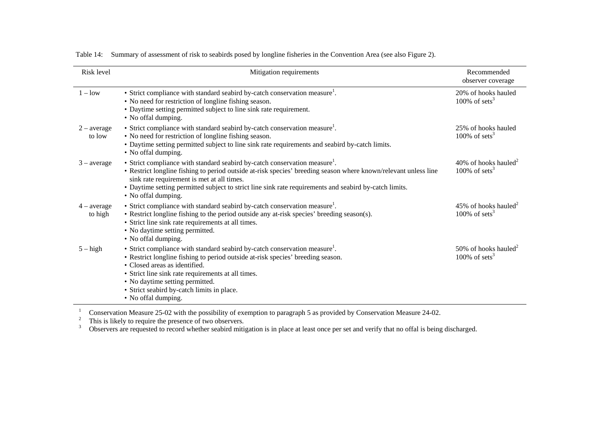| Risk level               | Mitigation requirements                                                                                                                                                                                                                                                                                                                                                                  | Recommended<br>observer coverage                              |
|--------------------------|------------------------------------------------------------------------------------------------------------------------------------------------------------------------------------------------------------------------------------------------------------------------------------------------------------------------------------------------------------------------------------------|---------------------------------------------------------------|
| $1 - low$                | • Strict compliance with standard seabird by-catch conservation measure <sup>1</sup> .<br>• No need for restriction of longline fishing season.<br>• Daytime setting permitted subject to line sink rate requirement.<br>• No offal dumping.                                                                                                                                             | 20% of hooks hauled<br>100% of sets <sup>3</sup>              |
| $2$ – average<br>to low  | • Strict compliance with standard seabird by-catch conservation measure <sup>1</sup> .<br>• No need for restriction of longline fishing season.<br>• Daytime setting permitted subject to line sink rate requirements and seabird by-catch limits.<br>• No offal dumping.                                                                                                                | 25% of hooks hauled<br>100% of sets <sup>3</sup>              |
| $3$ – average            | • Strict compliance with standard seabird by-catch conservation measure <sup>1</sup> .<br>• Restrict longline fishing to period outside at-risk species' breeding season where known/relevant unless line<br>sink rate requirement is met at all times.<br>• Daytime setting permitted subject to strict line sink rate requirements and seabird by-catch limits.<br>• No offal dumping. | 40% of hooks hauled <sup>2</sup><br>100% of sets <sup>3</sup> |
| $4 - average$<br>to high | • Strict compliance with standard seabird by-catch conservation measure <sup>1</sup> .<br>• Restrict longline fishing to the period outside any at-risk species' breeding season(s).<br>• Strict line sink rate requirements at all times.<br>• No daytime setting permitted.<br>• No offal dumping.                                                                                     | 45% of hooks hauled <sup>2</sup><br>100% of sets <sup>3</sup> |
| $5 - high$               | • Strict compliance with standard seabird by-catch conservation measure <sup>1</sup> .<br>• Restrict longline fishing to period outside at-risk species' breeding season.<br>• Closed areas as identified.<br>• Strict line sink rate requirements at all times.<br>• No daytime setting permitted.<br>• Strict seabird by-catch limits in place.<br>• No offal dumping.                 | 50% of hooks hauled <sup>2</sup><br>100% of sets <sup>3</sup> |

Table 14: Summary of assessment of risk to seabirds posed by longline fisheries in the Convention Area (see also Figure 2).

<sup>1</sup> Conservation Measure 25-02 with the possibility of exemption to paragraph 5 as provided by Conservation Measure 24-02.

 $2^2$  This is likely to require the presence of two observers.

 $3$  Observers are requested to record whether seabird mitigation is in place at least once per set and verify that no offal is being discharged.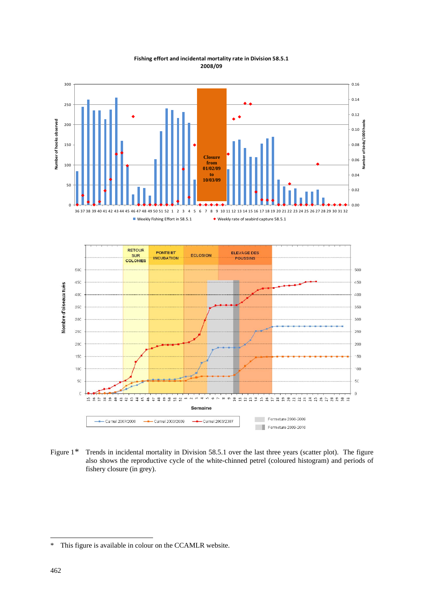<span id="page-57-0"></span>

#### **Fishing effort and incidental mortality rate in Division 58.5.1 2008/09**

Figure 1<sup>\*</sup> Trends in incidental mortality in Division 58.5.1 over the last three years (scatter plot). The figure also shows the reproductive cycle of the white-chinned petrel (coloured histogram) and periods of fishery closure (in grey).

-

<sup>\*</sup> This figure is available in colour on the CCAMLR website.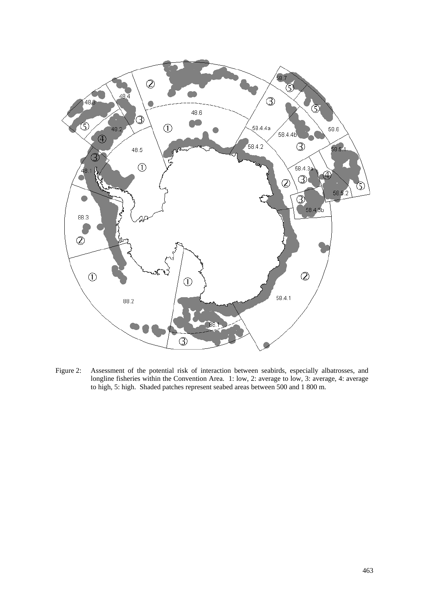

Figure 2: Assessment of the potential risk of interaction between seabirds, especially albatrosses, and longline fisheries within the Convention Area. 1: low, 2: average to low, 3: average, 4: average to high, 5: high. Shaded patches represent seabed areas between 500 and 1 800 m.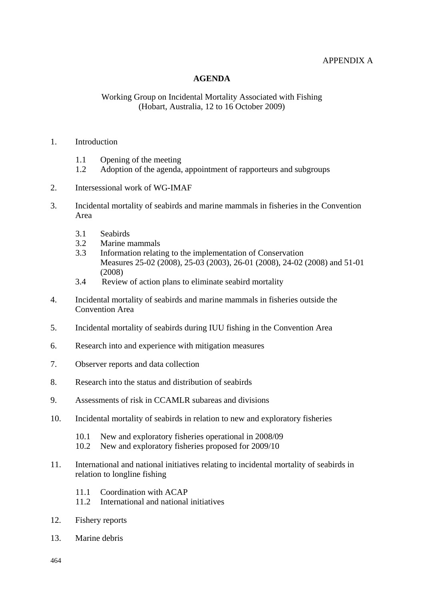## APPENDIX A

### **AGENDA**

#### <span id="page-59-0"></span>Working Group on Incidental Mortality Associated with Fishing (Hobart, Australia, 12 to 16 October 2009)

#### 1. Introduction

- 1.1 Opening of the meeting
- 1.2 Adoption of the agenda, appointment of rapporteurs and subgroups
- 2. Intersessional work of WG-IMAF
- 3. Incidental mortality of seabirds and marine mammals in fisheries in the Convention Area
	- 3.1 Seabirds
	- 3.2 Marine mammals
	- 3.3 Information relating to the implementation of Conservation Measures 25-02 (2008), 25-03 (2003), 26-01 (2008), 24-02 (2008) and 51-01 (2008)
	- 3.4 Review of action plans to eliminate seabird mortality
- 4. Incidental mortality of seabirds and marine mammals in fisheries outside the Convention Area
- 5. Incidental mortality of seabirds during IUU fishing in the Convention Area
- 6. Research into and experience with mitigation measures
- 7. Observer reports and data collection
- 8. Research into the status and distribution of seabirds
- 9. Assessments of risk in CCAMLR subareas and divisions
- 10. Incidental mortality of seabirds in relation to new and exploratory fisheries
	- 10.1 New and exploratory fisheries operational in 2008/09
	- 10.2 New and exploratory fisheries proposed for 2009/10
- 11. International and national initiatives relating to incidental mortality of seabirds in relation to longline fishing
	- 11.1 Coordination with ACAP
	- 11.2 International and national initiatives
- 12. Fishery reports
- 13. Marine debris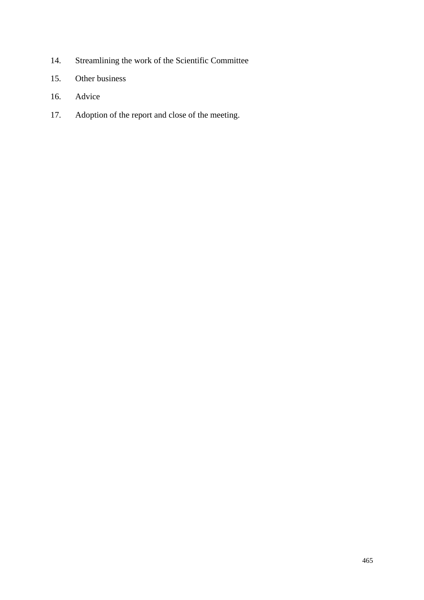- 14. Streamlining the work of the Scientific Committee
- 15. Other business
- 16. Advice
- 17. Adoption of the report and close of the meeting.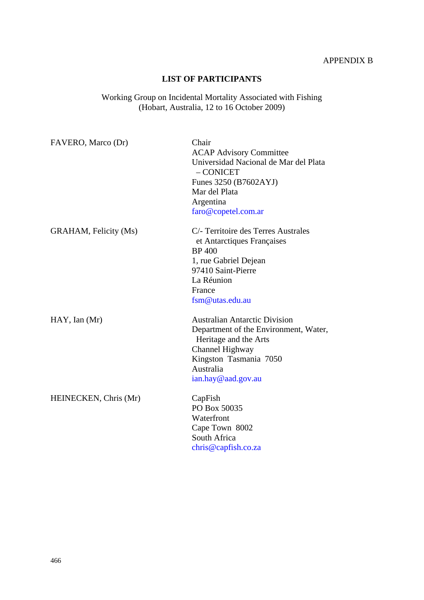## **LIST OF PARTICIPANTS**

<span id="page-61-0"></span>Working Group on Incidental Mortality Associated with Fishing (Hobart, Australia, 12 to 16 October 2009)

| FAVERO, Marco (Dr)    | Chair<br><b>ACAP Advisory Committee</b><br>Universidad Nacional de Mar del Plata<br>$-$ CONICET<br>Funes 3250 (B7602AYJ)<br>Mar del Plata<br>Argentina<br>faro@copetel.com.ar          |
|-----------------------|----------------------------------------------------------------------------------------------------------------------------------------------------------------------------------------|
| GRAHAM, Felicity (Ms) | C/- Territoire des Terres Australes<br>et Antarctiques Françaises<br><b>BP</b> 400<br>1, rue Gabriel Dejean<br>97410 Saint-Pierre<br>La Réunion<br>France<br>fsm@utas.edu.au           |
| $HAY$ , Ian $(Mr)$    | <b>Australian Antarctic Division</b><br>Department of the Environment, Water,<br>Heritage and the Arts<br>Channel Highway<br>Kingston Tasmania 7050<br>Australia<br>ian.hay@aad.gov.au |
| HEINECKEN, Chris (Mr) | CapFish<br>PO Box 50035<br>Waterfront<br>Cape Town 8002<br>South Africa<br>chris@capfish.co.za                                                                                         |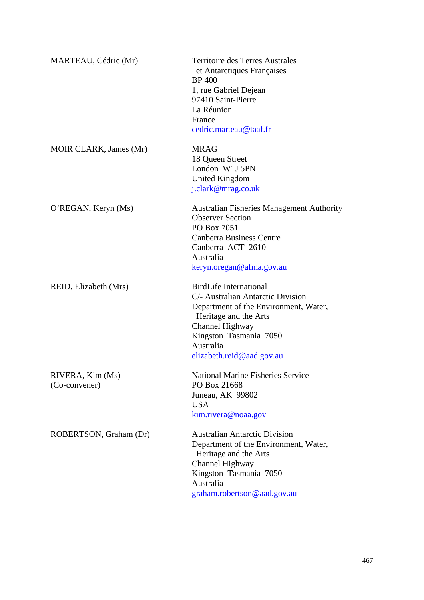| MARTEAU, Cédric (Mr)              | <b>Territoire des Terres Australes</b><br>et Antarctiques Françaises<br><b>BP</b> 400<br>1, rue Gabriel Dejean<br>97410 Saint-Pierre<br>La Réunion<br>France<br>cedric.marteau@taaf.fr                                      |
|-----------------------------------|-----------------------------------------------------------------------------------------------------------------------------------------------------------------------------------------------------------------------------|
| MOIR CLARK, James (Mr)            | <b>MRAG</b><br>18 Queen Street<br>London W1J 5PN<br>United Kingdom<br>j.clark@mrag.co.uk                                                                                                                                    |
| O'REGAN, Keryn (Ms)               | <b>Australian Fisheries Management Authority</b><br><b>Observer Section</b><br>PO Box 7051<br><b>Canberra Business Centre</b><br>Canberra ACT 2610<br>Australia<br>keryn.oregan@afma.gov.au                                 |
| REID, Elizabeth (Mrs)             | <b>BirdLife International</b><br>C/- Australian Antarctic Division<br>Department of the Environment, Water,<br>Heritage and the Arts<br>Channel Highway<br>Kingston Tasmania 7050<br>Australia<br>elizabeth.reid@aad.gov.au |
| RIVERA, Kim (Ms)<br>(Co-convener) | <b>National Marine Fisheries Service</b><br>PO Box 21668<br>Juneau, AK 99802<br><b>USA</b><br>kim.rivera@noaa.gov                                                                                                           |
| ROBERTSON, Graham (Dr)            | <b>Australian Antarctic Division</b><br>Department of the Environment, Water,<br>Heritage and the Arts<br>Channel Highway<br>Kingston Tasmania 7050<br>Australia<br>graham.robertson@aad.gov.au                             |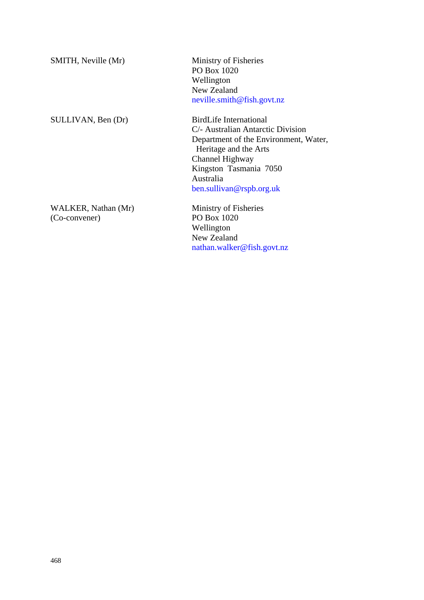| SMITH, Neville (Mr)                  | Ministry of Fisheries<br>PO Box 1020<br>Wellington<br>New Zealand<br>neville.smith@fish.govt.nz                                                                                                                      |  |
|--------------------------------------|----------------------------------------------------------------------------------------------------------------------------------------------------------------------------------------------------------------------|--|
| SULLIVAN, Ben (Dr)                   | BirdLife International<br>C/- Australian Antarctic Division<br>Department of the Environment, Water,<br>Heritage and the Arts<br>Channel Highway<br>Kingston Tasmania 7050<br>Australia<br>ben. sullivan@rspb.org.uk |  |
| WALKER, Nathan (Mr)<br>(Co-convener) | Ministry of Fisheries<br>PO Box 1020<br>Wellington                                                                                                                                                                   |  |

New Zealand

nathan.walker@fish.govt.nz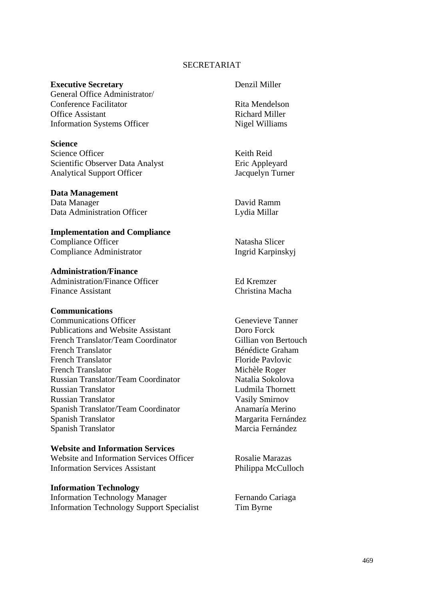#### SECRETARIAT

## **Executive Secretary**  Denzil Miller

General Office Administrator/ Conference Facilitator **Rita Mendelson** Office Assistant **Richard Miller** Information Systems Officer Nigel Williams

#### **Science**

Science Officer Keith Reid Scientific Observer Data Analyst Eric Appleyard Analytical Support Officer Jacquelyn Turner

#### **Data Management**

Data Manager David Ramm Data Administration Officer Lydia Millar

#### **Implementation and Compliance**

Compliance Officer Natasha Slicer Compliance Administrator Ingrid Karpinskyj

# **Administration/Finance**

Administration/Finance Officer Ed Kremzer Finance Assistant Christina Macha

#### **Communications**

Communications Officer Genevieve Tanner Publications and Website Assistant Doro Forck French Translator/Team Coordinator Gillian von Bertouch French Translator Bénédicte Graham French Translator Floride Pavlovic French Translator Michèle Roger Russian Translator/Team Coordinator Natalia Sokolova Russian Translator Ludmila Thornett Russian Translator Vasily Smirnov Spanish Translator/Team Coordinator Anamaría Merino Spanish Translator Margarita Fernández Spanish Translator Marcia Fernández

# **Website and Information Services**

Website and Information Services Officer Rosalie Marazas Information Services Assistant Philippa McCulloch

#### **Information Technology**

Information Technology Manager Fernando Cariaga Information Technology Support Specialist Tim Byrne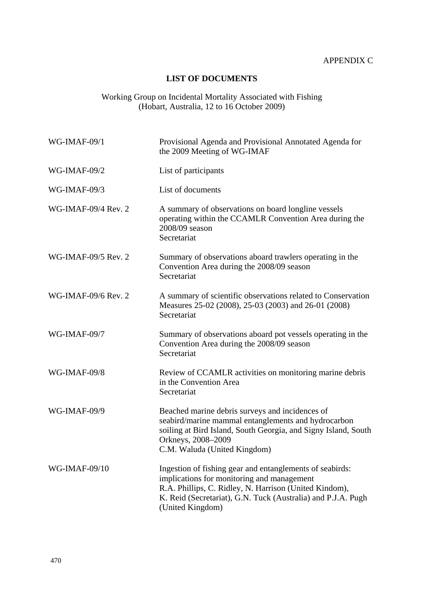## **LIST OF DOCUMENTS**

#### <span id="page-65-0"></span>Working Group on Incidental Mortality Associated with Fishing (Hobart, Australia, 12 to 16 October 2009)

| <b>WG-IMAF-09/1</b> | Provisional Agenda and Provisional Annotated Agenda for<br>the 2009 Meeting of WG-IMAF                                                                                                                                                               |
|---------------------|------------------------------------------------------------------------------------------------------------------------------------------------------------------------------------------------------------------------------------------------------|
| <b>WG-IMAF-09/2</b> | List of participants                                                                                                                                                                                                                                 |
| WG-IMAF-09/3        | List of documents                                                                                                                                                                                                                                    |
| WG-IMAF-09/4 Rev. 2 | A summary of observations on board longline vessels<br>operating within the CCAMLR Convention Area during the<br>2008/09 season<br>Secretariat                                                                                                       |
| WG-IMAF-09/5 Rev. 2 | Summary of observations aboard trawlers operating in the<br>Convention Area during the 2008/09 season<br>Secretariat                                                                                                                                 |
| WG-IMAF-09/6 Rev. 2 | A summary of scientific observations related to Conservation<br>Measures 25-02 (2008), 25-03 (2003) and 26-01 (2008)<br>Secretariat                                                                                                                  |
| WG-IMAF-09/7        | Summary of observations aboard pot vessels operating in the<br>Convention Area during the 2008/09 season<br>Secretariat                                                                                                                              |
| WG-IMAF-09/8        | Review of CCAMLR activities on monitoring marine debris<br>in the Convention Area<br>Secretariat                                                                                                                                                     |
| <b>WG-IMAF-09/9</b> | Beached marine debris surveys and incidences of<br>seabird/marine mammal entanglements and hydrocarbon<br>soiling at Bird Island, South Georgia, and Signy Island, South<br>Orkneys, 2008-2009<br>C.M. Waluda (United Kingdom)                       |
| WG-IMAF-09/10       | Ingestion of fishing gear and entanglements of seabirds:<br>implications for monitoring and management<br>R.A. Phillips, C. Ridley, N. Harrison (United Kindom),<br>K. Reid (Secretariat), G.N. Tuck (Australia) and P.J.A. Pugh<br>(United Kingdom) |